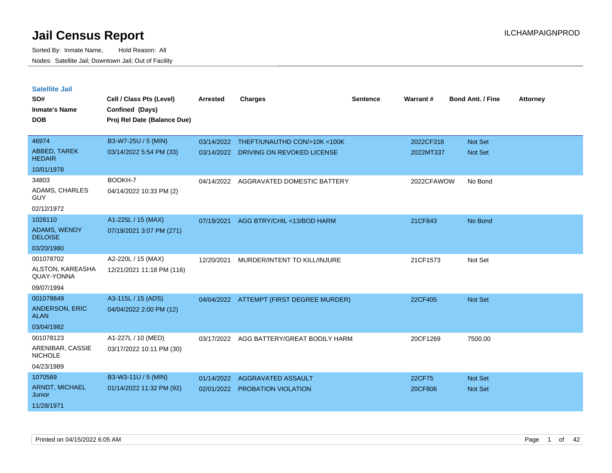| <b>Satellite Jail</b>                 |                             |                 |                                          |          |            |                         |                 |
|---------------------------------------|-----------------------------|-----------------|------------------------------------------|----------|------------|-------------------------|-----------------|
| SO#                                   | Cell / Class Pts (Level)    | <b>Arrested</b> | <b>Charges</b>                           | Sentence | Warrant#   | <b>Bond Amt. / Fine</b> | <b>Attorney</b> |
| <b>Inmate's Name</b>                  | Confined (Days)             |                 |                                          |          |            |                         |                 |
| <b>DOB</b>                            | Proj Rel Date (Balance Due) |                 |                                          |          |            |                         |                 |
|                                       |                             |                 |                                          |          |            |                         |                 |
| 46974                                 | B3-W7-25U / 5 (MIN)         | 03/14/2022      | THEFT/UNAUTHD CON/>10K <100K             |          | 2022CF318  | <b>Not Set</b>          |                 |
| ABBED, TAREK<br><b>HEDAIR</b>         | 03/14/2022 5:54 PM (33)     | 03/14/2022      | DRIVING ON REVOKED LICENSE               |          | 2022MT337  | <b>Not Set</b>          |                 |
| 10/01/1978                            |                             |                 |                                          |          |            |                         |                 |
| 34803                                 | BOOKH-7                     | 04/14/2022      | AGGRAVATED DOMESTIC BATTERY              |          | 2022CFAWOW | No Bond                 |                 |
| ADAMS, CHARLES<br>GUY                 | 04/14/2022 10:33 PM (2)     |                 |                                          |          |            |                         |                 |
| 02/12/1972                            |                             |                 |                                          |          |            |                         |                 |
| 1028110                               | A1-225L / 15 (MAX)          | 07/19/2021      | AGG BTRY/CHIL <13/BOD HARM               |          | 21CF843    | No Bond                 |                 |
| <b>ADAMS, WENDY</b><br><b>DELOISE</b> | 07/19/2021 3:07 PM (271)    |                 |                                          |          |            |                         |                 |
| 03/20/1980                            |                             |                 |                                          |          |            |                         |                 |
| 001078702                             | A2-220L / 15 (MAX)          | 12/20/2021      | MURDER/INTENT TO KILL/INJURE             |          | 21CF1573   | Not Set                 |                 |
| ALSTON, KAREASHA<br>QUAY-YONNA        | 12/21/2021 11:18 PM (116)   |                 |                                          |          |            |                         |                 |
| 09/07/1994                            |                             |                 |                                          |          |            |                         |                 |
| 001078849                             | A3-115L / 15 (ADS)          |                 | 04/04/2022 ATTEMPT (FIRST DEGREE MURDER) |          | 22CF405    | <b>Not Set</b>          |                 |
| <b>ANDERSON, ERIC</b><br><b>ALAN</b>  | 04/04/2022 2:00 PM (12)     |                 |                                          |          |            |                         |                 |
| 03/04/1982                            |                             |                 |                                          |          |            |                         |                 |
| 001078123                             | A1-227L / 10 (MED)          | 03/17/2022      | AGG BATTERY/GREAT BODILY HARM            |          | 20CF1269   | 7500.00                 |                 |
| ARENIBAR, CASSIE<br><b>NICHOLE</b>    | 03/17/2022 10:11 PM (30)    |                 |                                          |          |            |                         |                 |
| 04/23/1989                            |                             |                 |                                          |          |            |                         |                 |
| 1070569                               | B3-W3-11U / 5 (MIN)         | 01/14/2022      | AGGRAVATED ASSAULT                       |          | 22CF75     | <b>Not Set</b>          |                 |
| <b>ARNDT, MICHAEL</b><br>Junior       | 01/14/2022 11:32 PM (92)    | 02/01/2022      | <b>PROBATION VIOLATION</b>               |          | 20CF806    | <b>Not Set</b>          |                 |
| 11/28/1971                            |                             |                 |                                          |          |            |                         |                 |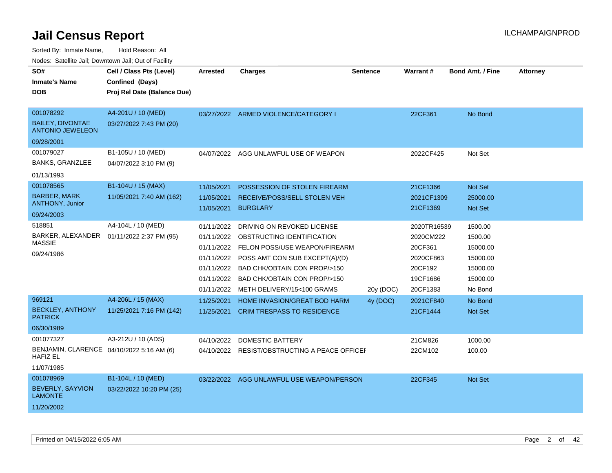Sorted By: Inmate Name, Hold Reason: All

Nodes: Satellite Jail; Downtown Jail; Out of Facility

| SO#                                                          | Cell / Class Pts (Level)    | <b>Arrested</b> | <b>Charges</b>                                | <b>Sentence</b> | Warrant#    | <b>Bond Amt. / Fine</b> | <b>Attorney</b> |
|--------------------------------------------------------------|-----------------------------|-----------------|-----------------------------------------------|-----------------|-------------|-------------------------|-----------------|
| <b>Inmate's Name</b>                                         | Confined (Days)             |                 |                                               |                 |             |                         |                 |
| <b>DOB</b>                                                   | Proj Rel Date (Balance Due) |                 |                                               |                 |             |                         |                 |
|                                                              |                             |                 |                                               |                 |             |                         |                 |
| 001078292                                                    | A4-201U / 10 (MED)          |                 | 03/27/2022 ARMED VIOLENCE/CATEGORY I          |                 | 22CF361     | No Bond                 |                 |
| <b>BAILEY, DIVONTAE</b><br><b>ANTONIO JEWELEON</b>           | 03/27/2022 7:43 PM (20)     |                 |                                               |                 |             |                         |                 |
| 09/28/2001                                                   |                             |                 |                                               |                 |             |                         |                 |
| 001079027                                                    | B1-105U / 10 (MED)          | 04/07/2022      | AGG UNLAWFUL USE OF WEAPON                    |                 | 2022CF425   | Not Set                 |                 |
| <b>BANKS, GRANZLEE</b>                                       | 04/07/2022 3:10 PM (9)      |                 |                                               |                 |             |                         |                 |
| 01/13/1993                                                   |                             |                 |                                               |                 |             |                         |                 |
| 001078565                                                    | B1-104U / 15 (MAX)          | 11/05/2021      | POSSESSION OF STOLEN FIREARM                  |                 | 21CF1366    | Not Set                 |                 |
| <b>BARBER, MARK</b>                                          | 11/05/2021 7:40 AM (162)    | 11/05/2021      | RECEIVE/POSS/SELL STOLEN VEH                  |                 | 2021CF1309  | 25000.00                |                 |
| ANTHONY, Junior                                              |                             | 11/05/2021      | <b>BURGLARY</b>                               |                 | 21CF1369    | <b>Not Set</b>          |                 |
| 09/24/2003                                                   |                             |                 |                                               |                 |             |                         |                 |
| 518851                                                       | A4-104L / 10 (MED)          | 01/11/2022      | DRIVING ON REVOKED LICENSE                    |                 | 2020TR16539 | 1500.00                 |                 |
| BARKER, ALEXANDER<br><b>MASSIE</b>                           | 01/11/2022 2:37 PM (95)     | 01/11/2022      | OBSTRUCTING IDENTIFICATION                    |                 | 2020CM222   | 1500.00                 |                 |
| 09/24/1986                                                   |                             | 01/11/2022      | FELON POSS/USE WEAPON/FIREARM                 |                 | 20CF361     | 15000.00                |                 |
|                                                              |                             | 01/11/2022      | POSS AMT CON SUB EXCEPT(A)/(D)                |                 | 2020CF863   | 15000.00                |                 |
|                                                              |                             |                 | 01/11/2022 BAD CHK/OBTAIN CON PROP/>150       |                 | 20CF192     | 15000.00                |                 |
|                                                              |                             | 01/11/2022      | BAD CHK/OBTAIN CON PROP/>150                  |                 | 19CF1686    | 15000.00                |                 |
|                                                              |                             |                 | 01/11/2022 METH DELIVERY/15<100 GRAMS         | 20y (DOC)       | 20CF1383    | No Bond                 |                 |
| 969121                                                       | A4-206L / 15 (MAX)          | 11/25/2021      | HOME INVASION/GREAT BOD HARM                  | 4y (DOC)        | 2021CF840   | No Bond                 |                 |
| <b>BECKLEY, ANTHONY</b><br><b>PATRICK</b>                    | 11/25/2021 7:16 PM (142)    | 11/25/2021      | <b>CRIM TRESPASS TO RESIDENCE</b>             |                 | 21CF1444    | Not Set                 |                 |
| 06/30/1989                                                   |                             |                 |                                               |                 |             |                         |                 |
| 001077327                                                    | A3-212U / 10 (ADS)          | 04/10/2022      | <b>DOMESTIC BATTERY</b>                       |                 | 21CM826     | 1000.00                 |                 |
| BENJAMIN, CLARENCE 04/10/2022 5:16 AM (6)<br><b>HAFIZ EL</b> |                             |                 | 04/10/2022 RESIST/OBSTRUCTING A PEACE OFFICEF |                 | 22CM102     | 100.00                  |                 |
| 11/07/1985                                                   |                             |                 |                                               |                 |             |                         |                 |
| 001078969                                                    | B1-104L / 10 (MED)          |                 | 03/22/2022 AGG UNLAWFUL USE WEAPON/PERSON     |                 | 22CF345     | Not Set                 |                 |
| BEVERLY, SAYVION<br><b>LAMONTE</b>                           | 03/22/2022 10:20 PM (25)    |                 |                                               |                 |             |                         |                 |
| 11/20/2002                                                   |                             |                 |                                               |                 |             |                         |                 |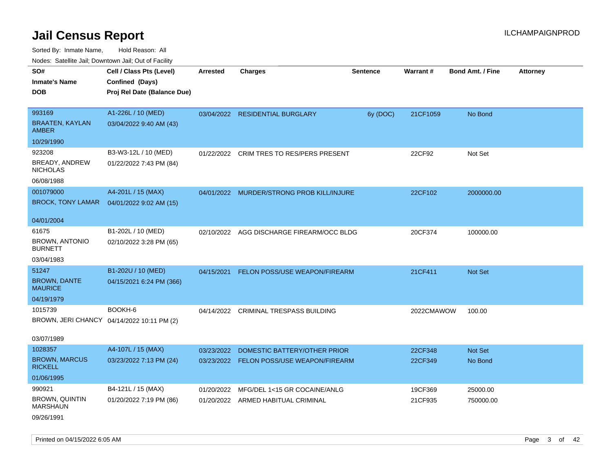| ivuutos. Saltiilit Jali, Duwilluwii Jali, Oul of Facility |                                            |            |                                           |                 |            |                         |          |
|-----------------------------------------------------------|--------------------------------------------|------------|-------------------------------------------|-----------------|------------|-------------------------|----------|
| SO#                                                       | Cell / Class Pts (Level)                   | Arrested   | <b>Charges</b>                            | <b>Sentence</b> | Warrant#   | <b>Bond Amt. / Fine</b> | Attorney |
| <b>Inmate's Name</b>                                      | Confined (Days)                            |            |                                           |                 |            |                         |          |
| <b>DOB</b>                                                | Proj Rel Date (Balance Due)                |            |                                           |                 |            |                         |          |
|                                                           |                                            |            |                                           |                 |            |                         |          |
| 993169                                                    | A1-226L / 10 (MED)                         |            | 03/04/2022 RESIDENTIAL BURGLARY           | 6y (DOC)        | 21CF1059   | No Bond                 |          |
| <b>BRAATEN, KAYLAN</b><br><b>AMBER</b>                    | 03/04/2022 9:40 AM (43)                    |            |                                           |                 |            |                         |          |
| 10/29/1990                                                |                                            |            |                                           |                 |            |                         |          |
| 923208                                                    | B3-W3-12L / 10 (MED)                       |            | 01/22/2022 CRIM TRES TO RES/PERS PRESENT  |                 | 22CF92     | Not Set                 |          |
| BREADY, ANDREW<br><b>NICHOLAS</b>                         | 01/22/2022 7:43 PM (84)                    |            |                                           |                 |            |                         |          |
| 06/08/1988                                                |                                            |            |                                           |                 |            |                         |          |
| 001079000                                                 | A4-201L / 15 (MAX)                         |            | 04/01/2022 MURDER/STRONG PROB KILL/INJURE |                 | 22CF102    | 2000000.00              |          |
| <b>BROCK, TONY LAMAR</b>                                  | 04/01/2022 9:02 AM (15)                    |            |                                           |                 |            |                         |          |
|                                                           |                                            |            |                                           |                 |            |                         |          |
| 04/01/2004                                                |                                            |            |                                           |                 |            |                         |          |
| 61675                                                     | B1-202L / 10 (MED)                         |            | 02/10/2022 AGG DISCHARGE FIREARM/OCC BLDG |                 | 20CF374    | 100000.00               |          |
| <b>BROWN, ANTONIO</b><br><b>BURNETT</b>                   | 02/10/2022 3:28 PM (65)                    |            |                                           |                 |            |                         |          |
| 03/04/1983                                                |                                            |            |                                           |                 |            |                         |          |
| 51247                                                     | B1-202U / 10 (MED)                         | 04/15/2021 | <b>FELON POSS/USE WEAPON/FIREARM</b>      |                 | 21CF411    | Not Set                 |          |
| <b>BROWN, DANTE</b><br><b>MAURICE</b>                     | 04/15/2021 6:24 PM (366)                   |            |                                           |                 |            |                         |          |
| 04/19/1979                                                |                                            |            |                                           |                 |            |                         |          |
| 1015739                                                   | BOOKH-6                                    |            | 04/14/2022 CRIMINAL TRESPASS BUILDING     |                 | 2022CMAWOW | 100.00                  |          |
|                                                           | BROWN, JERI CHANCY 04/14/2022 10:11 PM (2) |            |                                           |                 |            |                         |          |
| 03/07/1989                                                |                                            |            |                                           |                 |            |                         |          |
| 1028357                                                   | A4-107L / 15 (MAX)                         | 03/23/2022 | DOMESTIC BATTERY/OTHER PRIOR              |                 | 22CF348    | Not Set                 |          |
| <b>BROWN, MARCUS</b><br><b>RICKELL</b>                    | 03/23/2022 7:13 PM (24)                    |            | 03/23/2022 FELON POSS/USE WEAPON/FIREARM  |                 | 22CF349    | No Bond                 |          |
| 01/06/1995                                                |                                            |            |                                           |                 |            |                         |          |
| 990921                                                    | B4-121L / 15 (MAX)                         | 01/20/2022 | MFG/DEL 1<15 GR COCAINE/ANLG              |                 | 19CF369    | 25000.00                |          |
| <b>BROWN, QUINTIN</b><br><b>MARSHAUN</b>                  | 01/20/2022 7:19 PM (86)                    |            | 01/20/2022 ARMED HABITUAL CRIMINAL        |                 | 21CF935    | 750000.00               |          |
| 09/26/1991                                                |                                            |            |                                           |                 |            |                         |          |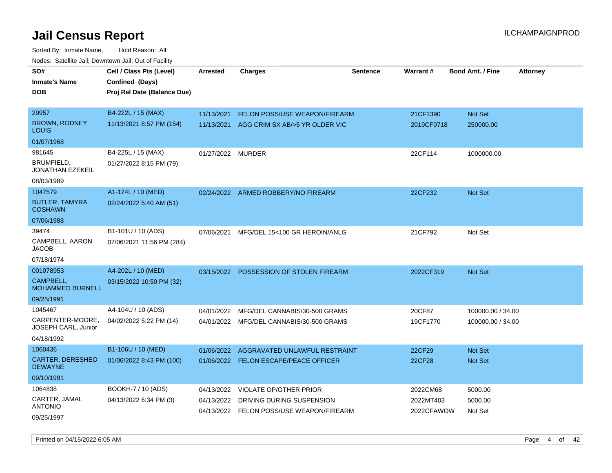Sorted By: Inmate Name, Hold Reason: All Nodes: Satellite Jail; Downtown Jail; Out of Facility

| SO#                                       | Cell / Class Pts (Level)    | <b>Arrested</b>   | <b>Charges</b>                            | <b>Sentence</b> | Warrant#   | <b>Bond Amt. / Fine</b> | <b>Attorney</b> |
|-------------------------------------------|-----------------------------|-------------------|-------------------------------------------|-----------------|------------|-------------------------|-----------------|
| <b>Inmate's Name</b>                      | Confined (Days)             |                   |                                           |                 |            |                         |                 |
| <b>DOB</b>                                | Proj Rel Date (Balance Due) |                   |                                           |                 |            |                         |                 |
|                                           |                             |                   |                                           |                 |            |                         |                 |
| 29957                                     | B4-222L / 15 (MAX)          | 11/13/2021        | <b>FELON POSS/USE WEAPON/FIREARM</b>      |                 | 21CF1390   | Not Set                 |                 |
| <b>BROWN, RODNEY</b><br>LOUIS             | 11/13/2021 8:57 PM (154)    |                   | 11/13/2021 AGG CRIM SX AB/>5 YR OLDER VIC |                 | 2019CF0718 | 250000.00               |                 |
| 01/07/1968                                |                             |                   |                                           |                 |            |                         |                 |
| 981645                                    | B4-225L / 15 (MAX)          | 01/27/2022 MURDER |                                           |                 | 22CF114    | 1000000.00              |                 |
| BRUMFIELD,<br>JONATHAN EZEKEIL            | 01/27/2022 8:15 PM (79)     |                   |                                           |                 |            |                         |                 |
| 08/03/1989                                |                             |                   |                                           |                 |            |                         |                 |
| 1047579                                   | A1-124L / 10 (MED)          |                   | 02/24/2022 ARMED ROBBERY/NO FIREARM       |                 | 22CF232    | Not Set                 |                 |
| <b>BUTLER, TAMYRA</b><br><b>COSHAWN</b>   | 02/24/2022 5:40 AM (51)     |                   |                                           |                 |            |                         |                 |
| 07/06/1988                                |                             |                   |                                           |                 |            |                         |                 |
| 39474                                     | B1-101U / 10 (ADS)          | 07/06/2021        | MFG/DEL 15<100 GR HEROIN/ANLG             |                 | 21CF792    | Not Set                 |                 |
| CAMPBELL, AARON<br>JACOB                  | 07/06/2021 11:56 PM (284)   |                   |                                           |                 |            |                         |                 |
| 07/18/1974                                |                             |                   |                                           |                 |            |                         |                 |
| 001078953                                 | A4-202L / 10 (MED)          |                   | 03/15/2022 POSSESSION OF STOLEN FIREARM   |                 | 2022CF319  | Not Set                 |                 |
| CAMPBELL,<br><b>MOHAMMED BURNELL</b>      | 03/15/2022 10:50 PM (32)    |                   |                                           |                 |            |                         |                 |
| 09/25/1991                                |                             |                   |                                           |                 |            |                         |                 |
| 1045467                                   | A4-104U / 10 (ADS)          | 04/01/2022        | MFG/DEL CANNABIS/30-500 GRAMS             |                 | 20CF87     | 100000.00 / 34.00       |                 |
| CARPENTER-MOORE,<br>JOSEPH CARL, Junior   | 04/02/2022 5:22 PM (14)     |                   | 04/01/2022 MFG/DEL CANNABIS/30-500 GRAMS  |                 | 19CF1770   | 100000.00 / 34.00       |                 |
| 04/18/1992                                |                             |                   |                                           |                 |            |                         |                 |
| 1060436                                   | B1-106U / 10 (MED)          | 01/06/2022        | AGGRAVATED UNLAWFUL RESTRAINT             |                 | 22CF29     | Not Set                 |                 |
| <b>CARTER, DERESHEO</b><br><b>DEWAYNE</b> | 01/06/2022 8:43 PM (100)    |                   | 01/06/2022 FELON ESCAPE/PEACE OFFICER     |                 | 22CF28     | <b>Not Set</b>          |                 |
| 09/10/1991                                |                             |                   |                                           |                 |            |                         |                 |
| 1064838                                   | BOOKH-7 / 10 (ADS)          | 04/13/2022        | <b>VIOLATE OP/OTHER PRIOR</b>             |                 | 2022CM68   | 5000.00                 |                 |
| CARTER, JAMAL                             | 04/13/2022 6:34 PM (3)      | 04/13/2022        | DRIVING DURING SUSPENSION                 |                 | 2022MT403  | 5000.00                 |                 |
| ANTONIO<br>09/25/1997                     |                             |                   | 04/13/2022 FELON POSS/USE WEAPON/FIREARM  |                 | 2022CFAWOW | Not Set                 |                 |

Printed on 04/15/2022 6:05 AM **Page 4 of 42** Page 4 of 42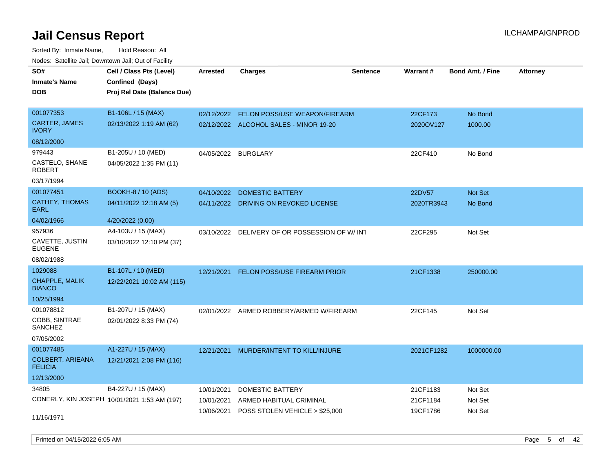Sorted By: Inmate Name, Hold Reason: All Nodes: Satellite Jail; Downtown Jail; Out of Facility

| SO#                                       | Cell / Class Pts (Level)                     | <b>Arrested</b> | <b>Charges</b>                                | <b>Sentence</b> | <b>Warrant#</b> | <b>Bond Amt. / Fine</b> | <b>Attorney</b> |
|-------------------------------------------|----------------------------------------------|-----------------|-----------------------------------------------|-----------------|-----------------|-------------------------|-----------------|
| <b>Inmate's Name</b>                      | Confined (Days)                              |                 |                                               |                 |                 |                         |                 |
| <b>DOB</b>                                | Proj Rel Date (Balance Due)                  |                 |                                               |                 |                 |                         |                 |
|                                           |                                              |                 |                                               |                 |                 |                         |                 |
| 001077353                                 | B1-106L / 15 (MAX)                           | 02/12/2022      | FELON POSS/USE WEAPON/FIREARM                 |                 | 22CF173         | No Bond                 |                 |
| <b>CARTER, JAMES</b><br><b>IVORY</b>      | 02/13/2022 1:19 AM (62)                      |                 | 02/12/2022 ALCOHOL SALES - MINOR 19-20        |                 | 2020OV127       | 1000.00                 |                 |
| 08/12/2000                                |                                              |                 |                                               |                 |                 |                         |                 |
| 979443                                    | B1-205U / 10 (MED)                           |                 | 04/05/2022 BURGLARY                           |                 | 22CF410         | No Bond                 |                 |
| CASTELO, SHANE<br><b>ROBERT</b>           | 04/05/2022 1:35 PM (11)                      |                 |                                               |                 |                 |                         |                 |
| 03/17/1994                                |                                              |                 |                                               |                 |                 |                         |                 |
| 001077451                                 | <b>BOOKH-8 / 10 (ADS)</b>                    | 04/10/2022      | <b>DOMESTIC BATTERY</b>                       |                 | 22DV57          | Not Set                 |                 |
| <b>CATHEY, THOMAS</b><br><b>EARL</b>      | 04/11/2022 12:18 AM (5)                      |                 | 04/11/2022 DRIVING ON REVOKED LICENSE         |                 | 2020TR3943      | No Bond                 |                 |
| 04/02/1966                                | 4/20/2022 (0.00)                             |                 |                                               |                 |                 |                         |                 |
| 957936                                    | A4-103U / 15 (MAX)                           |                 | 03/10/2022 DELIVERY OF OR POSSESSION OF W/INT |                 | 22CF295         | Not Set                 |                 |
| CAVETTE, JUSTIN<br><b>EUGENE</b>          | 03/10/2022 12:10 PM (37)                     |                 |                                               |                 |                 |                         |                 |
| 08/02/1988                                |                                              |                 |                                               |                 |                 |                         |                 |
| 1029088                                   | B1-107L / 10 (MED)                           | 12/21/2021      | FELON POSS/USE FIREARM PRIOR                  |                 | 21CF1338        | 250000.00               |                 |
| CHAPPLE, MALIK<br><b>BIANCO</b>           | 12/22/2021 10:02 AM (115)                    |                 |                                               |                 |                 |                         |                 |
| 10/25/1994                                |                                              |                 |                                               |                 |                 |                         |                 |
| 001078812                                 | B1-207U / 15 (MAX)                           |                 | 02/01/2022 ARMED ROBBERY/ARMED W/FIREARM      |                 | 22CF145         | Not Set                 |                 |
| COBB, SINTRAE<br><b>SANCHEZ</b>           | 02/01/2022 8:33 PM (74)                      |                 |                                               |                 |                 |                         |                 |
| 07/05/2002                                |                                              |                 |                                               |                 |                 |                         |                 |
| 001077485                                 | A1-227U / 15 (MAX)                           | 12/21/2021      | MURDER/INTENT TO KILL/INJURE                  |                 | 2021CF1282      | 1000000.00              |                 |
| <b>COLBERT, ARIEANA</b><br><b>FELICIA</b> | 12/21/2021 2:08 PM (116)                     |                 |                                               |                 |                 |                         |                 |
| 12/13/2000                                |                                              |                 |                                               |                 |                 |                         |                 |
| 34805                                     | B4-227U / 15 (MAX)                           | 10/01/2021      | DOMESTIC BATTERY                              |                 | 21CF1183        | Not Set                 |                 |
|                                           | CONERLY, KIN JOSEPH 10/01/2021 1:53 AM (197) | 10/01/2021      | ARMED HABITUAL CRIMINAL                       |                 | 21CF1184        | Not Set                 |                 |
| 11/16/1971                                |                                              | 10/06/2021      | POSS STOLEN VEHICLE > \$25,000                |                 | 19CF1786        | Not Set                 |                 |

Printed on 04/15/2022 6:05 AM Page 5 of 42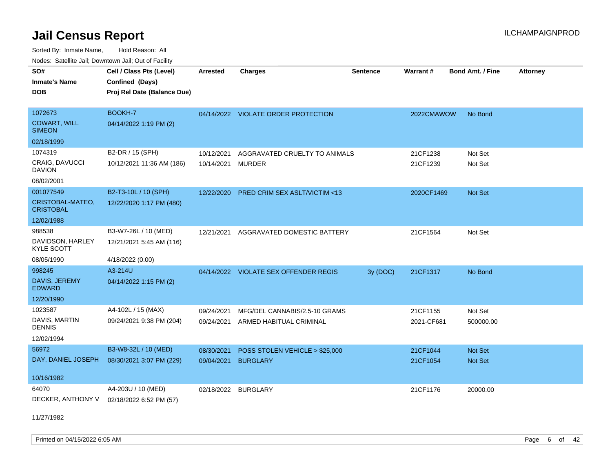Sorted By: Inmate Name, Hold Reason: All Nodes: Satellite Jail; Downtown Jail; Out of Facility

| Cell / Class Pts (Level)                       | <b>Arrested</b>                                | <b>Charges</b>  | <b>Sentence</b>                                                                                                                                                                                                                                                                                                                                                                   | Warrant#                                  |                | <b>Attorney</b>                                   |
|------------------------------------------------|------------------------------------------------|-----------------|-----------------------------------------------------------------------------------------------------------------------------------------------------------------------------------------------------------------------------------------------------------------------------------------------------------------------------------------------------------------------------------|-------------------------------------------|----------------|---------------------------------------------------|
|                                                |                                                |                 |                                                                                                                                                                                                                                                                                                                                                                                   |                                           |                |                                                   |
|                                                |                                                |                 |                                                                                                                                                                                                                                                                                                                                                                                   |                                           |                |                                                   |
|                                                |                                                |                 |                                                                                                                                                                                                                                                                                                                                                                                   |                                           |                |                                                   |
| BOOKH-7                                        |                                                |                 |                                                                                                                                                                                                                                                                                                                                                                                   |                                           | No Bond        |                                                   |
| 04/14/2022 1:19 PM (2)                         |                                                |                 |                                                                                                                                                                                                                                                                                                                                                                                   |                                           |                |                                                   |
|                                                |                                                |                 |                                                                                                                                                                                                                                                                                                                                                                                   |                                           |                |                                                   |
| B2-DR / 15 (SPH)                               | 10/12/2021                                     |                 |                                                                                                                                                                                                                                                                                                                                                                                   | 21CF1238                                  | Not Set        |                                                   |
| 10/12/2021 11:36 AM (186)                      | 10/14/2021                                     |                 |                                                                                                                                                                                                                                                                                                                                                                                   | 21CF1239                                  | Not Set        |                                                   |
|                                                |                                                |                 |                                                                                                                                                                                                                                                                                                                                                                                   |                                           |                |                                                   |
| B2-T3-10L / 10 (SPH)                           | 12/22/2020                                     |                 |                                                                                                                                                                                                                                                                                                                                                                                   |                                           | <b>Not Set</b> |                                                   |
| 12/22/2020 1:17 PM (480)                       |                                                |                 |                                                                                                                                                                                                                                                                                                                                                                                   |                                           |                |                                                   |
|                                                |                                                |                 |                                                                                                                                                                                                                                                                                                                                                                                   |                                           |                |                                                   |
| B3-W7-26L / 10 (MED)                           |                                                |                 |                                                                                                                                                                                                                                                                                                                                                                                   | 21CF1564                                  | Not Set        |                                                   |
| 12/21/2021 5:45 AM (116)                       |                                                |                 |                                                                                                                                                                                                                                                                                                                                                                                   |                                           |                |                                                   |
| 4/18/2022 (0.00)                               |                                                |                 |                                                                                                                                                                                                                                                                                                                                                                                   |                                           |                |                                                   |
| A3-214U                                        |                                                |                 |                                                                                                                                                                                                                                                                                                                                                                                   | 21CF1317                                  | No Bond        |                                                   |
| 04/14/2022 1:15 PM (2)                         |                                                |                 |                                                                                                                                                                                                                                                                                                                                                                                   |                                           |                |                                                   |
|                                                |                                                |                 |                                                                                                                                                                                                                                                                                                                                                                                   |                                           |                |                                                   |
| A4-102L / 15 (MAX)                             | 09/24/2021                                     |                 |                                                                                                                                                                                                                                                                                                                                                                                   | 21CF1155                                  | Not Set        |                                                   |
| 09/24/2021 9:38 PM (204)                       |                                                |                 |                                                                                                                                                                                                                                                                                                                                                                                   | 2021-CF681                                | 500000.00      |                                                   |
|                                                |                                                |                 |                                                                                                                                                                                                                                                                                                                                                                                   |                                           |                |                                                   |
| B3-W8-32L / 10 (MED)                           | 08/30/2021                                     |                 |                                                                                                                                                                                                                                                                                                                                                                                   | 21CF1044                                  | Not Set        |                                                   |
| DAY, DANIEL JOSEPH<br>08/30/2021 3:07 PM (229) | 09/04/2021                                     | <b>BURGLARY</b> |                                                                                                                                                                                                                                                                                                                                                                                   | 21CF1054                                  | Not Set        |                                                   |
|                                                |                                                |                 |                                                                                                                                                                                                                                                                                                                                                                                   |                                           |                |                                                   |
| A4-203U / 10 (MED)                             |                                                |                 |                                                                                                                                                                                                                                                                                                                                                                                   | 21CF1176                                  |                |                                                   |
| 02/18/2022 6:52 PM (57)                        |                                                |                 |                                                                                                                                                                                                                                                                                                                                                                                   |                                           |                |                                                   |
|                                                | Confined (Days)<br>Proj Rel Date (Balance Due) |                 | <u>Houce.</u> Catoling bail, Downtown bail, Out of Fability<br>04/14/2022 VIOLATE ORDER PROTECTION<br><b>MURDER</b><br><b>PRED CRIM SEX ASLT/VICTIM &lt;13</b><br>12/21/2021 AGGRAVATED DOMESTIC BATTERY<br>04/14/2022 VIOLATE SEX OFFENDER REGIS<br>MFG/DEL CANNABIS/2.5-10 GRAMS<br>09/24/2021 ARMED HABITUAL CRIMINAL<br>POSS STOLEN VEHICLE > \$25,000<br>02/18/2022 BURGLARY | AGGRAVATED CRUELTY TO ANIMALS<br>3y (DOC) | 2020CF1469     | <b>Bond Amt. / Fine</b><br>2022CMAWOW<br>20000.00 |

11/27/1982

Printed on 04/15/2022 6:05 AM Page 6 of 42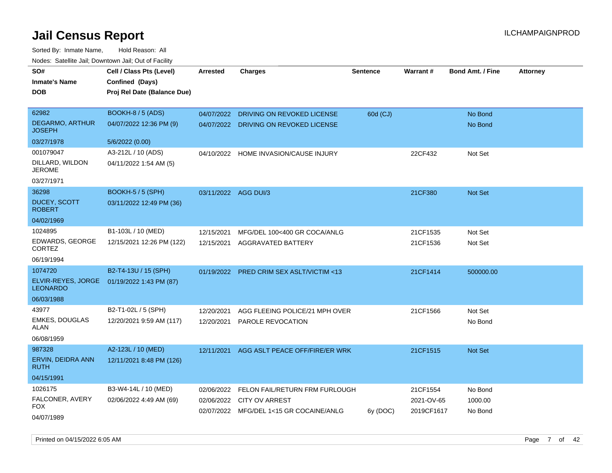Sorted By: Inmate Name, Hold Reason: All Nodes: Satellite Jail; Downtown Jail; Out of Facility

| SO#                                     | Cell / Class Pts (Level)    | <b>Arrested</b> | <b>Charges</b>                           | <b>Sentence</b> | <b>Warrant#</b> | <b>Bond Amt. / Fine</b> | <b>Attorney</b> |
|-----------------------------------------|-----------------------------|-----------------|------------------------------------------|-----------------|-----------------|-------------------------|-----------------|
| <b>Inmate's Name</b>                    | Confined (Days)             |                 |                                          |                 |                 |                         |                 |
| <b>DOB</b>                              | Proj Rel Date (Balance Due) |                 |                                          |                 |                 |                         |                 |
|                                         |                             |                 |                                          |                 |                 |                         |                 |
| 62982                                   | <b>BOOKH-8 / 5 (ADS)</b>    | 04/07/2022      | DRIVING ON REVOKED LICENSE               | 60d (CJ)        |                 | No Bond                 |                 |
| <b>DEGARMO, ARTHUR</b><br><b>JOSEPH</b> | 04/07/2022 12:36 PM (9)     |                 | 04/07/2022 DRIVING ON REVOKED LICENSE    |                 |                 | No Bond                 |                 |
| 03/27/1978                              | 5/6/2022 (0.00)             |                 |                                          |                 |                 |                         |                 |
| 001079047                               | A3-212L / 10 (ADS)          | 04/10/2022      | HOME INVASION/CAUSE INJURY               |                 | 22CF432         | Not Set                 |                 |
| DILLARD, WILDON<br><b>JEROME</b>        | 04/11/2022 1:54 AM (5)      |                 |                                          |                 |                 |                         |                 |
| 03/27/1971                              |                             |                 |                                          |                 |                 |                         |                 |
| 36298                                   | BOOKH-5 / 5 (SPH)           |                 | 03/11/2022 AGG DUI/3                     |                 | 21CF380         | Not Set                 |                 |
| <b>DUCEY, SCOTT</b><br><b>ROBERT</b>    | 03/11/2022 12:49 PM (36)    |                 |                                          |                 |                 |                         |                 |
| 04/02/1969                              |                             |                 |                                          |                 |                 |                         |                 |
| 1024895                                 | B1-103L / 10 (MED)          | 12/15/2021      | MFG/DEL 100<400 GR COCA/ANLG             |                 | 21CF1535        | Not Set                 |                 |
| EDWARDS, GEORGE<br><b>CORTEZ</b>        | 12/15/2021 12:26 PM (122)   | 12/15/2021      | <b>AGGRAVATED BATTERY</b>                |                 | 21CF1536        | Not Set                 |                 |
| 06/19/1994                              |                             |                 |                                          |                 |                 |                         |                 |
| 1074720                                 | B2-T4-13U / 15 (SPH)        |                 | 01/19/2022 PRED CRIM SEX ASLT/VICTIM <13 |                 | 21CF1414        | 500000.00               |                 |
| ELVIR-REYES, JORGE<br><b>LEONARDO</b>   | 01/19/2022 1:43 PM (87)     |                 |                                          |                 |                 |                         |                 |
| 06/03/1988                              |                             |                 |                                          |                 |                 |                         |                 |
| 43977                                   | B2-T1-02L / 5 (SPH)         | 12/20/2021      | AGG FLEEING POLICE/21 MPH OVER           |                 | 21CF1566        | Not Set                 |                 |
| <b>EMKES, DOUGLAS</b><br><b>ALAN</b>    | 12/20/2021 9:59 AM (117)    |                 | 12/20/2021 PAROLE REVOCATION             |                 |                 | No Bond                 |                 |
| 06/08/1959                              |                             |                 |                                          |                 |                 |                         |                 |
| 987328                                  | A2-123L / 10 (MED)          | 12/11/2021      | AGG ASLT PEACE OFF/FIRE/ER WRK           |                 | 21CF1515        | Not Set                 |                 |
| ERVIN, DEIDRA ANN<br><b>RUTH</b>        | 12/11/2021 8:48 PM (126)    |                 |                                          |                 |                 |                         |                 |
| 04/15/1991                              |                             |                 |                                          |                 |                 |                         |                 |
| 1026175                                 | B3-W4-14L / 10 (MED)        | 02/06/2022      | FELON FAIL/RETURN FRM FURLOUGH           |                 | 21CF1554        | No Bond                 |                 |
| FALCONER, AVERY                         | 02/06/2022 4:49 AM (69)     | 02/06/2022      | <b>CITY OV ARREST</b>                    |                 | 2021-OV-65      | 1000.00                 |                 |
| <b>FOX</b>                              |                             |                 | 02/07/2022 MFG/DEL 1<15 GR COCAINE/ANLG  | 6y (DOC)        | 2019CF1617      | No Bond                 |                 |
| 04/07/1989                              |                             |                 |                                          |                 |                 |                         |                 |

Printed on 04/15/2022 6:05 AM Page 7 of 42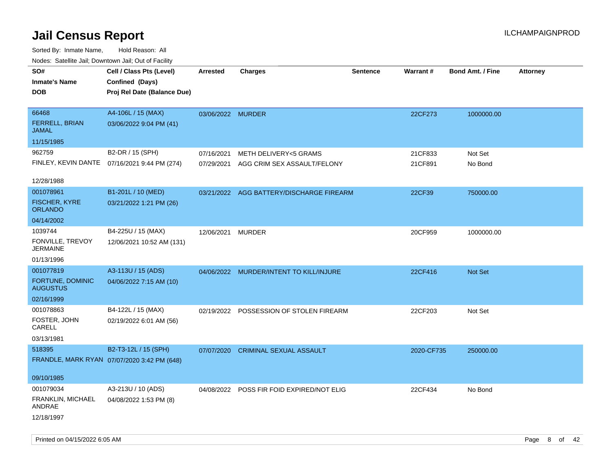| Nodes. Salenne Jan, Downlown Jan, Out of Facility |                                              |                   |                                           |                 |            |                         |                 |
|---------------------------------------------------|----------------------------------------------|-------------------|-------------------------------------------|-----------------|------------|-------------------------|-----------------|
| SO#                                               | Cell / Class Pts (Level)                     | <b>Arrested</b>   | <b>Charges</b>                            | <b>Sentence</b> | Warrant#   | <b>Bond Amt. / Fine</b> | <b>Attorney</b> |
| <b>Inmate's Name</b>                              | Confined (Days)                              |                   |                                           |                 |            |                         |                 |
| <b>DOB</b>                                        | Proj Rel Date (Balance Due)                  |                   |                                           |                 |            |                         |                 |
|                                                   |                                              |                   |                                           |                 |            |                         |                 |
| 66468                                             | A4-106L / 15 (MAX)                           | 03/06/2022 MURDER |                                           |                 | 22CF273    | 1000000.00              |                 |
| FERRELL, BRIAN<br><b>JAMAL</b>                    | 03/06/2022 9:04 PM (41)                      |                   |                                           |                 |            |                         |                 |
| 11/15/1985                                        |                                              |                   |                                           |                 |            |                         |                 |
| 962759                                            | B2-DR / 15 (SPH)                             | 07/16/2021        | <b>METH DELIVERY&lt;5 GRAMS</b>           |                 | 21CF833    | Not Set                 |                 |
|                                                   | FINLEY, KEVIN DANTE 07/16/2021 9:44 PM (274) | 07/29/2021        | AGG CRIM SEX ASSAULT/FELONY               |                 | 21CF891    | No Bond                 |                 |
| 12/28/1988                                        |                                              |                   |                                           |                 |            |                         |                 |
| 001078961                                         | B1-201L / 10 (MED)                           |                   | 03/21/2022 AGG BATTERY/DISCHARGE FIREARM  |                 | 22CF39     | 750000.00               |                 |
| <b>FISCHER, KYRE</b><br><b>ORLANDO</b>            | 03/21/2022 1:21 PM (26)                      |                   |                                           |                 |            |                         |                 |
| 04/14/2002                                        |                                              |                   |                                           |                 |            |                         |                 |
| 1039744                                           | B4-225U / 15 (MAX)                           | 12/06/2021        | <b>MURDER</b>                             |                 | 20CF959    | 1000000.00              |                 |
| FONVILLE, TREVOY<br>JERMAINE                      | 12/06/2021 10:52 AM (131)                    |                   |                                           |                 |            |                         |                 |
| 01/13/1996                                        |                                              |                   |                                           |                 |            |                         |                 |
| 001077819                                         | A3-113U / 15 (ADS)                           |                   | 04/06/2022 MURDER/INTENT TO KILL/INJURE   |                 | 22CF416    | Not Set                 |                 |
| FORTUNE, DOMINIC<br><b>AUGUSTUS</b>               | 04/06/2022 7:15 AM (10)                      |                   |                                           |                 |            |                         |                 |
| 02/16/1999                                        |                                              |                   |                                           |                 |            |                         |                 |
| 001078863                                         | B4-122L / 15 (MAX)                           |                   | 02/19/2022 POSSESSION OF STOLEN FIREARM   |                 | 22CF203    | Not Set                 |                 |
| FOSTER, JOHN<br>CARELL                            | 02/19/2022 6:01 AM (56)                      |                   |                                           |                 |            |                         |                 |
| 03/13/1981                                        |                                              |                   |                                           |                 |            |                         |                 |
| 518395                                            | B2-T3-12L / 15 (SPH)                         | 07/07/2020        | <b>CRIMINAL SEXUAL ASSAULT</b>            |                 | 2020-CF735 | 250000.00               |                 |
|                                                   | FRANDLE, MARK RYAN 07/07/2020 3:42 PM (648)  |                   |                                           |                 |            |                         |                 |
|                                                   |                                              |                   |                                           |                 |            |                         |                 |
| 09/10/1985                                        |                                              |                   |                                           |                 |            |                         |                 |
| 001079034                                         | A3-213U / 10 (ADS)                           |                   | 04/08/2022 POSS FIR FOID EXPIRED/NOT ELIG |                 | 22CF434    | No Bond                 |                 |
| FRANKLIN, MICHAEL<br>ANDRAE                       | 04/08/2022 1:53 PM (8)                       |                   |                                           |                 |            |                         |                 |
| 12/18/1997                                        |                                              |                   |                                           |                 |            |                         |                 |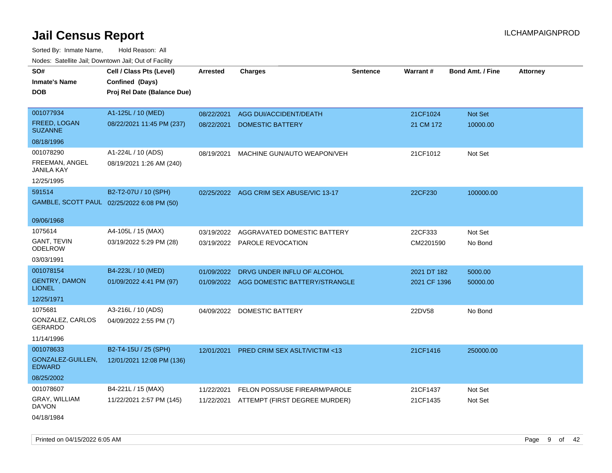| SO#                                        | Cell / Class Pts (Level)    | <b>Arrested</b> | <b>Charges</b>                           | <b>Sentence</b> | Warrant#     | <b>Bond Amt. / Fine</b> | <b>Attorney</b> |
|--------------------------------------------|-----------------------------|-----------------|------------------------------------------|-----------------|--------------|-------------------------|-----------------|
| <b>Inmate's Name</b>                       | Confined (Days)             |                 |                                          |                 |              |                         |                 |
| <b>DOB</b>                                 | Proj Rel Date (Balance Due) |                 |                                          |                 |              |                         |                 |
|                                            |                             |                 |                                          |                 |              |                         |                 |
| 001077934                                  | A1-125L / 10 (MED)          | 08/22/2021      | AGG DUI/ACCIDENT/DEATH                   |                 | 21CF1024     | Not Set                 |                 |
| <b>FREED, LOGAN</b><br><b>SUZANNE</b>      | 08/22/2021 11:45 PM (237)   | 08/22/2021      | <b>DOMESTIC BATTERY</b>                  |                 | 21 CM 172    | 10000.00                |                 |
| 08/18/1996                                 |                             |                 |                                          |                 |              |                         |                 |
| 001078290                                  | A1-224L / 10 (ADS)          | 08/19/2021      | MACHINE GUN/AUTO WEAPON/VEH              |                 | 21CF1012     | Not Set                 |                 |
| FREEMAN, ANGEL<br><b>JANILA KAY</b>        | 08/19/2021 1:26 AM (240)    |                 |                                          |                 |              |                         |                 |
| 12/25/1995                                 |                             |                 |                                          |                 |              |                         |                 |
| 591514                                     | B2-T2-07U / 10 (SPH)        |                 | 02/25/2022 AGG CRIM SEX ABUSE/VIC 13-17  |                 | 22CF230      | 100000.00               |                 |
| GAMBLE, SCOTT PAUL 02/25/2022 6:08 PM (50) |                             |                 |                                          |                 |              |                         |                 |
| 09/06/1968                                 |                             |                 |                                          |                 |              |                         |                 |
| 1075614                                    | A4-105L / 15 (MAX)          | 03/19/2022      | AGGRAVATED DOMESTIC BATTERY              |                 | 22CF333      | Not Set                 |                 |
| <b>GANT, TEVIN</b><br><b>ODELROW</b>       | 03/19/2022 5:29 PM (28)     | 03/19/2022      | <b>PAROLE REVOCATION</b>                 |                 | CM2201590    | No Bond                 |                 |
| 03/03/1991                                 |                             |                 |                                          |                 |              |                         |                 |
| 001078154                                  | B4-223L / 10 (MED)          | 01/09/2022      | DRVG UNDER INFLU OF ALCOHOL              |                 | 2021 DT 182  | 5000.00                 |                 |
| <b>GENTRY, DAMON</b><br><b>LIONEL</b>      | 01/09/2022 4:41 PM (97)     |                 | 01/09/2022 AGG DOMESTIC BATTERY/STRANGLE |                 | 2021 CF 1396 | 50000.00                |                 |
| 12/25/1971                                 |                             |                 |                                          |                 |              |                         |                 |
| 1075681                                    | A3-216L / 10 (ADS)          | 04/09/2022      | DOMESTIC BATTERY                         |                 | 22DV58       | No Bond                 |                 |
| GONZALEZ, CARLOS<br><b>GERARDO</b>         | 04/09/2022 2:55 PM (7)      |                 |                                          |                 |              |                         |                 |
| 11/14/1996                                 |                             |                 |                                          |                 |              |                         |                 |
| 001078633                                  | B2-T4-15U / 25 (SPH)        | 12/01/2021      | <b>PRED CRIM SEX ASLT/VICTIM &lt;13</b>  |                 | 21CF1416     | 250000.00               |                 |
| GONZALEZ-GUILLEN,<br><b>EDWARD</b>         | 12/01/2021 12:08 PM (136)   |                 |                                          |                 |              |                         |                 |
| 08/25/2002                                 |                             |                 |                                          |                 |              |                         |                 |
| 001078607                                  | B4-221L / 15 (MAX)          | 11/22/2021      | FELON POSS/USE FIREARM/PAROLE            |                 | 21CF1437     | Not Set                 |                 |
| GRAY, WILLIAM<br>DA'VON                    | 11/22/2021 2:57 PM (145)    | 11/22/2021      | ATTEMPT (FIRST DEGREE MURDER)            |                 | 21CF1435     | Not Set                 |                 |
| 04/18/1984                                 |                             |                 |                                          |                 |              |                         |                 |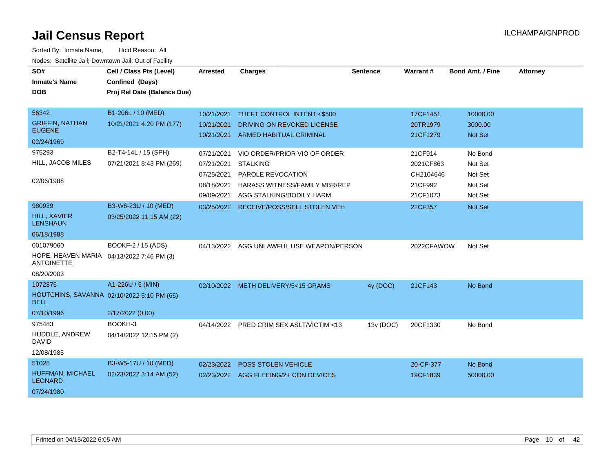| SO#<br><b>Inmate's Name</b><br><b>DOB</b>                                                                   | Cell / Class Pts (Level)<br>Confined (Days)<br>Proj Rel Date (Balance Due)                         | <b>Arrested</b>                                                                                | <b>Charges</b>                                                                                                                                                                                              | Sentence  | Warrant#                                                                         | <b>Bond Amt. / Fine</b>                                                    | <b>Attorney</b> |
|-------------------------------------------------------------------------------------------------------------|----------------------------------------------------------------------------------------------------|------------------------------------------------------------------------------------------------|-------------------------------------------------------------------------------------------------------------------------------------------------------------------------------------------------------------|-----------|----------------------------------------------------------------------------------|----------------------------------------------------------------------------|-----------------|
| 56342<br><b>GRIFFIN, NATHAN</b><br><b>EUGENE</b><br>02/24/1969<br>975293<br>HILL, JACOB MILES<br>02/06/1988 | B1-206L / 10 (MED)<br>10/21/2021 4:20 PM (177)<br>B2-T4-14L / 15 (SPH)<br>07/21/2021 8:43 PM (269) | 10/21/2021<br>10/21/2021<br>10/21/2021<br>07/21/2021<br>07/21/2021<br>07/25/2021<br>08/18/2021 | THEFT CONTROL INTENT <\$500<br>DRIVING ON REVOKED LICENSE<br><b>ARMED HABITUAL CRIMINAL</b><br>VIO ORDER/PRIOR VIO OF ORDER<br><b>STALKING</b><br>PAROLE REVOCATION<br><b>HARASS WITNESS/FAMILY MBR/REP</b> |           | 17CF1451<br>20TR1979<br>21CF1279<br>21CF914<br>2021CF863<br>CH2104646<br>21CF992 | 10000.00<br>3000.00<br>Not Set<br>No Bond<br>Not Set<br>Not Set<br>Not Set |                 |
| 980939<br><b>HILL, XAVIER</b><br><b>LENSHAUN</b><br>06/18/1988                                              | B3-W6-23U / 10 (MED)<br>03/25/2022 11:15 AM (22)                                                   | 09/09/2021                                                                                     | AGG STALKING/BODILY HARM<br>03/25/2022 RECEIVE/POSS/SELL STOLEN VEH                                                                                                                                         |           | 21CF1073<br>22CF357                                                              | Not Set<br>Not Set                                                         |                 |
| 001079060<br>HOPE, HEAVEN MARIA 04/13/2022 7:46 PM (3)<br><b>ANTOINETTE</b><br>08/20/2003                   | BOOKF-2 / 15 (ADS)                                                                                 |                                                                                                | 04/13/2022 AGG UNLAWFUL USE WEAPON/PERSON                                                                                                                                                                   |           | 2022CFAWOW                                                                       | Not Set                                                                    |                 |
| 1072876<br>HOUTCHINS, SAVANNA 02/10/2022 5:10 PM (65)<br><b>BELL</b><br>07/10/1996                          | A1-226U / 5 (MIN)<br>2/17/2022 (0.00)                                                              |                                                                                                | 02/10/2022 METH DELIVERY/5<15 GRAMS                                                                                                                                                                         | 4y (DOC)  | 21CF143                                                                          | No Bond                                                                    |                 |
| 975483<br>HUDDLE, ANDREW<br><b>DAVID</b><br>12/08/1985                                                      | BOOKH-3<br>04/14/2022 12:15 PM (2)                                                                 |                                                                                                | 04/14/2022 PRED CRIM SEX ASLT/VICTIM <13                                                                                                                                                                    | 13y (DOC) | 20CF1330                                                                         | No Bond                                                                    |                 |
| 51028<br>HUFFMAN, MICHAEL<br><b>LEONARD</b><br>07/24/1980                                                   | B3-W5-17U / 10 (MED)<br>02/23/2022 3:14 AM (52)                                                    | 02/23/2022                                                                                     | POSS STOLEN VEHICLE<br>02/23/2022 AGG FLEEING/2+ CON DEVICES                                                                                                                                                |           | 20-CF-377<br>19CF1839                                                            | No Bond<br>50000.00                                                        |                 |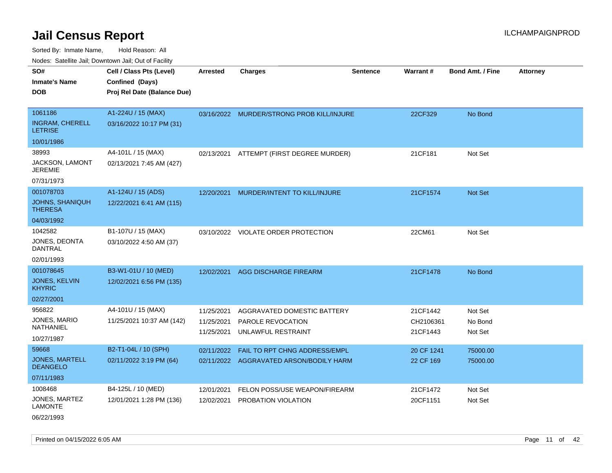Sorted By: Inmate Name, Hold Reason: All Nodes: Satellite Jail; Downtown Jail; Out of Facility

| SO#                                      | Cell / Class Pts (Level)    | <b>Arrested</b> | <b>Charges</b>                            | <b>Sentence</b> | Warrant #  | <b>Bond Amt. / Fine</b> | <b>Attorney</b> |
|------------------------------------------|-----------------------------|-----------------|-------------------------------------------|-----------------|------------|-------------------------|-----------------|
| <b>Inmate's Name</b>                     | Confined (Days)             |                 |                                           |                 |            |                         |                 |
| <b>DOB</b>                               | Proj Rel Date (Balance Due) |                 |                                           |                 |            |                         |                 |
|                                          |                             |                 |                                           |                 |            |                         |                 |
| 1061186                                  | A1-224U / 15 (MAX)          |                 | 03/16/2022 MURDER/STRONG PROB KILL/INJURE |                 | 22CF329    | No Bond                 |                 |
| <b>INGRAM, CHERELL</b><br><b>LETRISE</b> | 03/16/2022 10:17 PM (31)    |                 |                                           |                 |            |                         |                 |
| 10/01/1986                               |                             |                 |                                           |                 |            |                         |                 |
| 38993                                    | A4-101L / 15 (MAX)          | 02/13/2021      | ATTEMPT (FIRST DEGREE MURDER)             |                 | 21CF181    | Not Set                 |                 |
| JACKSON, LAMONT<br><b>JEREMIE</b>        | 02/13/2021 7:45 AM (427)    |                 |                                           |                 |            |                         |                 |
| 07/31/1973                               |                             |                 |                                           |                 |            |                         |                 |
| 001078703                                | A1-124U / 15 (ADS)          | 12/20/2021      | <b>MURDER/INTENT TO KILL/INJURE</b>       |                 | 21CF1574   | Not Set                 |                 |
| JOHNS, SHANIQUH<br><b>THERESA</b>        | 12/22/2021 6:41 AM (115)    |                 |                                           |                 |            |                         |                 |
| 04/03/1992                               |                             |                 |                                           |                 |            |                         |                 |
| 1042582                                  | B1-107U / 15 (MAX)          |                 | 03/10/2022 VIOLATE ORDER PROTECTION       |                 | 22CM61     | Not Set                 |                 |
| JONES, DEONTA<br><b>DANTRAL</b>          | 03/10/2022 4:50 AM (37)     |                 |                                           |                 |            |                         |                 |
| 02/01/1993                               |                             |                 |                                           |                 |            |                         |                 |
| 001078645                                | B3-W1-01U / 10 (MED)        | 12/02/2021      | AGG DISCHARGE FIREARM                     |                 | 21CF1478   | No Bond                 |                 |
| <b>JONES, KELVIN</b><br><b>KHYRIC</b>    | 12/02/2021 6:56 PM (135)    |                 |                                           |                 |            |                         |                 |
| 02/27/2001                               |                             |                 |                                           |                 |            |                         |                 |
| 956822                                   | A4-101U / 15 (MAX)          | 11/25/2021      | AGGRAVATED DOMESTIC BATTERY               |                 | 21CF1442   | Not Set                 |                 |
| JONES, MARIO                             | 11/25/2021 10:37 AM (142)   | 11/25/2021      | PAROLE REVOCATION                         |                 | CH2106361  | No Bond                 |                 |
| NATHANIEL                                |                             | 11/25/2021      | UNLAWFUL RESTRAINT                        |                 | 21CF1443   | Not Set                 |                 |
| 10/27/1987                               |                             |                 |                                           |                 |            |                         |                 |
| 59668                                    | B2-T1-04L / 10 (SPH)        | 02/11/2022      | <b>FAIL TO RPT CHNG ADDRESS/EMPL</b>      |                 | 20 CF 1241 | 75000.00                |                 |
| <b>JONES, MARTELL</b><br><b>DEANGELO</b> | 02/11/2022 3:19 PM (64)     |                 | 02/11/2022 AGGRAVATED ARSON/BODILY HARM   |                 | 22 CF 169  | 75000.00                |                 |
| 07/11/1983                               |                             |                 |                                           |                 |            |                         |                 |
| 1008468                                  | B4-125L / 10 (MED)          | 12/01/2021      | FELON POSS/USE WEAPON/FIREARM             |                 | 21CF1472   | Not Set                 |                 |
| JONES, MARTEZ<br><b>LAMONTE</b>          | 12/01/2021 1:28 PM (136)    | 12/02/2021      | PROBATION VIOLATION                       |                 | 20CF1151   | Not Set                 |                 |

06/22/1993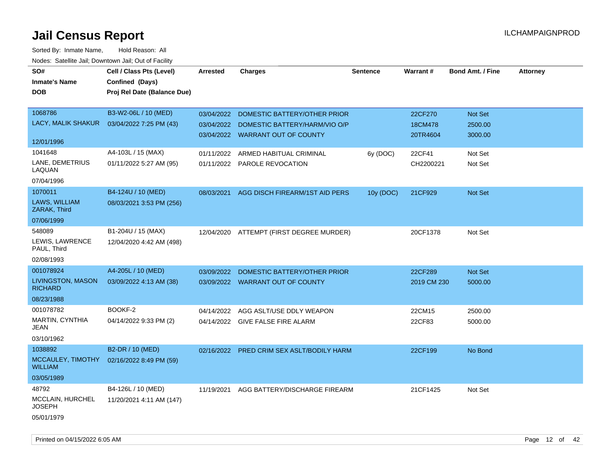| SO#                                 | Cell / Class Pts (Level)    | <b>Arrested</b> | <b>Charges</b>                            | <b>Sentence</b> | Warrant#    | <b>Bond Amt. / Fine</b> | <b>Attorney</b> |
|-------------------------------------|-----------------------------|-----------------|-------------------------------------------|-----------------|-------------|-------------------------|-----------------|
| <b>Inmate's Name</b>                | Confined (Days)             |                 |                                           |                 |             |                         |                 |
| <b>DOB</b>                          | Proj Rel Date (Balance Due) |                 |                                           |                 |             |                         |                 |
|                                     |                             |                 |                                           |                 |             |                         |                 |
| 1068786                             | B3-W2-06L / 10 (MED)        | 03/04/2022      | DOMESTIC BATTERY/OTHER PRIOR              |                 | 22CF270     | Not Set                 |                 |
| LACY, MALIK SHAKUR                  | 03/04/2022 7:25 PM (43)     | 03/04/2022      | DOMESTIC BATTERY/HARM/VIO O/P             |                 | 18CM478     | 2500.00                 |                 |
|                                     |                             |                 | 03/04/2022 WARRANT OUT OF COUNTY          |                 | 20TR4604    | 3000.00                 |                 |
| 12/01/1996                          |                             |                 |                                           |                 |             |                         |                 |
| 1041648                             | A4-103L / 15 (MAX)          | 01/11/2022      | ARMED HABITUAL CRIMINAL                   | 6y (DOC)        | 22CF41      | Not Set                 |                 |
| LANE, DEMETRIUS<br>LAQUAN           | 01/11/2022 5:27 AM (95)     |                 | 01/11/2022 PAROLE REVOCATION              |                 | CH2200221   | Not Set                 |                 |
| 07/04/1996                          |                             |                 |                                           |                 |             |                         |                 |
| 1070011                             | B4-124U / 10 (MED)          | 08/03/2021      | AGG DISCH FIREARM/1ST AID PERS            | 10y (DOC)       | 21CF929     | Not Set                 |                 |
| LAWS, WILLIAM<br>ZARAK, Third       | 08/03/2021 3:53 PM (256)    |                 |                                           |                 |             |                         |                 |
| 07/06/1999                          |                             |                 |                                           |                 |             |                         |                 |
| 548089                              | B1-204U / 15 (MAX)          | 12/04/2020      | ATTEMPT (FIRST DEGREE MURDER)             |                 | 20CF1378    | Not Set                 |                 |
| LEWIS, LAWRENCE<br>PAUL, Third      | 12/04/2020 4:42 AM (498)    |                 |                                           |                 |             |                         |                 |
| 02/08/1993                          |                             |                 |                                           |                 |             |                         |                 |
| 001078924                           | A4-205L / 10 (MED)          | 03/09/2022      | DOMESTIC BATTERY/OTHER PRIOR              |                 | 22CF289     | <b>Not Set</b>          |                 |
| LIVINGSTON, MASON<br><b>RICHARD</b> | 03/09/2022 4:13 AM (38)     |                 | 03/09/2022 WARRANT OUT OF COUNTY          |                 | 2019 CM 230 | 5000.00                 |                 |
| 08/23/1988                          |                             |                 |                                           |                 |             |                         |                 |
| 001078782                           | BOOKF-2                     | 04/14/2022      | AGG ASLT/USE DDLY WEAPON                  |                 | 22CM15      | 2500.00                 |                 |
| <b>MARTIN, CYNTHIA</b><br>JEAN      | 04/14/2022 9:33 PM (2)      |                 | 04/14/2022 GIVE FALSE FIRE ALARM          |                 | 22CF83      | 5000.00                 |                 |
| 03/10/1962                          |                             |                 |                                           |                 |             |                         |                 |
| 1038892                             | B2-DR / 10 (MED)            |                 | 02/16/2022 PRED CRIM SEX ASLT/BODILY HARM |                 | 22CF199     | No Bond                 |                 |
| MCCAULEY, TIMOTHY<br><b>WILLIAM</b> | 02/16/2022 8:49 PM (59)     |                 |                                           |                 |             |                         |                 |
| 03/05/1989                          |                             |                 |                                           |                 |             |                         |                 |
| 48792                               | B4-126L / 10 (MED)          | 11/19/2021      | AGG BATTERY/DISCHARGE FIREARM             |                 | 21CF1425    | Not Set                 |                 |
| MCCLAIN, HURCHEL<br><b>JOSEPH</b>   | 11/20/2021 4:11 AM (147)    |                 |                                           |                 |             |                         |                 |
| 05/01/1979                          |                             |                 |                                           |                 |             |                         |                 |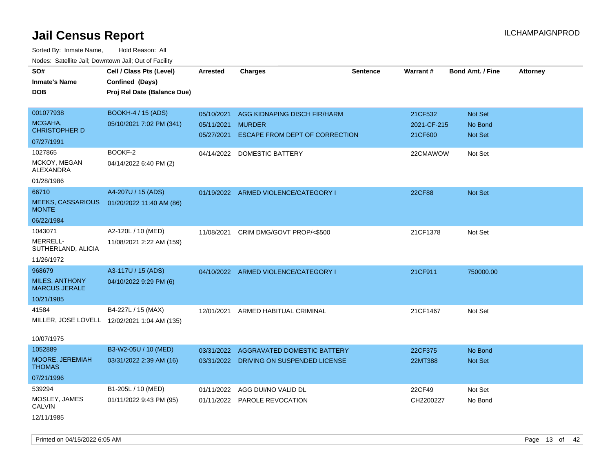| SO#                                           | Cell / Class Pts (Level)                     | <b>Arrested</b> | <b>Charges</b>                          | <b>Sentence</b> | <b>Warrant#</b> | <b>Bond Amt. / Fine</b> | <b>Attorney</b> |
|-----------------------------------------------|----------------------------------------------|-----------------|-----------------------------------------|-----------------|-----------------|-------------------------|-----------------|
| <b>Inmate's Name</b>                          | Confined (Days)                              |                 |                                         |                 |                 |                         |                 |
| <b>DOB</b>                                    | Proj Rel Date (Balance Due)                  |                 |                                         |                 |                 |                         |                 |
|                                               |                                              |                 |                                         |                 |                 |                         |                 |
| 001077938                                     | <b>BOOKH-4 / 15 (ADS)</b>                    | 05/10/2021      | AGG KIDNAPING DISCH FIR/HARM            |                 | 21CF532         | Not Set                 |                 |
| MCGAHA,<br><b>CHRISTOPHER D</b>               | 05/10/2021 7:02 PM (341)                     | 05/11/2021      | <b>MURDER</b>                           |                 | 2021-CF-215     | No Bond                 |                 |
|                                               |                                              | 05/27/2021      | ESCAPE FROM DEPT OF CORRECTION          |                 | 21CF600         | Not Set                 |                 |
| 07/27/1991                                    |                                              |                 |                                         |                 |                 |                         |                 |
| 1027865<br>MCKOY, MEGAN                       | BOOKF-2                                      | 04/14/2022      | <b>DOMESTIC BATTERY</b>                 |                 | 22CMAWOW        | Not Set                 |                 |
| <b>ALEXANDRA</b>                              | 04/14/2022 6:40 PM (2)                       |                 |                                         |                 |                 |                         |                 |
| 01/28/1986                                    |                                              |                 |                                         |                 |                 |                         |                 |
| 66710                                         | A4-207U / 15 (ADS)                           |                 | 01/19/2022 ARMED VIOLENCE/CATEGORY I    |                 | 22CF88          | Not Set                 |                 |
| <b>MEEKS, CASSARIOUS</b><br><b>MONTE</b>      | 01/20/2022 11:40 AM (86)                     |                 |                                         |                 |                 |                         |                 |
| 06/22/1984                                    |                                              |                 |                                         |                 |                 |                         |                 |
| 1043071                                       | A2-120L / 10 (MED)                           | 11/08/2021      | CRIM DMG/GOVT PROP/<\$500               |                 | 21CF1378        | Not Set                 |                 |
| MERRELL-<br>SUTHERLAND, ALICIA                | 11/08/2021 2:22 AM (159)                     |                 |                                         |                 |                 |                         |                 |
| 11/26/1972                                    |                                              |                 |                                         |                 |                 |                         |                 |
| 968679                                        | A3-117U / 15 (ADS)                           |                 | 04/10/2022 ARMED VIOLENCE/CATEGORY I    |                 | 21CF911         | 750000.00               |                 |
| <b>MILES, ANTHONY</b><br><b>MARCUS JERALE</b> | 04/10/2022 9:29 PM (6)                       |                 |                                         |                 |                 |                         |                 |
| 10/21/1985                                    |                                              |                 |                                         |                 |                 |                         |                 |
| 41584                                         | B4-227L / 15 (MAX)                           | 12/01/2021      | ARMED HABITUAL CRIMINAL                 |                 | 21CF1467        | Not Set                 |                 |
|                                               | MILLER, JOSE LOVELL 12/02/2021 1:04 AM (135) |                 |                                         |                 |                 |                         |                 |
| 10/07/1975                                    |                                              |                 |                                         |                 |                 |                         |                 |
| 1052889                                       | B3-W2-05U / 10 (MED)                         |                 | 03/31/2022 AGGRAVATED DOMESTIC BATTERY  |                 | 22CF375         | No Bond                 |                 |
| MOORE, JEREMIAH<br><b>THOMAS</b>              | 03/31/2022 2:39 AM (16)                      |                 | 03/31/2022 DRIVING ON SUSPENDED LICENSE |                 | 22MT388         | Not Set                 |                 |
| 07/21/1996                                    |                                              |                 |                                         |                 |                 |                         |                 |
| 539294                                        | B1-205L / 10 (MED)                           | 01/11/2022      | AGG DUI/NO VALID DL                     |                 | 22CF49          | Not Set                 |                 |
| MOSLEY, JAMES<br><b>CALVIN</b>                | 01/11/2022 9:43 PM (95)                      | 01/11/2022      | PAROLE REVOCATION                       |                 | CH2200227       | No Bond                 |                 |
| 12/11/1985                                    |                                              |                 |                                         |                 |                 |                         |                 |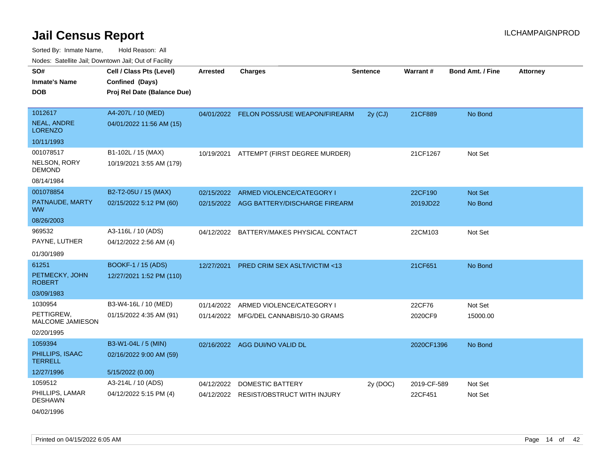Sorted By: Inmate Name, Hold Reason: All

|                                      | Nodes: Satellite Jail; Downtown Jail; Out of Facility |                 |                                          |                 |             |                         |          |
|--------------------------------------|-------------------------------------------------------|-----------------|------------------------------------------|-----------------|-------------|-------------------------|----------|
| SO#                                  | Cell / Class Pts (Level)                              | <b>Arrested</b> | <b>Charges</b>                           | <b>Sentence</b> | Warrant#    | <b>Bond Amt. / Fine</b> | Attorney |
| <b>Inmate's Name</b>                 | Confined (Days)                                       |                 |                                          |                 |             |                         |          |
| <b>DOB</b>                           | Proj Rel Date (Balance Due)                           |                 |                                          |                 |             |                         |          |
|                                      |                                                       |                 |                                          |                 |             |                         |          |
| 1012617                              | A4-207L / 10 (MED)                                    |                 | 04/01/2022 FELON POSS/USE WEAPON/FIREARM | $2y$ (CJ)       | 21CF889     | No Bond                 |          |
| <b>NEAL, ANDRE</b><br><b>LORENZO</b> | 04/01/2022 11:56 AM (15)                              |                 |                                          |                 |             |                         |          |
| 10/11/1993                           |                                                       |                 |                                          |                 |             |                         |          |
| 001078517                            | B1-102L / 15 (MAX)                                    | 10/19/2021      | ATTEMPT (FIRST DEGREE MURDER)            |                 | 21CF1267    | Not Set                 |          |
| NELSON, RORY<br><b>DEMOND</b>        | 10/19/2021 3:55 AM (179)                              |                 |                                          |                 |             |                         |          |
| 08/14/1984                           |                                                       |                 |                                          |                 |             |                         |          |
| 001078854                            | B2-T2-05U / 15 (MAX)                                  | 02/15/2022      | ARMED VIOLENCE/CATEGORY I                |                 | 22CF190     | Not Set                 |          |
| PATNAUDE, MARTY<br><b>WW</b>         | 02/15/2022 5:12 PM (60)                               |                 | 02/15/2022 AGG BATTERY/DISCHARGE FIREARM |                 | 2019JD22    | No Bond                 |          |
| 08/26/2003                           |                                                       |                 |                                          |                 |             |                         |          |
| 969532                               | A3-116L / 10 (ADS)                                    | 04/12/2022      | BATTERY/MAKES PHYSICAL CONTACT           |                 | 22CM103     | Not Set                 |          |
| PAYNE, LUTHER                        | 04/12/2022 2:56 AM (4)                                |                 |                                          |                 |             |                         |          |
| 01/30/1989                           |                                                       |                 |                                          |                 |             |                         |          |
| 61251                                | <b>BOOKF-1 / 15 (ADS)</b>                             | 12/27/2021      | <b>PRED CRIM SEX ASLT/VICTIM &lt;13</b>  |                 | 21CF651     | No Bond                 |          |
| PETMECKY, JOHN<br><b>ROBERT</b>      | 12/27/2021 1:52 PM (110)                              |                 |                                          |                 |             |                         |          |
| 03/09/1983                           |                                                       |                 |                                          |                 |             |                         |          |
| 1030954                              | B3-W4-16L / 10 (MED)                                  | 01/14/2022      | ARMED VIOLENCE/CATEGORY I                |                 | 22CF76      | Not Set                 |          |
| PETTIGREW,<br>MALCOME JAMIESON       | 01/15/2022 4:35 AM (91)                               |                 | 01/14/2022 MFG/DEL CANNABIS/10-30 GRAMS  |                 | 2020CF9     | 15000.00                |          |
| 02/20/1995                           |                                                       |                 |                                          |                 |             |                         |          |
| 1059394                              | B3-W1-04L / 5 (MIN)                                   |                 | 02/16/2022 AGG DUI/NO VALID DL           |                 | 2020CF1396  | No Bond                 |          |
| PHILLIPS, ISAAC<br><b>TERRELL</b>    | 02/16/2022 9:00 AM (59)                               |                 |                                          |                 |             |                         |          |
| 12/27/1996                           | 5/15/2022 (0.00)                                      |                 |                                          |                 |             |                         |          |
| 1059512                              | A3-214L / 10 (ADS)                                    | 04/12/2022      | <b>DOMESTIC BATTERY</b>                  | 2y (DOC)        | 2019-CF-589 | Not Set                 |          |
| PHILLIPS, LAMAR<br><b>DESHAWN</b>    | 04/12/2022 5:15 PM (4)                                |                 | 04/12/2022 RESIST/OBSTRUCT WITH INJURY   |                 | 22CF451     | Not Set                 |          |
|                                      |                                                       |                 |                                          |                 |             |                         |          |

04/02/1996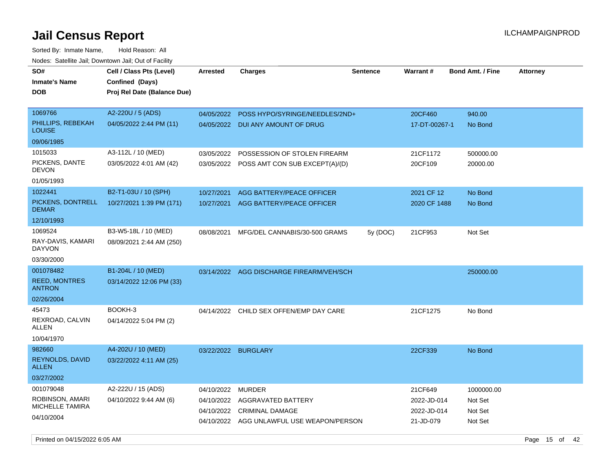| Noucs. Oatchite Jail, Downtown Jail, Out of Facility |                             |                     |                                           |                 |               |                         |                 |
|------------------------------------------------------|-----------------------------|---------------------|-------------------------------------------|-----------------|---------------|-------------------------|-----------------|
| SO#                                                  | Cell / Class Pts (Level)    | <b>Arrested</b>     | <b>Charges</b>                            | <b>Sentence</b> | Warrant#      | <b>Bond Amt. / Fine</b> | <b>Attorney</b> |
| Inmate's Name                                        | Confined (Days)             |                     |                                           |                 |               |                         |                 |
| <b>DOB</b>                                           | Proj Rel Date (Balance Due) |                     |                                           |                 |               |                         |                 |
|                                                      |                             |                     |                                           |                 |               |                         |                 |
| 1069766                                              | A2-220U / 5 (ADS)           | 04/05/2022          | POSS HYPO/SYRINGE/NEEDLES/2ND+            |                 | 20CF460       | 940.00                  |                 |
| PHILLIPS, REBEKAH<br><b>LOUISE</b>                   | 04/05/2022 2:44 PM (11)     | 04/05/2022          | DUI ANY AMOUNT OF DRUG                    |                 | 17-DT-00267-1 | No Bond                 |                 |
| 09/06/1985                                           |                             |                     |                                           |                 |               |                         |                 |
| 1015033                                              | A3-112L / 10 (MED)          | 03/05/2022          | POSSESSION OF STOLEN FIREARM              |                 | 21CF1172      | 500000.00               |                 |
| PICKENS, DANTE<br>DEVON                              | 03/05/2022 4:01 AM (42)     |                     | 03/05/2022 POSS AMT CON SUB EXCEPT(A)/(D) |                 | 20CF109       | 20000.00                |                 |
| 01/05/1993                                           |                             |                     |                                           |                 |               |                         |                 |
| 1022441                                              | B2-T1-03U / 10 (SPH)        | 10/27/2021          | AGG BATTERY/PEACE OFFICER                 |                 | 2021 CF 12    | No Bond                 |                 |
| PICKENS, DONTRELL<br><b>DEMAR</b>                    | 10/27/2021 1:39 PM (171)    | 10/27/2021          | AGG BATTERY/PEACE OFFICER                 |                 | 2020 CF 1488  | No Bond                 |                 |
| 12/10/1993                                           |                             |                     |                                           |                 |               |                         |                 |
| 1069524                                              | B3-W5-18L / 10 (MED)        | 08/08/2021          | MFG/DEL CANNABIS/30-500 GRAMS             | 5y (DOC)        | 21CF953       | Not Set                 |                 |
| RAY-DAVIS, KAMARI<br><b>DAYVON</b>                   | 08/09/2021 2:44 AM (250)    |                     |                                           |                 |               |                         |                 |
| 03/30/2000                                           |                             |                     |                                           |                 |               |                         |                 |
| 001078482                                            | B1-204L / 10 (MED)          |                     | 03/14/2022 AGG DISCHARGE FIREARM/VEH/SCH  |                 |               | 250000.00               |                 |
| <b>REED, MONTRES</b><br><b>ANTRON</b>                | 03/14/2022 12:06 PM (33)    |                     |                                           |                 |               |                         |                 |
| 02/26/2004                                           |                             |                     |                                           |                 |               |                         |                 |
| 45473                                                | BOOKH-3                     |                     | 04/14/2022 CHILD SEX OFFEN/EMP DAY CARE   |                 | 21CF1275      | No Bond                 |                 |
| REXROAD, CALVIN<br>ALLEN                             | 04/14/2022 5:04 PM (2)      |                     |                                           |                 |               |                         |                 |
| 10/04/1970                                           |                             |                     |                                           |                 |               |                         |                 |
| 982660                                               | A4-202U / 10 (MED)          | 03/22/2022 BURGLARY |                                           |                 | 22CF339       | No Bond                 |                 |
| REYNOLDS, DAVID<br><b>ALLEN</b>                      | 03/22/2022 4:11 AM (25)     |                     |                                           |                 |               |                         |                 |
| 03/27/2002                                           |                             |                     |                                           |                 |               |                         |                 |
| 001079048                                            | A2-222U / 15 (ADS)          | 04/10/2022          | <b>MURDER</b>                             |                 | 21CF649       | 1000000.00              |                 |
| ROBINSON, AMARI                                      | 04/10/2022 9:44 AM (6)      | 04/10/2022          | AGGRAVATED BATTERY                        |                 | 2022-JD-014   | Not Set                 |                 |
| <b>MICHELLE TAMIRA</b>                               |                             | 04/10/2022          | <b>CRIMINAL DAMAGE</b>                    |                 | 2022-JD-014   | Not Set                 |                 |
| 04/10/2004                                           |                             |                     | 04/10/2022 AGG UNLAWFUL USE WEAPON/PERSON |                 | 21-JD-079     | Not Set                 |                 |
|                                                      |                             |                     |                                           |                 |               |                         |                 |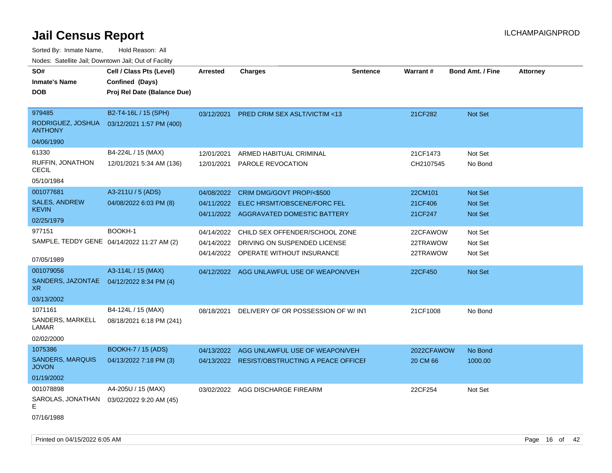| SO#                                     | Cell / Class Pts (Level)                   | Arrested   | <b>Charges</b>                                | <b>Sentence</b> | Warrant#   | <b>Bond Amt. / Fine</b> | <b>Attorney</b> |
|-----------------------------------------|--------------------------------------------|------------|-----------------------------------------------|-----------------|------------|-------------------------|-----------------|
| <b>Inmate's Name</b>                    | Confined (Days)                            |            |                                               |                 |            |                         |                 |
| <b>DOB</b>                              | Proj Rel Date (Balance Due)                |            |                                               |                 |            |                         |                 |
|                                         |                                            |            |                                               |                 |            |                         |                 |
| 979485                                  | B2-T4-16L / 15 (SPH)                       | 03/12/2021 | PRED CRIM SEX ASLT/VICTIM <13                 |                 | 21CF282    | Not Set                 |                 |
| RODRIGUEZ, JOSHUA<br><b>ANTHONY</b>     | 03/12/2021 1:57 PM (400)                   |            |                                               |                 |            |                         |                 |
| 04/06/1990                              |                                            |            |                                               |                 |            |                         |                 |
| 61330                                   | B4-224L / 15 (MAX)                         | 12/01/2021 | ARMED HABITUAL CRIMINAL                       |                 | 21CF1473   | Not Set                 |                 |
| RUFFIN, JONATHON<br><b>CECIL</b>        | 12/01/2021 5:34 AM (136)                   | 12/01/2021 | PAROLE REVOCATION                             |                 | CH2107545  | No Bond                 |                 |
| 05/10/1984                              |                                            |            |                                               |                 |            |                         |                 |
| 001077681                               | A3-211U / 5 (ADS)                          | 04/08/2022 | CRIM DMG/GOVT PROP/<\$500                     |                 | 22CM101    | Not Set                 |                 |
| <b>SALES, ANDREW</b>                    | 04/08/2022 6:03 PM (8)                     | 04/11/2022 | ELEC HRSMT/OBSCENE/FORC FEL                   |                 | 21CF406    | Not Set                 |                 |
| <b>KEVIN</b>                            |                                            |            | 04/11/2022 AGGRAVATED DOMESTIC BATTERY        |                 | 21CF247    | <b>Not Set</b>          |                 |
| 02/25/1979                              |                                            |            |                                               |                 |            |                         |                 |
| 977151                                  | BOOKH-1                                    | 04/14/2022 | CHILD SEX OFFENDER/SCHOOL ZONE                |                 | 22CFAWOW   | Not Set                 |                 |
|                                         | SAMPLE, TEDDY GENE 04/14/2022 11:27 AM (2) | 04/14/2022 | DRIVING ON SUSPENDED LICENSE                  |                 | 22TRAWOW   | Not Set                 |                 |
|                                         |                                            |            | 04/14/2022 OPERATE WITHOUT INSURANCE          |                 | 22TRAWOW   | Not Set                 |                 |
| 07/05/1989                              |                                            |            |                                               |                 |            |                         |                 |
| 001079056                               | A3-114L / 15 (MAX)                         |            | 04/12/2022 AGG UNLAWFUL USE OF WEAPON/VEH     |                 | 22CF450    | Not Set                 |                 |
| SANDERS, JAZONTAE<br>XR                 | 04/12/2022 8:34 PM (4)                     |            |                                               |                 |            |                         |                 |
| 03/13/2002                              |                                            |            |                                               |                 |            |                         |                 |
| 1071161                                 | B4-124L / 15 (MAX)                         | 08/18/2021 | DELIVERY OF OR POSSESSION OF W/INT            |                 | 21CF1008   | No Bond                 |                 |
| SANDERS, MARKELL<br>LAMAR               | 08/18/2021 6:18 PM (241)                   |            |                                               |                 |            |                         |                 |
| 02/02/2000                              |                                            |            |                                               |                 |            |                         |                 |
| 1075386                                 | <b>BOOKH-7 / 15 (ADS)</b>                  |            | 04/13/2022 AGG UNLAWFUL USE OF WEAPON/VEH     |                 | 2022CFAWOW | No Bond                 |                 |
| <b>SANDERS, MARQUIS</b><br><b>JOVON</b> | 04/13/2022 7:18 PM (3)                     |            | 04/13/2022 RESIST/OBSTRUCTING A PEACE OFFICEI |                 | 20 CM 66   | 1000.00                 |                 |
| 01/19/2002                              |                                            |            |                                               |                 |            |                         |                 |
| 001078898                               | A4-205U / 15 (MAX)                         |            | 03/02/2022 AGG DISCHARGE FIREARM              |                 | 22CF254    | Not Set                 |                 |
| SAROLAS, JONATHAN<br>Е                  | 03/02/2022 9:20 AM (45)                    |            |                                               |                 |            |                         |                 |
| 07/16/1988                              |                                            |            |                                               |                 |            |                         |                 |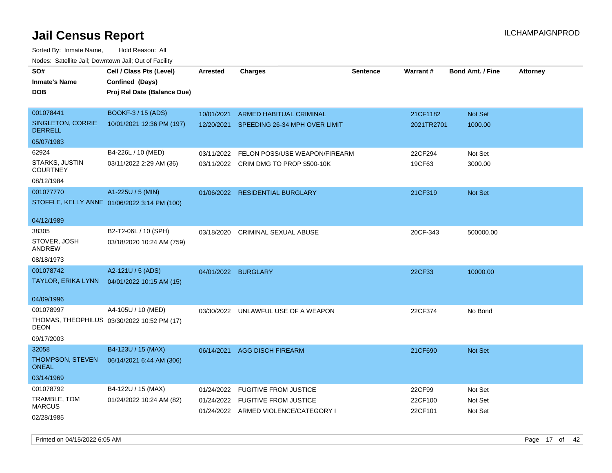Sorted By: Inmate Name, Hold Reason: All Nodes: Satellite Jail; Downtown Jail; Out of Facility

| SO#<br><b>Inmate's Name</b><br><b>DOB</b>  | Cell / Class Pts (Level)<br>Confined (Days)<br>Proj Rel Date (Balance Due) | <b>Arrested</b>     | <b>Charges</b>                           | <b>Sentence</b> | Warrant#   | <b>Bond Amt. / Fine</b> | <b>Attorney</b> |
|--------------------------------------------|----------------------------------------------------------------------------|---------------------|------------------------------------------|-----------------|------------|-------------------------|-----------------|
| 001078441                                  | BOOKF-3 / 15 (ADS)                                                         | 10/01/2021          | ARMED HABITUAL CRIMINAL                  |                 | 21CF1182   | Not Set                 |                 |
| <b>SINGLETON, CORRIE</b><br><b>DERRELL</b> | 10/01/2021 12:36 PM (197)                                                  |                     | 12/20/2021 SPEEDING 26-34 MPH OVER LIMIT |                 | 2021TR2701 | 1000.00                 |                 |
| 05/07/1983                                 |                                                                            |                     |                                          |                 |            |                         |                 |
| 62924                                      | B4-226L / 10 (MED)                                                         | 03/11/2022          | FELON POSS/USE WEAPON/FIREARM            |                 | 22CF294    | Not Set                 |                 |
| STARKS, JUSTIN<br><b>COURTNEY</b>          | 03/11/2022 2:29 AM (36)                                                    |                     | 03/11/2022 CRIM DMG TO PROP \$500-10K    |                 | 19CF63     | 3000.00                 |                 |
| 08/12/1984                                 |                                                                            |                     |                                          |                 |            |                         |                 |
| 001077770                                  | A1-225U / 5 (MIN)                                                          |                     | 01/06/2022 RESIDENTIAL BURGLARY          |                 | 21CF319    | Not Set                 |                 |
|                                            | STOFFLE, KELLY ANNE 01/06/2022 3:14 PM (100)                               |                     |                                          |                 |            |                         |                 |
| 04/12/1989                                 |                                                                            |                     |                                          |                 |            |                         |                 |
| 38305                                      | B2-T2-06L / 10 (SPH)                                                       | 03/18/2020          | <b>CRIMINAL SEXUAL ABUSE</b>             |                 | 20CF-343   | 500000.00               |                 |
| STOVER, JOSH<br>ANDREW                     | 03/18/2020 10:24 AM (759)                                                  |                     |                                          |                 |            |                         |                 |
| 08/18/1973                                 |                                                                            |                     |                                          |                 |            |                         |                 |
| 001078742                                  | A2-121U / 5 (ADS)                                                          | 04/01/2022 BURGLARY |                                          |                 | 22CF33     | 10000.00                |                 |
| TAYLOR, ERIKA LYNN                         | 04/01/2022 10:15 AM (15)                                                   |                     |                                          |                 |            |                         |                 |
| 04/09/1996                                 |                                                                            |                     |                                          |                 |            |                         |                 |
| 001078997                                  | A4-105U / 10 (MED)                                                         |                     | 03/30/2022 UNLAWFUL USE OF A WEAPON      |                 | 22CF374    | No Bond                 |                 |
| DEON                                       | THOMAS, THEOPHILUS 03/30/2022 10:52 PM (17)                                |                     |                                          |                 |            |                         |                 |
| 09/17/2003                                 |                                                                            |                     |                                          |                 |            |                         |                 |
| 32058                                      | B4-123U / 15 (MAX)                                                         | 06/14/2021          | <b>AGG DISCH FIREARM</b>                 |                 | 21CF690    | Not Set                 |                 |
| THOMPSON, STEVEN<br><b>ONEAL</b>           | 06/14/2021 6:44 AM (306)                                                   |                     |                                          |                 |            |                         |                 |
| 03/14/1969                                 |                                                                            |                     |                                          |                 |            |                         |                 |
| 001078792                                  | B4-122U / 15 (MAX)                                                         | 01/24/2022          | <b>FUGITIVE FROM JUSTICE</b>             |                 | 22CF99     | Not Set                 |                 |
| TRAMBLE, TOM                               | 01/24/2022 10:24 AM (82)                                                   |                     | 01/24/2022 FUGITIVE FROM JUSTICE         |                 | 22CF100    | Not Set                 |                 |
| <b>MARCUS</b>                              |                                                                            |                     | 01/24/2022 ARMED VIOLENCE/CATEGORY I     |                 | 22CF101    | Not Set                 |                 |
| 02/28/1985                                 |                                                                            |                     |                                          |                 |            |                         |                 |

Printed on 04/15/2022 6:05 AM Page 17 of 42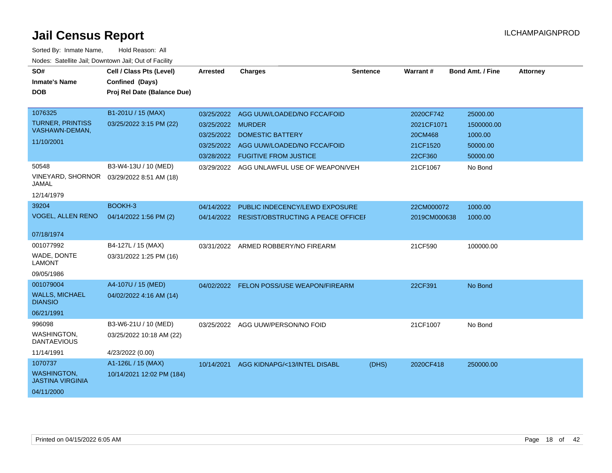| SO#<br><b>Inmate's Name</b><br><b>DOB</b>                              | Cell / Class Pts (Level)<br>Confined (Days)<br>Proj Rel Date (Balance Due) | Arrested                                             | <b>Charges</b>                                                                                                                             | <b>Sentence</b> | <b>Warrant#</b>                                           | <b>Bond Amt. / Fine</b>                                   | <b>Attorney</b> |
|------------------------------------------------------------------------|----------------------------------------------------------------------------|------------------------------------------------------|--------------------------------------------------------------------------------------------------------------------------------------------|-----------------|-----------------------------------------------------------|-----------------------------------------------------------|-----------------|
| 1076325<br><b>TURNER, PRINTISS</b><br>VASHAWN-DEMAN,<br>11/10/2001     | B1-201U / 15 (MAX)<br>03/25/2022 3:15 PM (22)                              | 03/25/2022<br>03/25/2022<br>03/25/2022<br>03/25/2022 | AGG UUW/LOADED/NO FCCA/FOID<br><b>MURDER</b><br><b>DOMESTIC BATTERY</b><br>AGG UUW/LOADED/NO FCCA/FOID<br>03/28/2022 FUGITIVE FROM JUSTICE |                 | 2020CF742<br>2021CF1071<br>20CM468<br>21CF1520<br>22CF360 | 25000.00<br>1500000.00<br>1000.00<br>50000.00<br>50000.00 |                 |
| 50548<br><b>VINEYARD, SHORNOR</b><br>JAMAL<br>12/14/1979               | B3-W4-13U / 10 (MED)<br>03/29/2022 8:51 AM (18)                            | 03/29/2022                                           | AGG UNLAWFUL USE OF WEAPON/VEH                                                                                                             |                 | 21CF1067                                                  | No Bond                                                   |                 |
| 39204<br><b>VOGEL, ALLEN RENO</b><br>07/18/1974                        | BOOKH-3<br>04/14/2022 1:56 PM (2)                                          | 04/14/2022                                           | PUBLIC INDECENCY/LEWD EXPOSURE<br>04/14/2022 RESIST/OBSTRUCTING A PEACE OFFICEF                                                            |                 | 22CM000072<br>2019CM000638                                | 1000.00<br>1000.00                                        |                 |
| 001077992<br>WADE, DONTE<br><b>LAMONT</b><br>09/05/1986                | B4-127L / 15 (MAX)<br>03/31/2022 1:25 PM (16)                              |                                                      | 03/31/2022 ARMED ROBBERY/NO FIREARM                                                                                                        |                 | 21CF590                                                   | 100000.00                                                 |                 |
| 001079004<br><b>WALLS, MICHAEL</b><br><b>DIANSIO</b><br>06/21/1991     | A4-107U / 15 (MED)<br>04/02/2022 4:16 AM (14)                              |                                                      | 04/02/2022 FELON POSS/USE WEAPON/FIREARM                                                                                                   |                 | 22CF391                                                   | No Bond                                                   |                 |
| 996098<br><b>WASHINGTON,</b><br><b>DANTAEVIOUS</b><br>11/14/1991       | B3-W6-21U / 10 (MED)<br>03/25/2022 10:18 AM (22)<br>4/23/2022 (0.00)       |                                                      | 03/25/2022 AGG UUW/PERSON/NO FOID                                                                                                          |                 | 21CF1007                                                  | No Bond                                                   |                 |
| 1070737<br><b>WASHINGTON.</b><br><b>JASTINA VIRGINIA</b><br>04/11/2000 | A1-126L / 15 (MAX)<br>10/14/2021 12:02 PM (184)                            | 10/14/2021                                           | AGG KIDNAPG/<13/INTEL DISABL                                                                                                               | (DHS)           | 2020CF418                                                 | 250000.00                                                 |                 |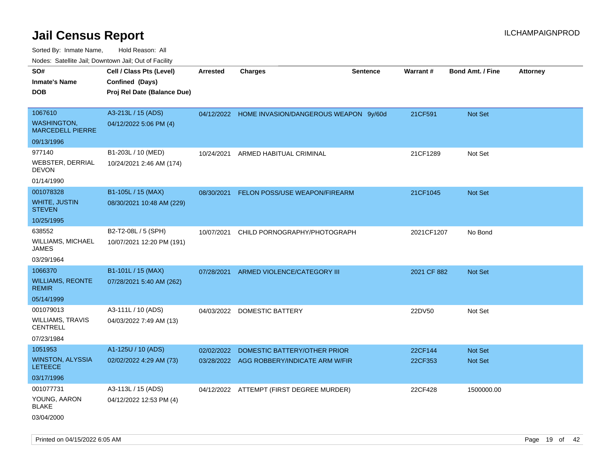| rouco. Calcillo Jali, Downtown Jali, Out of Facility     |                                                                            |                          |                                                                |                 |                    |                                  |                 |
|----------------------------------------------------------|----------------------------------------------------------------------------|--------------------------|----------------------------------------------------------------|-----------------|--------------------|----------------------------------|-----------------|
| SO#<br>Inmate's Name<br>DOB                              | Cell / Class Pts (Level)<br>Confined (Days)<br>Proj Rel Date (Balance Due) | <b>Arrested</b>          | <b>Charges</b>                                                 | <b>Sentence</b> | Warrant#           | <b>Bond Amt. / Fine</b>          | <b>Attorney</b> |
|                                                          |                                                                            |                          |                                                                |                 |                    |                                  |                 |
| 1067610<br><b>WASHINGTON,</b><br><b>MARCEDELL PIERRE</b> | A3-213L / 15 (ADS)<br>04/12/2022 5:06 PM (4)                               |                          | 04/12/2022 HOME INVASION/DANGEROUS WEAPON 9y/60d               |                 | 21CF591            | <b>Not Set</b>                   |                 |
| 09/13/1996                                               |                                                                            |                          |                                                                |                 |                    |                                  |                 |
| 977140<br>WEBSTER, DERRIAL<br>DEVON<br>01/14/1990        | B1-203L / 10 (MED)<br>10/24/2021 2:46 AM (174)                             | 10/24/2021               | ARMED HABITUAL CRIMINAL                                        |                 | 21CF1289           | Not Set                          |                 |
| 001078328                                                | B1-105L / 15 (MAX)                                                         | 08/30/2021               | <b>FELON POSS/USE WEAPON/FIREARM</b>                           |                 | 21CF1045           | <b>Not Set</b>                   |                 |
| WHITE, JUSTIN<br><b>STEVEN</b>                           | 08/30/2021 10:48 AM (229)                                                  |                          |                                                                |                 |                    |                                  |                 |
| 10/25/1995                                               |                                                                            |                          |                                                                |                 |                    |                                  |                 |
| 638552<br>WILLIAMS, MICHAEL<br>JAMES                     | B2-T2-08L / 5 (SPH)<br>10/07/2021 12:20 PM (191)                           | 10/07/2021               | CHILD PORNOGRAPHY/PHOTOGRAPH                                   |                 | 2021CF1207         | No Bond                          |                 |
| 03/29/1964                                               |                                                                            |                          |                                                                |                 |                    |                                  |                 |
| 1066370                                                  | B1-101L / 15 (MAX)                                                         | 07/28/2021               | ARMED VIOLENCE/CATEGORY III                                    |                 | 2021 CF 882        | Not Set                          |                 |
| <b>WILLIAMS, REONTE</b><br>REMIR                         | 07/28/2021 5:40 AM (262)                                                   |                          |                                                                |                 |                    |                                  |                 |
| 05/14/1999                                               |                                                                            |                          |                                                                |                 |                    |                                  |                 |
| 001079013<br>WILLIAMS, TRAVIS<br>CENTRELL                | A3-111L / 10 (ADS)<br>04/03/2022 7:49 AM (13)                              |                          | 04/03/2022 DOMESTIC BATTERY                                    |                 | 22DV50             | Not Set                          |                 |
| 07/23/1984                                               |                                                                            |                          |                                                                |                 |                    |                                  |                 |
| 1051953<br>WINSTON, ALYSSIA<br>LETEECE                   | A1-125U / 10 (ADS)<br>02/02/2022 4:29 AM (73)                              | 02/02/2022<br>03/28/2022 | DOMESTIC BATTERY/OTHER PRIOR<br>AGG ROBBERY/INDICATE ARM W/FIR |                 | 22CF144<br>22CF353 | <b>Not Set</b><br><b>Not Set</b> |                 |
| 03/17/1996                                               |                                                                            |                          |                                                                |                 |                    |                                  |                 |
| 001077731<br>YOUNG, AARON<br>BLAKE<br>03/04/2000         | A3-113L / 15 (ADS)<br>04/12/2022 12:53 PM (4)                              |                          | 04/12/2022 ATTEMPT (FIRST DEGREE MURDER)                       |                 | 22CF428            | 1500000.00                       |                 |
|                                                          |                                                                            |                          |                                                                |                 |                    |                                  |                 |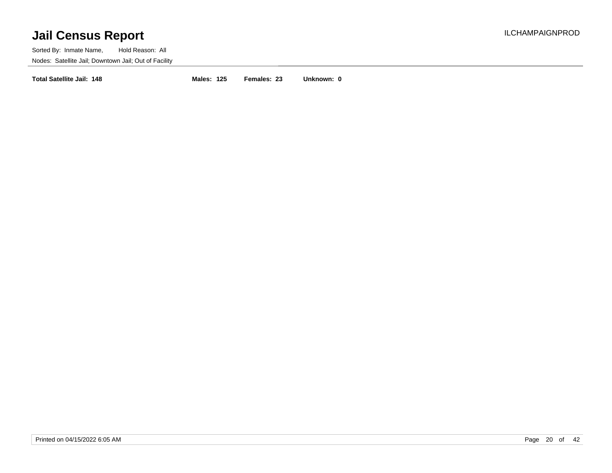Sorted By: Inmate Name, Hold Reason: All Nodes: Satellite Jail; Downtown Jail; Out of Facility

**Total Satellite Jail: 148 Males: 125 Females: 23 Unknown: 0**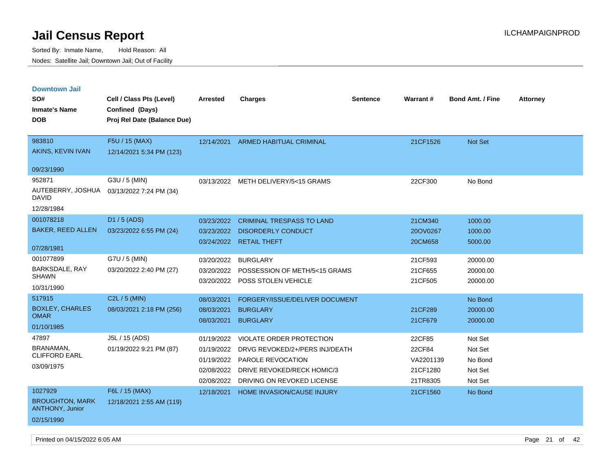| <b>Downtown Jail</b>                             |                             |                          |                                    |                 |                    |                         |                 |
|--------------------------------------------------|-----------------------------|--------------------------|------------------------------------|-----------------|--------------------|-------------------------|-----------------|
| SO#                                              | Cell / Class Pts (Level)    | Arrested                 | <b>Charges</b>                     | <b>Sentence</b> | Warrant#           | <b>Bond Amt. / Fine</b> | <b>Attorney</b> |
| <b>Inmate's Name</b>                             | Confined (Days)             |                          |                                    |                 |                    |                         |                 |
| <b>DOB</b>                                       | Proj Rel Date (Balance Due) |                          |                                    |                 |                    |                         |                 |
|                                                  |                             |                          |                                    |                 |                    |                         |                 |
| 983810                                           | F5U / 15 (MAX)              | 12/14/2021               | ARMED HABITUAL CRIMINAL            |                 | 21CF1526           | Not Set                 |                 |
| AKINS, KEVIN IVAN                                | 12/14/2021 5:34 PM (123)    |                          |                                    |                 |                    |                         |                 |
| 09/23/1990                                       |                             |                          |                                    |                 |                    |                         |                 |
| 952871                                           | G3U / 5 (MIN)               | 03/13/2022               | METH DELIVERY/5<15 GRAMS           |                 | 22CF300            | No Bond                 |                 |
| AUTEBERRY, JOSHUA<br><b>DAVID</b>                | 03/13/2022 7:24 PM (34)     |                          |                                    |                 |                    |                         |                 |
| 12/28/1984                                       |                             |                          |                                    |                 |                    |                         |                 |
| 001078218                                        | D1 / 5 (ADS)                | 03/23/2022               | <b>CRIMINAL TRESPASS TO LAND</b>   |                 | 21CM340            | 1000.00                 |                 |
| <b>BAKER, REED ALLEN</b>                         | 03/23/2022 6:55 PM (24)     | 03/23/2022               | <b>DISORDERLY CONDUCT</b>          |                 | 20OV0267           | 1000.00                 |                 |
|                                                  |                             |                          | 03/24/2022 RETAIL THEFT            |                 | 20CM658            | 5000.00                 |                 |
| 07/28/1981                                       |                             |                          |                                    |                 |                    |                         |                 |
| 001077899                                        | G7U / 5 (MIN)               | 03/20/2022               | <b>BURGLARY</b>                    |                 | 21CF593            | 20000.00                |                 |
| <b>BARKSDALE, RAY</b><br><b>SHAWN</b>            | 03/20/2022 2:40 PM (27)     | 03/20/2022               | POSSESSION OF METH/5<15 GRAMS      |                 | 21CF655            | 20000.00                |                 |
| 10/31/1990                                       |                             | 03/20/2022               | POSS STOLEN VEHICLE                |                 | 21CF505            | 20000.00                |                 |
| 517915                                           | C2L / 5 (MIN)               |                          |                                    |                 |                    |                         |                 |
| <b>BOXLEY, CHARLES</b>                           | 08/03/2021 2:18 PM (256)    | 08/03/2021               | FORGERY/ISSUE/DELIVER DOCUMENT     |                 |                    | No Bond                 |                 |
| <b>OMAR</b>                                      |                             | 08/03/2021<br>08/03/2021 | <b>BURGLARY</b><br><b>BURGLARY</b> |                 | 21CF289<br>21CF679 | 20000.00                |                 |
| 01/10/1985                                       |                             |                          |                                    |                 |                    | 20000.00                |                 |
| 47897                                            | J5L / 15 (ADS)              | 01/19/2022               | <b>VIOLATE ORDER PROTECTION</b>    |                 | 22CF85             | Not Set                 |                 |
| <b>BRANAMAN,</b>                                 | 01/19/2022 9:21 PM (87)     | 01/19/2022               | DRVG REVOKED/2+/PERS INJ/DEATH     |                 | 22CF84             | Not Set                 |                 |
| <b>CLIFFORD EARL</b>                             |                             | 01/19/2022               | <b>PAROLE REVOCATION</b>           |                 | VA2201139          | No Bond                 |                 |
| 03/09/1975                                       |                             | 02/08/2022               | DRIVE REVOKED/RECK HOMIC/3         |                 | 21CF1280           | Not Set                 |                 |
|                                                  |                             | 02/08/2022               | DRIVING ON REVOKED LICENSE         |                 | 21TR8305           | Not Set                 |                 |
| 1027929                                          | F6L / 15 (MAX)              | 12/18/2021               | HOME INVASION/CAUSE INJURY         |                 | 21CF1560           | No Bond                 |                 |
| <b>BROUGHTON, MARK</b><br><b>ANTHONY, Junior</b> | 12/18/2021 2:55 AM (119)    |                          |                                    |                 |                    |                         |                 |
| 02/15/1990                                       |                             |                          |                                    |                 |                    |                         |                 |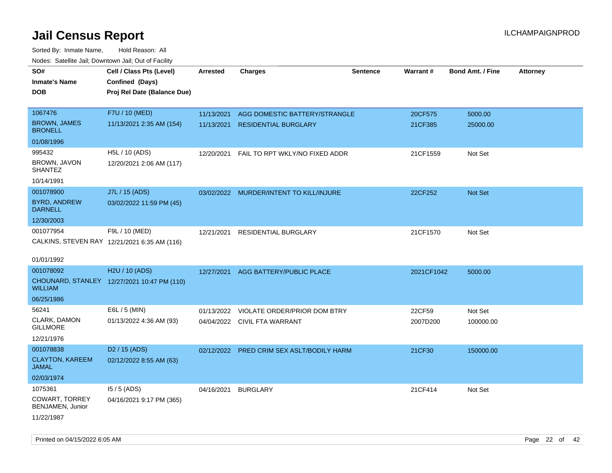| roaco. Oatomto dan, Downtown dan, Oat or Fability |                                              |                 |                                           |                 |            |                         |                 |
|---------------------------------------------------|----------------------------------------------|-----------------|-------------------------------------------|-----------------|------------|-------------------------|-----------------|
| SO#                                               | Cell / Class Pts (Level)                     | <b>Arrested</b> | <b>Charges</b>                            | <b>Sentence</b> | Warrant#   | <b>Bond Amt. / Fine</b> | <b>Attorney</b> |
| <b>Inmate's Name</b>                              | Confined (Days)                              |                 |                                           |                 |            |                         |                 |
| <b>DOB</b>                                        | Proj Rel Date (Balance Due)                  |                 |                                           |                 |            |                         |                 |
|                                                   |                                              |                 |                                           |                 |            |                         |                 |
| 1067476                                           | F7U / 10 (MED)                               | 11/13/2021      | AGG DOMESTIC BATTERY/STRANGLE             |                 | 20CF575    | 5000.00                 |                 |
| <b>BROWN, JAMES</b><br><b>BRONELL</b>             | 11/13/2021 2:35 AM (154)                     | 11/13/2021      | <b>RESIDENTIAL BURGLARY</b>               |                 | 21CF385    | 25000.00                |                 |
| 01/08/1996                                        |                                              |                 |                                           |                 |            |                         |                 |
| 995432                                            | H5L / 10 (ADS)                               | 12/20/2021      | FAIL TO RPT WKLY/NO FIXED ADDR            |                 | 21CF1559   | Not Set                 |                 |
| BROWN, JAVON<br><b>SHANTEZ</b>                    | 12/20/2021 2:06 AM (117)                     |                 |                                           |                 |            |                         |                 |
| 10/14/1991                                        |                                              |                 |                                           |                 |            |                         |                 |
| 001078900                                         | J7L / 15 (ADS)                               |                 | 03/02/2022 MURDER/INTENT TO KILL/INJURE   |                 | 22CF252    | Not Set                 |                 |
| <b>BYRD, ANDREW</b><br><b>DARNELL</b>             | 03/02/2022 11:59 PM (45)                     |                 |                                           |                 |            |                         |                 |
| 12/30/2003                                        |                                              |                 |                                           |                 |            |                         |                 |
| 001077954                                         | F9L / 10 (MED)                               | 12/21/2021      | RESIDENTIAL BURGLARY                      |                 | 21CF1570   | Not Set                 |                 |
|                                                   | CALKINS, STEVEN RAY 12/21/2021 6:35 AM (116) |                 |                                           |                 |            |                         |                 |
|                                                   |                                              |                 |                                           |                 |            |                         |                 |
| 01/01/1992                                        |                                              |                 |                                           |                 |            |                         |                 |
| 001078092                                         | H2U / 10 (ADS)                               | 12/27/2021      | AGG BATTERY/PUBLIC PLACE                  |                 | 2021CF1042 | 5000.00                 |                 |
| <b>WILLIAM</b>                                    | CHOUNARD, STANLEY 12/27/2021 10:47 PM (110)  |                 |                                           |                 |            |                         |                 |
| 06/25/1986                                        |                                              |                 |                                           |                 |            |                         |                 |
| 56241                                             | E6L / 5 (MIN)                                | 01/13/2022      | VIOLATE ORDER/PRIOR DOM BTRY              |                 | 22CF59     | Not Set                 |                 |
| CLARK, DAMON<br><b>GILLMORE</b>                   | 01/13/2022 4:36 AM (93)                      |                 | 04/04/2022 CIVIL FTA WARRANT              |                 | 2007D200   | 100000.00               |                 |
| 12/21/1976                                        |                                              |                 |                                           |                 |            |                         |                 |
| 001078838                                         | D <sub>2</sub> / 15 (ADS)                    |                 | 02/12/2022 PRED CRIM SEX ASLT/BODILY HARM |                 | 21CF30     | 150000.00               |                 |
| <b>CLAYTON, KAREEM</b><br><b>JAMAL</b>            | 02/12/2022 8:55 AM (63)                      |                 |                                           |                 |            |                         |                 |
| 02/03/1974                                        |                                              |                 |                                           |                 |            |                         |                 |
| 1075361                                           | $15/5$ (ADS)                                 | 04/16/2021      | <b>BURGLARY</b>                           |                 | 21CF414    | Not Set                 |                 |
| COWART, TORREY<br>BENJAMEN, Junior                | 04/16/2021 9:17 PM (365)                     |                 |                                           |                 |            |                         |                 |
| 11/22/1987                                        |                                              |                 |                                           |                 |            |                         |                 |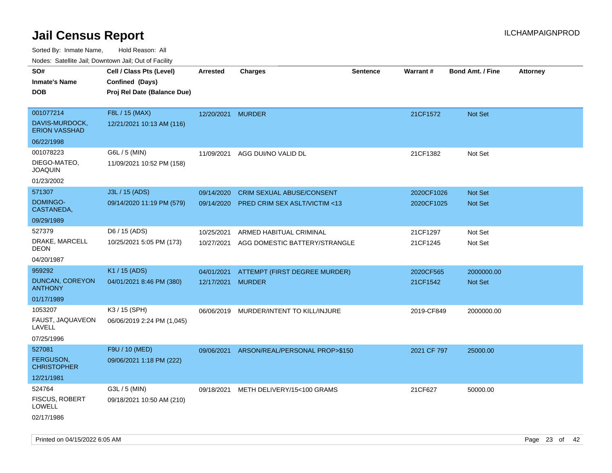| roaco. Odichile Jan, Downtown Jan, Out of Facility |                             |                   |                                         |                 |             |                         |                 |
|----------------------------------------------------|-----------------------------|-------------------|-----------------------------------------|-----------------|-------------|-------------------------|-----------------|
| SO#                                                | Cell / Class Pts (Level)    | <b>Arrested</b>   | <b>Charges</b>                          | <b>Sentence</b> | Warrant#    | <b>Bond Amt. / Fine</b> | <b>Attorney</b> |
| <b>Inmate's Name</b>                               | Confined (Days)             |                   |                                         |                 |             |                         |                 |
| <b>DOB</b>                                         | Proj Rel Date (Balance Due) |                   |                                         |                 |             |                         |                 |
| 001077214                                          | F8L / 15 (MAX)              | 12/20/2021 MURDER |                                         |                 | 21CF1572    | Not Set                 |                 |
| DAVIS-MURDOCK,<br><b>ERION VASSHAD</b>             | 12/21/2021 10:13 AM (116)   |                   |                                         |                 |             |                         |                 |
| 06/22/1998                                         |                             |                   |                                         |                 |             |                         |                 |
| 001078223                                          | G6L / 5 (MIN)               | 11/09/2021        | AGG DUI/NO VALID DL                     |                 | 21CF1382    | Not Set                 |                 |
| DIEGO-MATEO,<br><b>JOAQUIN</b>                     | 11/09/2021 10:52 PM (158)   |                   |                                         |                 |             |                         |                 |
| 01/23/2002                                         |                             |                   |                                         |                 |             |                         |                 |
| 571307                                             | J3L / 15 (ADS)              | 09/14/2020        | CRIM SEXUAL ABUSE/CONSENT               |                 | 2020CF1026  | Not Set                 |                 |
| DOMINGO-<br>CASTANEDA,                             | 09/14/2020 11:19 PM (579)   | 09/14/2020        | <b>PRED CRIM SEX ASLT/VICTIM &lt;13</b> |                 | 2020CF1025  | Not Set                 |                 |
| 09/29/1989                                         |                             |                   |                                         |                 |             |                         |                 |
| 527379                                             | D6 / 15 (ADS)               | 10/25/2021        | ARMED HABITUAL CRIMINAL                 |                 | 21CF1297    | Not Set                 |                 |
| DRAKE, MARCELL<br><b>DEON</b>                      | 10/25/2021 5:05 PM (173)    | 10/27/2021        | AGG DOMESTIC BATTERY/STRANGLE           |                 | 21CF1245    | Not Set                 |                 |
| 04/20/1987                                         |                             |                   |                                         |                 |             |                         |                 |
| 959292                                             | K1 / 15 (ADS)               | 04/01/2021        | ATTEMPT (FIRST DEGREE MURDER)           |                 | 2020CF565   | 2000000.00              |                 |
| DUNCAN, COREYON<br><b>ANTHONY</b>                  | 04/01/2021 8:46 PM (380)    | 12/17/2021 MURDER |                                         |                 | 21CF1542    | <b>Not Set</b>          |                 |
| 01/17/1989                                         |                             |                   |                                         |                 |             |                         |                 |
| 1053207                                            | K3 / 15 (SPH)               | 06/06/2019        | MURDER/INTENT TO KILL/INJURE            |                 | 2019-CF849  | 2000000.00              |                 |
| FAUST, JAQUAVEON<br>LAVELL                         | 06/06/2019 2:24 PM (1,045)  |                   |                                         |                 |             |                         |                 |
| 07/25/1996                                         |                             |                   |                                         |                 |             |                         |                 |
| 527081                                             | F9U / 10 (MED)              | 09/06/2021        | ARSON/REAL/PERSONAL PROP>\$150          |                 | 2021 CF 797 | 25000.00                |                 |
| <b>FERGUSON,</b><br><b>CHRISTOPHER</b>             | 09/06/2021 1:18 PM (222)    |                   |                                         |                 |             |                         |                 |
| 12/21/1981                                         |                             |                   |                                         |                 |             |                         |                 |
| 524764                                             | G3L / 5 (MIN)               | 09/18/2021        | METH DELIVERY/15<100 GRAMS              |                 | 21CF627     | 50000.00                |                 |
| FISCUS, ROBERT<br>LOWELL                           | 09/18/2021 10:50 AM (210)   |                   |                                         |                 |             |                         |                 |
| 02/17/1986                                         |                             |                   |                                         |                 |             |                         |                 |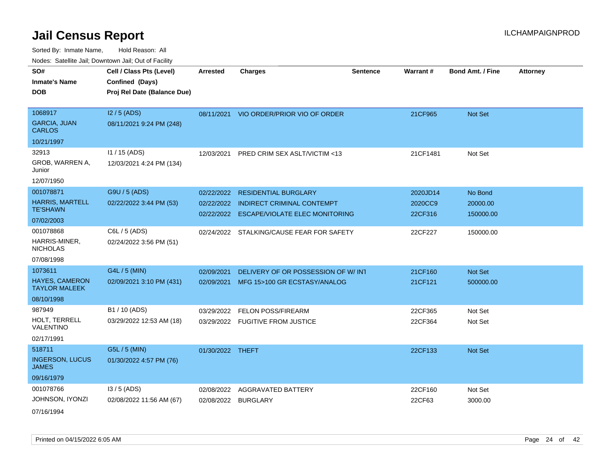Sorted By: Inmate Name, Hold Reason: All Nodes: Satellite Jail; Downtown Jail; Out of Facility

| rouco. Calcinic Jan, Downtown Jan, Out of Facility |                                                                            |                  |                                         |                 |          |                         |                 |
|----------------------------------------------------|----------------------------------------------------------------------------|------------------|-----------------------------------------|-----------------|----------|-------------------------|-----------------|
| SO#<br><b>Inmate's Name</b><br><b>DOB</b>          | Cell / Class Pts (Level)<br>Confined (Days)<br>Proj Rel Date (Balance Due) | <b>Arrested</b>  | <b>Charges</b>                          | <b>Sentence</b> | Warrant# | <b>Bond Amt. / Fine</b> | <b>Attorney</b> |
|                                                    |                                                                            |                  |                                         |                 |          |                         |                 |
| 1068917                                            | $12/5$ (ADS)                                                               |                  | 08/11/2021 VIO ORDER/PRIOR VIO OF ORDER |                 | 21CF965  | Not Set                 |                 |
| <b>GARCIA, JUAN</b><br>CARLOS                      | 08/11/2021 9:24 PM (248)                                                   |                  |                                         |                 |          |                         |                 |
| 10/21/1997                                         |                                                                            |                  |                                         |                 |          |                         |                 |
| 32913                                              | 11 / 15 (ADS)                                                              | 12/03/2021       | PRED CRIM SEX ASLT/VICTIM <13           |                 | 21CF1481 | Not Set                 |                 |
| GROB, WARREN A,<br>Junior                          | 12/03/2021 4:24 PM (134)                                                   |                  |                                         |                 |          |                         |                 |
| 12/07/1950                                         |                                                                            |                  |                                         |                 |          |                         |                 |
| 001078871                                          | G9U / 5 (ADS)                                                              | 02/22/2022       | <b>RESIDENTIAL BURGLARY</b>             |                 | 2020JD14 | No Bond                 |                 |
| <b>HARRIS, MARTELL</b>                             | 02/22/2022 3:44 PM (53)                                                    | 02/22/2022       | <b>INDIRECT CRIMINAL CONTEMPT</b>       |                 | 2020CC9  | 20000.00                |                 |
| TE'SHAWN                                           |                                                                            | 02/22/2022       | <b>ESCAPE/VIOLATE ELEC MONITORING</b>   |                 | 22CF316  | 150000.00               |                 |
| 07/02/2003                                         |                                                                            |                  |                                         |                 |          |                         |                 |
| 001078868                                          | C6L / 5 (ADS)                                                              | 02/24/2022       | STALKING/CAUSE FEAR FOR SAFETY          |                 | 22CF227  | 150000.00               |                 |
| HARRIS-MINER,<br><b>NICHOLAS</b>                   | 02/24/2022 3:56 PM (51)                                                    |                  |                                         |                 |          |                         |                 |
| 07/08/1998                                         |                                                                            |                  |                                         |                 |          |                         |                 |
| 1073611                                            | G4L / 5 (MIN)                                                              | 02/09/2021       | DELIVERY OF OR POSSESSION OF W/INT      |                 | 21CF160  | <b>Not Set</b>          |                 |
| <b>HAYES, CAMERON</b><br><b>TAYLOR MALEEK</b>      | 02/09/2021 3:10 PM (431)                                                   | 02/09/2021       | MFG 15>100 GR ECSTASY/ANALOG            |                 | 21CF121  | 500000.00               |                 |
| 08/10/1998                                         |                                                                            |                  |                                         |                 |          |                         |                 |
| 987949                                             | B1 / 10 (ADS)                                                              | 03/29/2022       | <b>FELON POSS/FIREARM</b>               |                 | 22CF365  | Not Set                 |                 |
| HOLT, TERRELL<br>VALENTINO                         | 03/29/2022 12:53 AM (18)                                                   |                  | 03/29/2022 FUGITIVE FROM JUSTICE        |                 | 22CF364  | Not Set                 |                 |
| 02/17/1991                                         |                                                                            |                  |                                         |                 |          |                         |                 |
| 518711                                             | G5L / 5 (MIN)                                                              | 01/30/2022 THEFT |                                         |                 | 22CF133  | <b>Not Set</b>          |                 |
| <b>INGERSON, LUCUS</b><br>JAMES                    | 01/30/2022 4:57 PM (76)                                                    |                  |                                         |                 |          |                         |                 |
| 09/16/1979                                         |                                                                            |                  |                                         |                 |          |                         |                 |
| 001078766                                          | $13/5$ (ADS)                                                               | 02/08/2022       | AGGRAVATED BATTERY                      |                 | 22CF160  | Not Set                 |                 |
| JOHNSON, IYONZI                                    | 02/08/2022 11:56 AM (67)                                                   |                  | 02/08/2022 BURGLARY                     |                 | 22CF63   | 3000.00                 |                 |
| $-11 - 11 - 1$                                     |                                                                            |                  |                                         |                 |          |                         |                 |

07/16/1994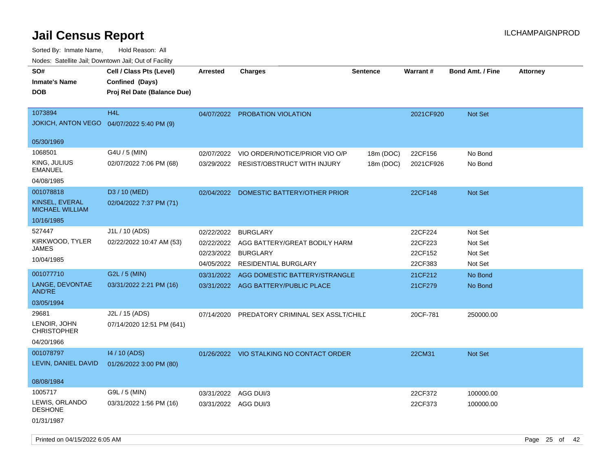| roaco. Oatomto dan, Downtown dan, Oat or Fability     |                                                                            |                      |                                          |                 |           |                         |                 |
|-------------------------------------------------------|----------------------------------------------------------------------------|----------------------|------------------------------------------|-----------------|-----------|-------------------------|-----------------|
| SO#<br><b>Inmate's Name</b><br>DOB                    | Cell / Class Pts (Level)<br>Confined (Days)<br>Proj Rel Date (Balance Due) | <b>Arrested</b>      | <b>Charges</b>                           | <b>Sentence</b> | Warrant#  | <b>Bond Amt. / Fine</b> | <b>Attorney</b> |
|                                                       |                                                                            |                      |                                          |                 |           |                         |                 |
| 1073894<br>JOKICH, ANTON VEGO  04/07/2022 5:40 PM (9) | H <sub>4</sub> L                                                           | 04/07/2022           | PROBATION VIOLATION                      |                 | 2021CF920 | Not Set                 |                 |
| 05/30/1969                                            |                                                                            |                      |                                          |                 |           |                         |                 |
| 1068501                                               | G4U / 5 (MIN)                                                              | 02/07/2022           | VIO ORDER/NOTICE/PRIOR VIO O/P           | 18m (DOC)       | 22CF156   | No Bond                 |                 |
| KING, JULIUS<br>EMANUEL                               | 02/07/2022 7:06 PM (68)                                                    | 03/29/2022           | <b>RESIST/OBSTRUCT WITH INJURY</b>       | 18m (DOC)       | 2021CF926 | No Bond                 |                 |
| 04/08/1985                                            |                                                                            |                      |                                          |                 |           |                         |                 |
| 001078818                                             | D3 / 10 (MED)                                                              | 02/04/2022           | DOMESTIC BATTERY/OTHER PRIOR             |                 | 22CF148   | Not Set                 |                 |
| KINSEL, EVERAL<br><b>MICHAEL WILLIAM</b>              | 02/04/2022 7:37 PM (71)                                                    |                      |                                          |                 |           |                         |                 |
| 10/16/1985                                            |                                                                            |                      |                                          |                 |           |                         |                 |
| 527447                                                | J1L / 10 (ADS)                                                             | 02/22/2022           | <b>BURGLARY</b>                          |                 | 22CF224   | Not Set                 |                 |
| KIRKWOOD, TYLER                                       | 02/22/2022 10:47 AM (53)                                                   | 02/22/2022           | AGG BATTERY/GREAT BODILY HARM            |                 | 22CF223   | Not Set                 |                 |
| JAMES                                                 |                                                                            | 02/23/2022           | <b>BURGLARY</b>                          |                 | 22CF152   | Not Set                 |                 |
| 10/04/1985                                            |                                                                            | 04/05/2022           | <b>RESIDENTIAL BURGLARY</b>              |                 | 22CF383   | Not Set                 |                 |
| 001077710                                             | G2L / 5 (MIN)                                                              | 03/31/2022           | AGG DOMESTIC BATTERY/STRANGLE            |                 | 21CF212   | No Bond                 |                 |
| LANGE, DEVONTAE<br>AND'RE                             | 03/31/2022 2:21 PM (16)                                                    |                      | 03/31/2022 AGG BATTERY/PUBLIC PLACE      |                 | 21CF279   | No Bond                 |                 |
| 03/05/1994                                            |                                                                            |                      |                                          |                 |           |                         |                 |
| 29681<br>LENOIR, JOHN<br><b>CHRISTOPHER</b>           | J2L / 15 (ADS)<br>07/14/2020 12:51 PM (641)                                | 07/14/2020           | PREDATORY CRIMINAL SEX ASSLT/CHILD       |                 | 20CF-781  | 250000.00               |                 |
| 04/20/1966                                            |                                                                            |                      |                                          |                 |           |                         |                 |
| 001078797                                             | 14 / 10 (ADS)                                                              |                      | 01/26/2022 VIO STALKING NO CONTACT ORDER |                 | 22CM31    | Not Set                 |                 |
| LEVIN, DANIEL DAVID                                   | 01/26/2022 3:00 PM (80)                                                    |                      |                                          |                 |           |                         |                 |
| 08/08/1984                                            |                                                                            |                      |                                          |                 |           |                         |                 |
| 1005717                                               | G9L / 5 (MIN)                                                              | 03/31/2022           | AGG DUI/3                                |                 | 22CF372   | 100000.00               |                 |
| LEWIS, ORLANDO<br><b>DESHONE</b>                      | 03/31/2022 1:56 PM (16)                                                    | 03/31/2022 AGG DUI/3 |                                          |                 | 22CF373   | 100000.00               |                 |
| 01/31/1987                                            |                                                                            |                      |                                          |                 |           |                         |                 |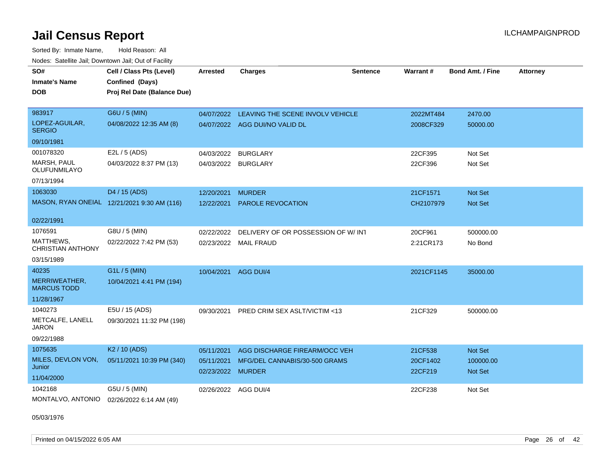Sorted By: Inmate Name, Hold Reason: All Nodes: Satellite Jail; Downtown Jail; Out of Facility

| SO#                                   | Cell / Class Pts (Level)                    | <b>Arrested</b>      | <b>Charges</b>                      | <b>Sentence</b> | Warrant#   | <b>Bond Amt. / Fine</b> | <b>Attorney</b> |
|---------------------------------------|---------------------------------------------|----------------------|-------------------------------------|-----------------|------------|-------------------------|-----------------|
| <b>Inmate's Name</b>                  | Confined (Days)                             |                      |                                     |                 |            |                         |                 |
| <b>DOB</b>                            | Proj Rel Date (Balance Due)                 |                      |                                     |                 |            |                         |                 |
|                                       |                                             |                      |                                     |                 |            |                         |                 |
| 983917                                | G6U / 5 (MIN)                               | 04/07/2022           | LEAVING THE SCENE INVOLV VEHICLE    |                 | 2022MT484  | 2470.00                 |                 |
| LOPEZ-AGUILAR,<br><b>SERGIO</b>       | 04/08/2022 12:35 AM (8)                     |                      | 04/07/2022 AGG DUI/NO VALID DL      |                 | 2008CF329  | 50000.00                |                 |
| 09/10/1981                            |                                             |                      |                                     |                 |            |                         |                 |
| 001078320                             | E2L / 5 (ADS)                               | 04/03/2022           | <b>BURGLARY</b>                     |                 | 22CF395    | Not Set                 |                 |
| <b>MARSH, PAUL</b><br>OLUFUNMILAYO    | 04/03/2022 8:37 PM (13)                     | 04/03/2022 BURGLARY  |                                     |                 | 22CF396    | Not Set                 |                 |
| 07/13/1994                            |                                             |                      |                                     |                 |            |                         |                 |
| 1063030                               | D4 / 15 (ADS)                               | 12/20/2021           | <b>MURDER</b>                       |                 | 21CF1571   | <b>Not Set</b>          |                 |
|                                       | MASON, RYAN ONEIAL 12/21/2021 9:30 AM (116) | 12/22/2021           | <b>PAROLE REVOCATION</b>            |                 | CH2107979  | <b>Not Set</b>          |                 |
|                                       |                                             |                      |                                     |                 |            |                         |                 |
| 02/22/1991                            |                                             |                      |                                     |                 |            |                         |                 |
| 1076591                               | G8U / 5 (MIN)                               | 02/22/2022           | DELIVERY OF OR POSSESSION OF W/ INT |                 | 20CF961    | 500000.00               |                 |
| MATTHEWS,<br><b>CHRISTIAN ANTHONY</b> | 02/22/2022 7:42 PM (53)                     |                      | 02/23/2022 MAIL FRAUD               |                 | 2:21CR173  | No Bond                 |                 |
| 03/15/1989                            |                                             |                      |                                     |                 |            |                         |                 |
| 40235                                 | G1L / 5 (MIN)                               | 10/04/2021           | AGG DUI/4                           |                 | 2021CF1145 | 35000.00                |                 |
| MERRIWEATHER,<br><b>MARCUS TODD</b>   | 10/04/2021 4:41 PM (194)                    |                      |                                     |                 |            |                         |                 |
| 11/28/1967                            |                                             |                      |                                     |                 |            |                         |                 |
| 1040273                               | E5U / 15 (ADS)                              | 09/30/2021           | PRED CRIM SEX ASLT/VICTIM <13       |                 | 21CF329    | 500000.00               |                 |
| METCALFE, LANELL<br><b>JARON</b>      | 09/30/2021 11:32 PM (198)                   |                      |                                     |                 |            |                         |                 |
| 09/22/1988                            |                                             |                      |                                     |                 |            |                         |                 |
| 1075635                               | K <sub>2</sub> / 10 (ADS)                   | 05/11/2021           | AGG DISCHARGE FIREARM/OCC VEH       |                 | 21CF538    | Not Set                 |                 |
| MILES, DEVLON VON,<br>Junior          | 05/11/2021 10:39 PM (340)                   | 05/11/2021           | MFG/DEL CANNABIS/30-500 GRAMS       |                 | 20CF1402   | 100000.00               |                 |
| 11/04/2000                            |                                             | 02/23/2022 MURDER    |                                     |                 | 22CF219    | <b>Not Set</b>          |                 |
| 1042168                               | G5U / 5 (MIN)                               | 02/26/2022 AGG DUI/4 |                                     |                 | 22CF238    | Not Set                 |                 |
| MONTALVO, ANTONIO                     | 02/26/2022 6:14 AM (49)                     |                      |                                     |                 |            |                         |                 |

05/03/1976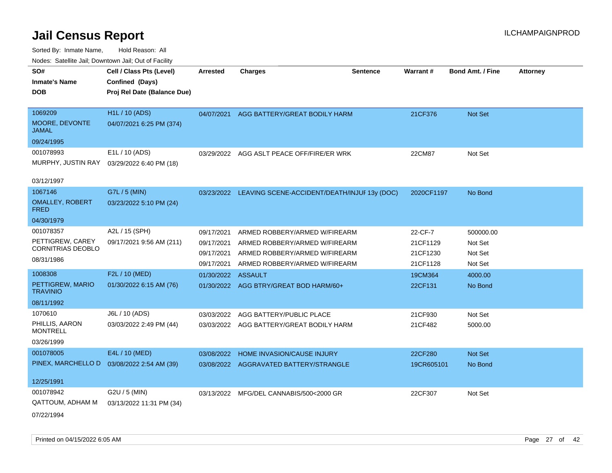| roaco. Catolino cali, Domntonn cali, Out of Facility |                             |                 |                                                         |                 |            |                         |                 |
|------------------------------------------------------|-----------------------------|-----------------|---------------------------------------------------------|-----------------|------------|-------------------------|-----------------|
| SO#                                                  | Cell / Class Pts (Level)    | <b>Arrested</b> | <b>Charges</b>                                          | <b>Sentence</b> | Warrant#   | <b>Bond Amt. / Fine</b> | <b>Attorney</b> |
| <b>Inmate's Name</b>                                 | Confined (Days)             |                 |                                                         |                 |            |                         |                 |
| <b>DOB</b>                                           | Proj Rel Date (Balance Due) |                 |                                                         |                 |            |                         |                 |
|                                                      |                             |                 |                                                         |                 |            |                         |                 |
| 1069209                                              | <b>H1L / 10 (ADS)</b>       | 04/07/2021      | AGG BATTERY/GREAT BODILY HARM                           |                 | 21CF376    | Not Set                 |                 |
| MOORE, DEVONTE<br>JAMAL                              | 04/07/2021 6:25 PM (374)    |                 |                                                         |                 |            |                         |                 |
| 09/24/1995                                           |                             |                 |                                                         |                 |            |                         |                 |
| 001078993                                            | E1L / 10 (ADS)              |                 | 03/29/2022 AGG ASLT PEACE OFF/FIRE/ER WRK               |                 | 22CM87     | Not Set                 |                 |
| MURPHY, JUSTIN RAY                                   | 03/29/2022 6:40 PM (18)     |                 |                                                         |                 |            |                         |                 |
|                                                      |                             |                 |                                                         |                 |            |                         |                 |
| 03/12/1997                                           |                             |                 |                                                         |                 |            |                         |                 |
| 1067146                                              | G7L / 5 (MIN)               |                 | 03/23/2022 LEAVING SCENE-ACCIDENT/DEATH/INJUF 13y (DOC) |                 | 2020CF1197 | No Bond                 |                 |
| <b>OMALLEY, ROBERT</b><br><b>FRED</b>                | 03/23/2022 5:10 PM (24)     |                 |                                                         |                 |            |                         |                 |
| 04/30/1979                                           |                             |                 |                                                         |                 |            |                         |                 |
| 001078357                                            | A2L / 15 (SPH)              | 09/17/2021      | ARMED ROBBERY/ARMED W/FIREARM                           |                 | 22-CF-7    | 500000.00               |                 |
| PETTIGREW, CAREY                                     | 09/17/2021 9:56 AM (211)    | 09/17/2021      | ARMED ROBBERY/ARMED W/FIREARM                           |                 | 21CF1129   | Not Set                 |                 |
| <b>CORNITRIAS DEOBLO</b>                             |                             | 09/17/2021      | ARMED ROBBERY/ARMED W/FIREARM                           |                 | 21CF1230   | Not Set                 |                 |
| 08/31/1986                                           |                             | 09/17/2021      | ARMED ROBBERY/ARMED W/FIREARM                           |                 | 21CF1128   | Not Set                 |                 |
| 1008308                                              | F2L / 10 (MED)              | 01/30/2022      | <b>ASSAULT</b>                                          |                 | 19CM364    | 4000.00                 |                 |
| PETTIGREW, MARIO<br><b>TRAVINIO</b>                  | 01/30/2022 6:15 AM (76)     |                 | 01/30/2022 AGG BTRY/GREAT BOD HARM/60+                  |                 | 22CF131    | No Bond                 |                 |
| 08/11/1992                                           |                             |                 |                                                         |                 |            |                         |                 |
| 1070610                                              | J6L / 10 (ADS)              | 03/03/2022      | AGG BATTERY/PUBLIC PLACE                                |                 | 21CF930    | Not Set                 |                 |
| PHILLIS, AARON<br><b>MONTRELL</b>                    | 03/03/2022 2:49 PM (44)     |                 | 03/03/2022 AGG BATTERY/GREAT BODILY HARM                |                 | 21CF482    | 5000.00                 |                 |
| 03/26/1999                                           |                             |                 |                                                         |                 |            |                         |                 |
| 001078005                                            | E4L / 10 (MED)              | 03/08/2022      | HOME INVASION/CAUSE INJURY                              |                 | 22CF280    | <b>Not Set</b>          |                 |
| PINEX, MARCHELLO D                                   | 03/08/2022 2:54 AM (39)     |                 | 03/08/2022 AGGRAVATED BATTERY/STRANGLE                  |                 | 19CR605101 | No Bond                 |                 |
|                                                      |                             |                 |                                                         |                 |            |                         |                 |
| 12/25/1991                                           |                             |                 |                                                         |                 |            |                         |                 |
| 001078942                                            | G2U / 5 (MIN)               | 03/13/2022      | MFG/DEL CANNABIS/500<2000 GR                            |                 | 22CF307    | Not Set                 |                 |
| <b>QATTOUM, ADHAM M</b>                              | 03/13/2022 11:31 PM (34)    |                 |                                                         |                 |            |                         |                 |
| 07/22/1994                                           |                             |                 |                                                         |                 |            |                         |                 |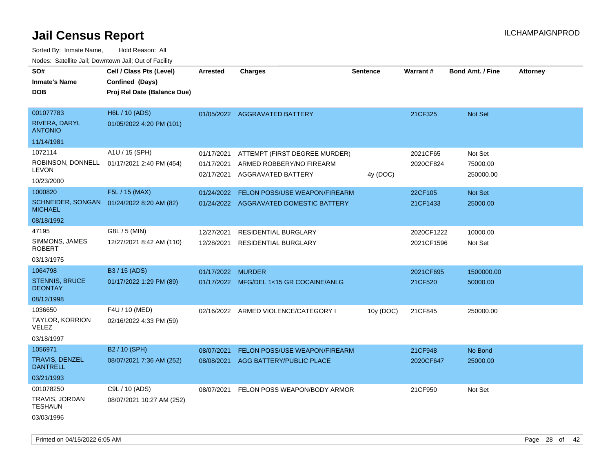| wacs. Calcinic Jan, Downtown Jan, Out of Facility |                                             |                          |                                                       |                 |            |                         |                 |
|---------------------------------------------------|---------------------------------------------|--------------------------|-------------------------------------------------------|-----------------|------------|-------------------------|-----------------|
| SO#<br><b>Inmate's Name</b>                       | Cell / Class Pts (Level)<br>Confined (Days) | <b>Arrested</b>          | <b>Charges</b>                                        | <b>Sentence</b> | Warrant#   | <b>Bond Amt. / Fine</b> | <b>Attorney</b> |
| <b>DOB</b>                                        | Proj Rel Date (Balance Due)                 |                          |                                                       |                 |            |                         |                 |
| 001077783                                         | H6L / 10 (ADS)                              |                          | 01/05/2022 AGGRAVATED BATTERY                         |                 | 21CF325    | Not Set                 |                 |
| <b>RIVERA, DARYL</b><br><b>ANTONIO</b>            | 01/05/2022 4:20 PM (101)                    |                          |                                                       |                 |            |                         |                 |
| 11/14/1981                                        |                                             |                          |                                                       |                 |            |                         |                 |
| 1072114                                           | A1U / 15 (SPH)                              | 01/17/2021               | ATTEMPT (FIRST DEGREE MURDER)                         |                 | 2021CF65   | Not Set                 |                 |
| <b>LEVON</b>                                      | ROBINSON, DONNELL 01/17/2021 2:40 PM (454)  | 01/17/2021<br>02/17/2021 | ARMED ROBBERY/NO FIREARM<br><b>AGGRAVATED BATTERY</b> | 4y (DOC)        | 2020CF824  | 75000.00<br>250000.00   |                 |
| 10/23/2000                                        |                                             |                          |                                                       |                 |            |                         |                 |
| 1000820                                           | F5L / 15 (MAX)                              | 01/24/2022               | <b>FELON POSS/USE WEAPON/FIREARM</b>                  |                 | 22CF105    | Not Set                 |                 |
| SCHNEIDER, SONGAN<br><b>MICHAEL</b>               | 01/24/2022 8:20 AM (82)                     |                          | 01/24/2022 AGGRAVATED DOMESTIC BATTERY                |                 | 21CF1433   | 25000.00                |                 |
| 08/18/1992                                        |                                             |                          |                                                       |                 |            |                         |                 |
| 47195                                             | G8L / 5 (MIN)                               | 12/27/2021               | <b>RESIDENTIAL BURGLARY</b>                           |                 | 2020CF1222 | 10000.00                |                 |
| SIMMONS, JAMES<br><b>ROBERT</b>                   | 12/27/2021 8:42 AM (110)                    | 12/28/2021               | <b>RESIDENTIAL BURGLARY</b>                           |                 | 2021CF1596 | Not Set                 |                 |
| 03/13/1975                                        |                                             |                          |                                                       |                 |            |                         |                 |
| 1064798                                           | B3 / 15 (ADS)                               | 01/17/2022               | <b>MURDER</b>                                         |                 | 2021CF695  | 1500000.00              |                 |
| <b>STENNIS, BRUCE</b><br><b>DEONTAY</b>           | 01/17/2022 1:29 PM (89)                     |                          | 01/17/2022 MFG/DEL 1<15 GR COCAINE/ANLG               |                 | 21CF520    | 50000.00                |                 |
| 08/12/1998                                        |                                             |                          |                                                       |                 |            |                         |                 |
| 1036650                                           | F4U / 10 (MED)                              |                          | 02/16/2022 ARMED VIOLENCE/CATEGORY I                  | 10y (DOC)       | 21CF845    | 250000.00               |                 |
| TAYLOR, KORRION<br>VELEZ                          | 02/16/2022 4:33 PM (59)                     |                          |                                                       |                 |            |                         |                 |
| 03/18/1997                                        |                                             |                          |                                                       |                 |            |                         |                 |
| 1056971                                           | B2 / 10 (SPH)                               | 08/07/2021               | <b>FELON POSS/USE WEAPON/FIREARM</b>                  |                 | 21CF948    | No Bond                 |                 |
| <b>TRAVIS, DENZEL</b><br><b>DANTRELL</b>          | 08/07/2021 7:36 AM (252)                    | 08/08/2021               | AGG BATTERY/PUBLIC PLACE                              |                 | 2020CF647  | 25000.00                |                 |
| 03/21/1993                                        |                                             |                          |                                                       |                 |            |                         |                 |
| 001078250                                         | C9L / 10 (ADS)                              | 08/07/2021               | FELON POSS WEAPON/BODY ARMOR                          |                 | 21CF950    | Not Set                 |                 |
| TRAVIS, JORDAN<br><b>TESHAUN</b>                  | 08/07/2021 10:27 AM (252)                   |                          |                                                       |                 |            |                         |                 |
| 03/03/1996                                        |                                             |                          |                                                       |                 |            |                         |                 |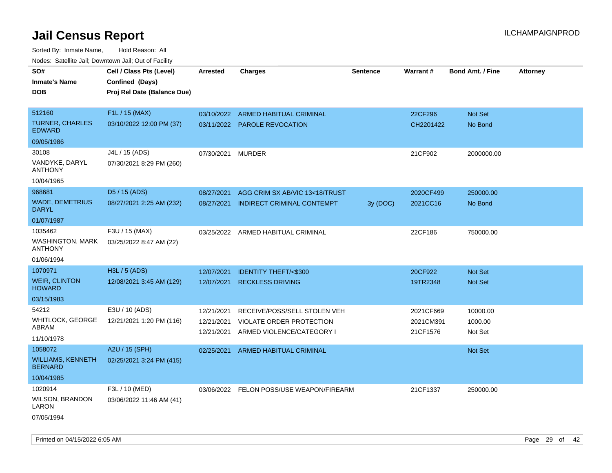| rougs. Calcing Jan, Downtown Jan, Out of Facility    |                                                                            |                                        |                                                                                       |                 |                                    |                                |                 |
|------------------------------------------------------|----------------------------------------------------------------------------|----------------------------------------|---------------------------------------------------------------------------------------|-----------------|------------------------------------|--------------------------------|-----------------|
| SO#<br><b>Inmate's Name</b><br><b>DOB</b>            | Cell / Class Pts (Level)<br>Confined (Days)<br>Proj Rel Date (Balance Due) | <b>Arrested</b>                        | <b>Charges</b>                                                                        | <b>Sentence</b> | Warrant#                           | <b>Bond Amt. / Fine</b>        | <b>Attorney</b> |
| 512160                                               | F1L / 15 (MAX)                                                             |                                        | 03/10/2022 ARMED HABITUAL CRIMINAL                                                    |                 | 22CF296                            | Not Set                        |                 |
| <b>TURNER, CHARLES</b><br><b>EDWARD</b>              | 03/10/2022 12:00 PM (37)                                                   |                                        | 03/11/2022 PAROLE REVOCATION                                                          |                 | CH2201422                          | No Bond                        |                 |
| 09/05/1986                                           |                                                                            |                                        |                                                                                       |                 |                                    |                                |                 |
| 30108<br>VANDYKE, DARYL<br><b>ANTHONY</b>            | J4L / 15 (ADS)<br>07/30/2021 8:29 PM (260)                                 | 07/30/2021                             | <b>MURDER</b>                                                                         |                 | 21CF902                            | 2000000.00                     |                 |
| 10/04/1965                                           |                                                                            |                                        |                                                                                       |                 |                                    |                                |                 |
| 968681                                               | D5 / 15 (ADS)                                                              | 08/27/2021                             | AGG CRIM SX AB/VIC 13<18/TRUST                                                        |                 | 2020CF499                          | 250000.00                      |                 |
| <b>WADE, DEMETRIUS</b><br><b>DARYL</b>               | 08/27/2021 2:25 AM (232)                                                   | 08/27/2021                             | INDIRECT CRIMINAL CONTEMPT                                                            | 3y(DOC)         | 2021CC16                           | No Bond                        |                 |
| 01/07/1987                                           |                                                                            |                                        |                                                                                       |                 |                                    |                                |                 |
| 1035462<br><b>WASHINGTON, MARK</b><br><b>ANTHONY</b> | F3U / 15 (MAX)<br>03/25/2022 8:47 AM (22)                                  |                                        | 03/25/2022 ARMED HABITUAL CRIMINAL                                                    |                 | 22CF186                            | 750000.00                      |                 |
| 01/06/1994                                           |                                                                            |                                        |                                                                                       |                 |                                    |                                |                 |
| 1070971                                              | H3L / 5 (ADS)                                                              | 12/07/2021                             | <b>IDENTITY THEFT/&lt;\$300</b>                                                       |                 | 20CF922                            | <b>Not Set</b>                 |                 |
| <b>WEIR, CLINTON</b><br><b>HOWARD</b>                | 12/08/2021 3:45 AM (129)                                                   | 12/07/2021                             | <b>RECKLESS DRIVING</b>                                                               |                 | 19TR2348                           | <b>Not Set</b>                 |                 |
| 03/15/1983                                           |                                                                            |                                        |                                                                                       |                 |                                    |                                |                 |
| 54212<br>WHITLOCK, GEORGE<br>ABRAM<br>11/10/1978     | E3U / 10 (ADS)<br>12/21/2021 1:20 PM (116)                                 | 12/21/2021<br>12/21/2021<br>12/21/2021 | RECEIVE/POSS/SELL STOLEN VEH<br>VIOLATE ORDER PROTECTION<br>ARMED VIOLENCE/CATEGORY I |                 | 2021CF669<br>2021CM391<br>21CF1576 | 10000.00<br>1000.00<br>Not Set |                 |
| 1058072                                              | A2U / 15 (SPH)                                                             | 02/25/2021                             | <b>ARMED HABITUAL CRIMINAL</b>                                                        |                 |                                    | <b>Not Set</b>                 |                 |
| <b>WILLIAMS, KENNETH</b><br><b>BERNARD</b>           | 02/25/2021 3:24 PM (415)                                                   |                                        |                                                                                       |                 |                                    |                                |                 |
| 10/04/1985                                           |                                                                            |                                        |                                                                                       |                 |                                    |                                |                 |
| 1020914                                              | F3L / 10 (MED)                                                             |                                        | 03/06/2022 FELON POSS/USE WEAPON/FIREARM                                              |                 | 21CF1337                           | 250000.00                      |                 |
| <b>WILSON, BRANDON</b><br>LARON                      | 03/06/2022 11:46 AM (41)                                                   |                                        |                                                                                       |                 |                                    |                                |                 |
| 07/05/1994                                           |                                                                            |                                        |                                                                                       |                 |                                    |                                |                 |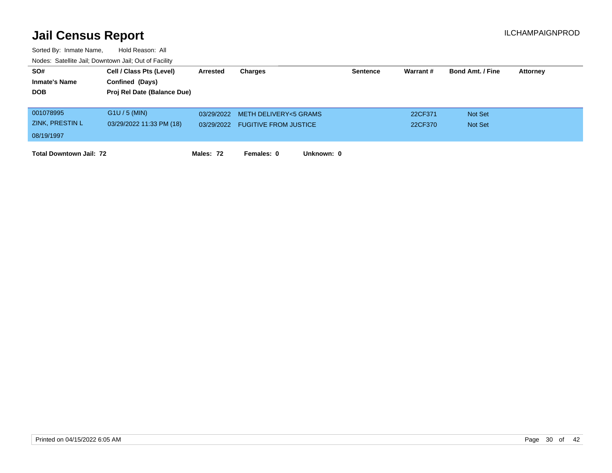| SO#                            | Cell / Class Pts (Level)    | <b>Arrested</b> | Charges                      |            | <b>Sentence</b> | Warrant # | <b>Bond Amt. / Fine</b> | <b>Attorney</b> |
|--------------------------------|-----------------------------|-----------------|------------------------------|------------|-----------------|-----------|-------------------------|-----------------|
| <b>Inmate's Name</b>           | Confined (Days)             |                 |                              |            |                 |           |                         |                 |
| <b>DOB</b>                     | Proj Rel Date (Balance Due) |                 |                              |            |                 |           |                         |                 |
|                                |                             |                 |                              |            |                 |           |                         |                 |
| 001078995                      | $G1U / 5$ (MIN)             | 03/29/2022      | METH DELIVERY<5 GRAMS        |            |                 | 22CF371   | Not Set                 |                 |
| ZINK, PRESTIN L                | 03/29/2022 11:33 PM (18)    | 03/29/2022      | <b>FUGITIVE FROM JUSTICE</b> |            |                 | 22CF370   | <b>Not Set</b>          |                 |
| 08/19/1997                     |                             |                 |                              |            |                 |           |                         |                 |
|                                |                             |                 |                              |            |                 |           |                         |                 |
| <b>Total Downtown Jail: 72</b> |                             | Males: 72       | Females: 0                   | Unknown: 0 |                 |           |                         |                 |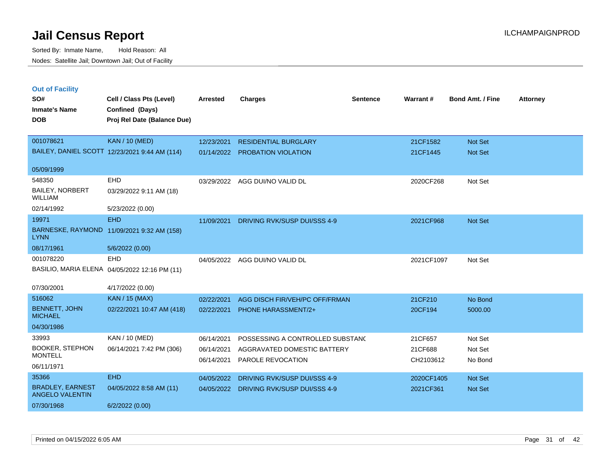| <b>Out of Facility</b><br>SO#<br><b>Inmate's Name</b><br><b>DOB</b> | Cell / Class Pts (Level)<br>Confined (Days)<br>Proj Rel Date (Balance Due) | <b>Arrested</b> | <b>Charges</b>                      | <b>Sentence</b> | Warrant#   | <b>Bond Amt. / Fine</b> | <b>Attorney</b> |
|---------------------------------------------------------------------|----------------------------------------------------------------------------|-----------------|-------------------------------------|-----------------|------------|-------------------------|-----------------|
| 001078621                                                           | <b>KAN / 10 (MED)</b>                                                      | 12/23/2021      | <b>RESIDENTIAL BURGLARY</b>         |                 | 21CF1582   | <b>Not Set</b>          |                 |
|                                                                     | BAILEY, DANIEL SCOTT 12/23/2021 9:44 AM (114)                              | 01/14/2022      | <b>PROBATION VIOLATION</b>          |                 | 21CF1445   | <b>Not Set</b>          |                 |
| 05/09/1999                                                          |                                                                            |                 |                                     |                 |            |                         |                 |
| 548350                                                              | EHD                                                                        | 03/29/2022      | AGG DUI/NO VALID DL                 |                 | 2020CF268  | Not Set                 |                 |
| <b>BAILEY, NORBERT</b><br><b>WILLIAM</b>                            | 03/29/2022 9:11 AM (18)                                                    |                 |                                     |                 |            |                         |                 |
| 02/14/1992                                                          | 5/23/2022 (0.00)                                                           |                 |                                     |                 |            |                         |                 |
| 19971                                                               | <b>EHD</b>                                                                 | 11/09/2021      | DRIVING RVK/SUSP DUI/SSS 4-9        |                 | 2021CF968  | <b>Not Set</b>          |                 |
| <b>LYNN</b>                                                         | BARNESKE, RAYMOND 11/09/2021 9:32 AM (158)                                 |                 |                                     |                 |            |                         |                 |
| 08/17/1961                                                          | 5/6/2022 (0.00)                                                            |                 |                                     |                 |            |                         |                 |
| 001078220                                                           | <b>EHD</b>                                                                 | 04/05/2022      | AGG DUI/NO VALID DL                 |                 | 2021CF1097 | Not Set                 |                 |
|                                                                     | BASILIO, MARIA ELENA 04/05/2022 12:16 PM (11)                              |                 |                                     |                 |            |                         |                 |
| 07/30/2001                                                          | 4/17/2022 (0.00)                                                           |                 |                                     |                 |            |                         |                 |
| 516062                                                              | KAN / 15 (MAX)                                                             | 02/22/2021      | AGG DISCH FIR/VEH/PC OFF/FRMAN      |                 | 21CF210    | No Bond                 |                 |
| BENNETT, JOHN<br><b>MICHAEL</b>                                     | 02/22/2021 10:47 AM (418)                                                  | 02/22/2021      | <b>PHONE HARASSMENT/2+</b>          |                 | 20CF194    | 5000.00                 |                 |
| 04/30/1986                                                          |                                                                            |                 |                                     |                 |            |                         |                 |
| 33993                                                               | KAN / 10 (MED)                                                             | 06/14/2021      | POSSESSING A CONTROLLED SUBSTAND    |                 | 21CF657    | Not Set                 |                 |
| <b>BOOKER, STEPHON</b>                                              | 06/14/2021 7:42 PM (306)                                                   | 06/14/2021      | AGGRAVATED DOMESTIC BATTERY         |                 | 21CF688    | Not Set                 |                 |
| <b>MONTELL</b>                                                      |                                                                            | 06/14/2021      | PAROLE REVOCATION                   |                 | CH2103612  | No Bond                 |                 |
| 06/11/1971                                                          |                                                                            |                 |                                     |                 |            |                         |                 |
| 35366                                                               | <b>EHD</b>                                                                 | 04/05/2022      | <b>DRIVING RVK/SUSP DUI/SSS 4-9</b> |                 | 2020CF1405 | <b>Not Set</b>          |                 |
| <b>BRADLEY, EARNEST</b><br><b>ANGELO VALENTIN</b>                   | 04/05/2022 8:58 AM (11)                                                    | 04/05/2022      | DRIVING RVK/SUSP DUI/SSS 4-9        |                 | 2021CF361  | Not Set                 |                 |
| 07/30/1968                                                          | 6/2/2022 (0.00)                                                            |                 |                                     |                 |            |                         |                 |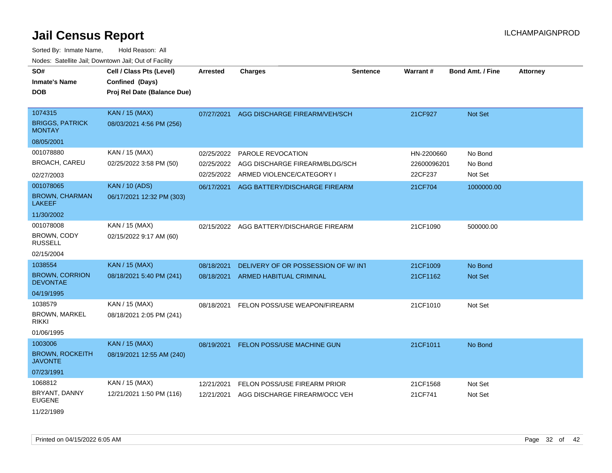| SO#<br><b>Inmate's Name</b><br>DOB                                     | Cell / Class Pts (Level)<br>Confined (Days)<br>Proj Rel Date (Balance Due) | <b>Arrested</b>                        | <b>Charges</b>                                                                   | <b>Sentence</b> | Warrant#                             | <b>Bond Amt. / Fine</b>       | <b>Attorney</b> |
|------------------------------------------------------------------------|----------------------------------------------------------------------------|----------------------------------------|----------------------------------------------------------------------------------|-----------------|--------------------------------------|-------------------------------|-----------------|
| 1074315<br><b>BRIGGS, PATRICK</b><br><b>MONTAY</b>                     | <b>KAN / 15 (MAX)</b><br>08/03/2021 4:56 PM (256)                          | 07/27/2021                             | AGG DISCHARGE FIREARM/VEH/SCH                                                    |                 | 21CF927                              | Not Set                       |                 |
| 08/05/2001                                                             |                                                                            |                                        |                                                                                  |                 |                                      |                               |                 |
| 001078880<br><b>BROACH, CAREU</b>                                      | KAN / 15 (MAX)<br>02/25/2022 3:58 PM (50)                                  | 02/25/2022<br>02/25/2022<br>02/25/2022 | PAROLE REVOCATION<br>AGG DISCHARGE FIREARM/BLDG/SCH<br>ARMED VIOLENCE/CATEGORY I |                 | HN-2200660<br>22600096201<br>22CF237 | No Bond<br>No Bond<br>Not Set |                 |
| 02/27/2003<br>001078065<br><b>BROWN, CHARMAN</b><br><b>LAKEEF</b>      | <b>KAN / 10 (ADS)</b><br>06/17/2021 12:32 PM (303)                         | 06/17/2021                             | AGG BATTERY/DISCHARGE FIREARM                                                    |                 | 21CF704                              | 1000000.00                    |                 |
| 11/30/2002<br>001078008<br>BROWN, CODY<br><b>RUSSELL</b><br>02/15/2004 | KAN / 15 (MAX)<br>02/15/2022 9:17 AM (60)                                  | 02/15/2022                             | AGG BATTERY/DISCHARGE FIREARM                                                    |                 | 21CF1090                             | 500000.00                     |                 |
| 1038554<br><b>BROWN, CORRION</b><br><b>DEVONTAE</b><br>04/19/1995      | <b>KAN / 15 (MAX)</b><br>08/18/2021 5:40 PM (241)                          | 08/18/2021<br>08/18/2021               | DELIVERY OF OR POSSESSION OF W/ INT<br><b>ARMED HABITUAL CRIMINAL</b>            |                 | 21CF1009<br>21CF1162                 | No Bond<br>Not Set            |                 |
| 1038579<br><b>BROWN, MARKEL</b><br>rikki<br>01/06/1995                 | KAN / 15 (MAX)<br>08/18/2021 2:05 PM (241)                                 | 08/18/2021                             | FELON POSS/USE WEAPON/FIREARM                                                    |                 | 21CF1010                             | Not Set                       |                 |
| 1003006<br><b>BROWN, ROCKEITH</b><br><b>JAVONTE</b><br>07/23/1991      | <b>KAN / 15 (MAX)</b><br>08/19/2021 12:55 AM (240)                         | 08/19/2021                             | FELON POSS/USE MACHINE GUN                                                       |                 | 21CF1011                             | No Bond                       |                 |
| 1068812<br>BRYANT, DANNY<br><b>EUGENE</b><br>11/22/1989                | KAN / 15 (MAX)<br>12/21/2021 1:50 PM (116)                                 | 12/21/2021<br>12/21/2021               | FELON POSS/USE FIREARM PRIOR<br>AGG DISCHARGE FIREARM/OCC VEH                    |                 | 21CF1568<br>21CF741                  | Not Set<br>Not Set            |                 |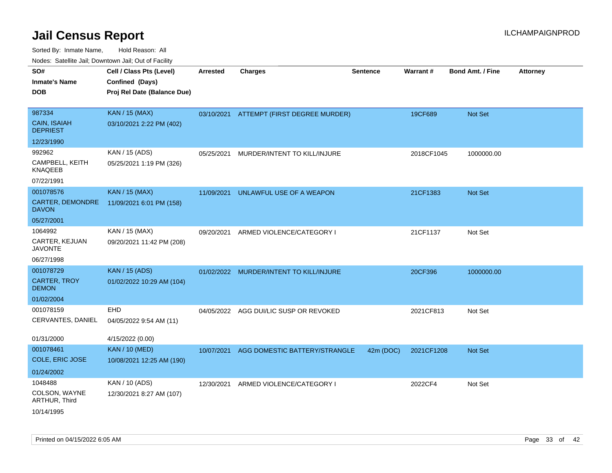| rougs. Calcinic Jan, Downtown Jan, Out of Facility |                             |                 |                                          |                 |            |                         |                 |
|----------------------------------------------------|-----------------------------|-----------------|------------------------------------------|-----------------|------------|-------------------------|-----------------|
| SO#                                                | Cell / Class Pts (Level)    | <b>Arrested</b> | <b>Charges</b>                           | <b>Sentence</b> | Warrant#   | <b>Bond Amt. / Fine</b> | <b>Attorney</b> |
| <b>Inmate's Name</b>                               | Confined (Days)             |                 |                                          |                 |            |                         |                 |
| <b>DOB</b>                                         | Proj Rel Date (Balance Due) |                 |                                          |                 |            |                         |                 |
|                                                    |                             |                 |                                          |                 |            |                         |                 |
| 987334                                             | <b>KAN / 15 (MAX)</b>       |                 | 03/10/2021 ATTEMPT (FIRST DEGREE MURDER) |                 | 19CF689    | Not Set                 |                 |
| <b>CAIN, ISAIAH</b><br><b>DEPRIEST</b>             | 03/10/2021 2:22 PM (402)    |                 |                                          |                 |            |                         |                 |
| 12/23/1990                                         |                             |                 |                                          |                 |            |                         |                 |
| 992962                                             | KAN / 15 (ADS)              | 05/25/2021      | MURDER/INTENT TO KILL/INJURE             |                 | 2018CF1045 | 1000000.00              |                 |
| CAMPBELL, KEITH<br><b>KNAQEEB</b>                  | 05/25/2021 1:19 PM (326)    |                 |                                          |                 |            |                         |                 |
| 07/22/1991                                         |                             |                 |                                          |                 |            |                         |                 |
| 001078576                                          | <b>KAN / 15 (MAX)</b>       | 11/09/2021      | UNLAWFUL USE OF A WEAPON                 |                 | 21CF1383   | Not Set                 |                 |
| CARTER, DEMONDRE<br><b>DAVON</b>                   | 11/09/2021 6:01 PM (158)    |                 |                                          |                 |            |                         |                 |
| 05/27/2001                                         |                             |                 |                                          |                 |            |                         |                 |
| 1064992                                            | KAN / 15 (MAX)              | 09/20/2021      | ARMED VIOLENCE/CATEGORY I                |                 | 21CF1137   | Not Set                 |                 |
| CARTER, KEJUAN<br><b>JAVONTE</b>                   | 09/20/2021 11:42 PM (208)   |                 |                                          |                 |            |                         |                 |
| 06/27/1998                                         |                             |                 |                                          |                 |            |                         |                 |
| 001078729                                          | <b>KAN / 15 (ADS)</b>       |                 | 01/02/2022 MURDER/INTENT TO KILL/INJURE  |                 | 20CF396    | 1000000.00              |                 |
| <b>CARTER, TROY</b><br><b>DEMON</b>                | 01/02/2022 10:29 AM (104)   |                 |                                          |                 |            |                         |                 |
| 01/02/2004                                         |                             |                 |                                          |                 |            |                         |                 |
| 001078159                                          | <b>EHD</b>                  | 04/05/2022      | AGG DUI/LIC SUSP OR REVOKED              |                 | 2021CF813  | Not Set                 |                 |
| CERVANTES, DANIEL                                  | 04/05/2022 9:54 AM (11)     |                 |                                          |                 |            |                         |                 |
| 01/31/2000                                         | 4/15/2022 (0.00)            |                 |                                          |                 |            |                         |                 |
| 001078461                                          | <b>KAN / 10 (MED)</b>       | 10/07/2021      | AGG DOMESTIC BATTERY/STRANGLE            | 42m (DOC)       | 2021CF1208 | Not Set                 |                 |
| COLE, ERIC JOSE                                    | 10/08/2021 12:25 AM (190)   |                 |                                          |                 |            |                         |                 |
| 01/24/2002                                         |                             |                 |                                          |                 |            |                         |                 |
| 1048488                                            | KAN / 10 (ADS)              | 12/30/2021      | ARMED VIOLENCE/CATEGORY I                |                 | 2022CF4    | Not Set                 |                 |
| COLSON, WAYNE<br>ARTHUR, Third                     | 12/30/2021 8:27 AM (107)    |                 |                                          |                 |            |                         |                 |
| 10/14/1995                                         |                             |                 |                                          |                 |            |                         |                 |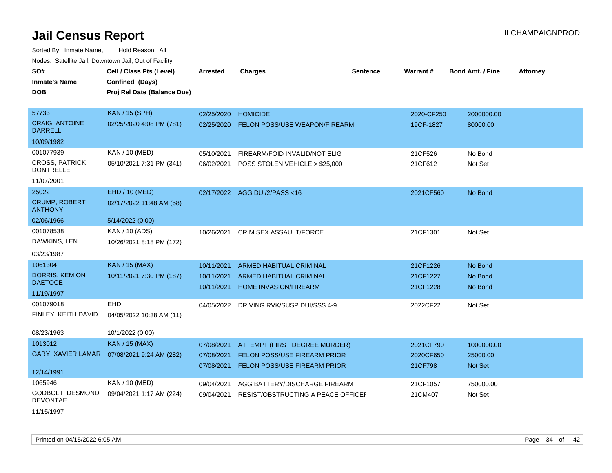| SO#                                       | Cell / Class Pts (Level)                     | <b>Arrested</b> | <b>Charges</b>                          | <b>Sentence</b> | <b>Warrant#</b> | <b>Bond Amt. / Fine</b> | <b>Attorney</b> |
|-------------------------------------------|----------------------------------------------|-----------------|-----------------------------------------|-----------------|-----------------|-------------------------|-----------------|
| <b>Inmate's Name</b>                      | Confined (Days)                              |                 |                                         |                 |                 |                         |                 |
| <b>DOB</b>                                | Proj Rel Date (Balance Due)                  |                 |                                         |                 |                 |                         |                 |
|                                           |                                              |                 |                                         |                 |                 |                         |                 |
| 57733                                     | <b>KAN / 15 (SPH)</b>                        | 02/25/2020      | <b>HOMICIDE</b>                         |                 | 2020-CF250      | 2000000.00              |                 |
| <b>CRAIG, ANTOINE</b><br><b>DARRELL</b>   | 02/25/2020 4:08 PM (781)                     | 02/25/2020      | FELON POSS/USE WEAPON/FIREARM           |                 | 19CF-1827       | 80000.00                |                 |
| 10/09/1982                                |                                              |                 |                                         |                 |                 |                         |                 |
| 001077939                                 | KAN / 10 (MED)                               | 05/10/2021      | FIREARM/FOID INVALID/NOT ELIG           |                 | 21CF526         | No Bond                 |                 |
| <b>CROSS, PATRICK</b><br><b>DONTRELLE</b> | 05/10/2021 7:31 PM (341)                     | 06/02/2021      | POSS STOLEN VEHICLE > \$25,000          |                 | 21CF612         | Not Set                 |                 |
| 11/07/2001                                |                                              |                 |                                         |                 |                 |                         |                 |
| 25022                                     | EHD / 10 (MED)                               |                 | 02/17/2022 AGG DUI/2/PASS<16            |                 | 2021CF560       | No Bond                 |                 |
| <b>CRUMP, ROBERT</b><br><b>ANTHONY</b>    | 02/17/2022 11:48 AM (58)                     |                 |                                         |                 |                 |                         |                 |
| 02/06/1966                                | 5/14/2022 (0.00)                             |                 |                                         |                 |                 |                         |                 |
| 001078538                                 | KAN / 10 (ADS)                               | 10/26/2021      | <b>CRIM SEX ASSAULT/FORCE</b>           |                 | 21CF1301        | Not Set                 |                 |
| DAWKINS, LEN                              | 10/26/2021 8:18 PM (172)                     |                 |                                         |                 |                 |                         |                 |
| 03/23/1987                                |                                              |                 |                                         |                 |                 |                         |                 |
| 1061304                                   | <b>KAN / 15 (MAX)</b>                        | 10/11/2021      | <b>ARMED HABITUAL CRIMINAL</b>          |                 | 21CF1226        | No Bond                 |                 |
| <b>DORRIS, KEMION</b>                     | 10/11/2021 7:30 PM (187)                     | 10/11/2021      | ARMED HABITUAL CRIMINAL                 |                 | 21CF1227        | No Bond                 |                 |
| <b>DAETOCE</b>                            |                                              | 10/11/2021      | <b>HOME INVASION/FIREARM</b>            |                 | 21CF1228        | No Bond                 |                 |
| 11/19/1997                                |                                              |                 |                                         |                 |                 |                         |                 |
| 001079018                                 | <b>EHD</b>                                   |                 | 04/05/2022 DRIVING RVK/SUSP DUI/SSS 4-9 |                 | 2022CF22        | Not Set                 |                 |
| FINLEY, KEITH DAVID                       | 04/05/2022 10:38 AM (11)                     |                 |                                         |                 |                 |                         |                 |
| 08/23/1963                                | 10/1/2022 (0.00)                             |                 |                                         |                 |                 |                         |                 |
| 1013012                                   | <b>KAN / 15 (MAX)</b>                        | 07/08/2021      | ATTEMPT (FIRST DEGREE MURDER)           |                 | 2021CF790       | 1000000.00              |                 |
|                                           | GARY, XAVIER LAMAR  07/08/2021 9:24 AM (282) | 07/08/2021      | FELON POSS/USE FIREARM PRIOR            |                 | 2020CF650       | 25000.00                |                 |
|                                           |                                              | 07/08/2021      | FELON POSS/USE FIREARM PRIOR            |                 | 21CF798         | Not Set                 |                 |
| 12/14/1991                                |                                              |                 |                                         |                 |                 |                         |                 |
| 1065946                                   | KAN / 10 (MED)                               | 09/04/2021      | AGG BATTERY/DISCHARGE FIREARM           |                 | 21CF1057        | 750000.00               |                 |
| GODBOLT, DESMOND<br><b>DEVONTAE</b>       | 09/04/2021 1:17 AM (224)                     | 09/04/2021      | RESIST/OBSTRUCTING A PEACE OFFICEL      |                 | 21CM407         | Not Set                 |                 |
| 11/15/1997                                |                                              |                 |                                         |                 |                 |                         |                 |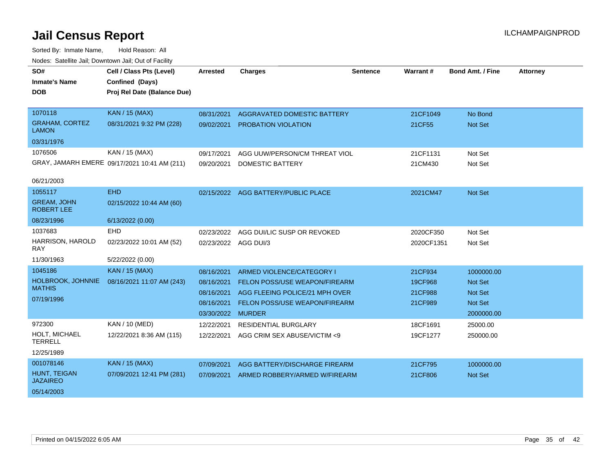| SO#<br><b>Inmate's Name</b><br><b>DOB</b>                        | Cell / Class Pts (Level)<br>Confined (Days)<br>Proj Rel Date (Balance Due) | <b>Arrested</b>                                                    | <b>Charges</b>                                                                                                                                 | <b>Sentence</b> | <b>Warrant#</b>                          | <b>Bond Amt. / Fine</b>                                          | <b>Attorney</b> |
|------------------------------------------------------------------|----------------------------------------------------------------------------|--------------------------------------------------------------------|------------------------------------------------------------------------------------------------------------------------------------------------|-----------------|------------------------------------------|------------------------------------------------------------------|-----------------|
| 1070118<br><b>GRAHAM, CORTEZ</b><br><b>LAMON</b><br>03/31/1976   | <b>KAN / 15 (MAX)</b><br>08/31/2021 9:32 PM (228)                          | 08/31/2021<br>09/02/2021                                           | AGGRAVATED DOMESTIC BATTERY<br><b>PROBATION VIOLATION</b>                                                                                      |                 | 21CF1049<br>21CF55                       | No Bond<br>Not Set                                               |                 |
| 1076506<br>06/21/2003                                            | KAN / 15 (MAX)<br>GRAY, JAMARH EMERE 09/17/2021 10:41 AM (211)             | 09/17/2021<br>09/20/2021                                           | AGG UUW/PERSON/CM THREAT VIOL<br><b>DOMESTIC BATTERY</b>                                                                                       |                 | 21CF1131<br>21CM430                      | Not Set<br>Not Set                                               |                 |
| 1055117<br><b>GREAM, JOHN</b><br><b>ROBERT LEE</b><br>08/23/1996 | <b>EHD</b><br>02/15/2022 10:44 AM (60)<br>6/13/2022 (0.00)                 |                                                                    | 02/15/2022 AGG BATTERY/PUBLIC PLACE                                                                                                            |                 | 2021CM47                                 | <b>Not Set</b>                                                   |                 |
| 1037683<br>HARRISON, HAROLD<br><b>RAY</b><br>11/30/1963          | <b>EHD</b><br>02/23/2022 10:01 AM (52)<br>5/22/2022 (0.00)                 | 02/23/2022<br>02/23/2022 AGG DUI/3                                 | AGG DUI/LIC SUSP OR REVOKED                                                                                                                    |                 | 2020CF350<br>2020CF1351                  | Not Set<br>Not Set                                               |                 |
| 1045186<br>HOLBROOK, JOHNNIE<br><b>MATHIS</b><br>07/19/1996      | <b>KAN / 15 (MAX)</b><br>08/16/2021 11:07 AM (243)                         | 08/16/2021<br>08/16/2021<br>08/16/2021<br>08/16/2021<br>03/30/2022 | ARMED VIOLENCE/CATEGORY I<br>FELON POSS/USE WEAPON/FIREARM<br>AGG FLEEING POLICE/21 MPH OVER<br>FELON POSS/USE WEAPON/FIREARM<br><b>MURDER</b> |                 | 21CF934<br>19CF968<br>21CF988<br>21CF989 | 1000000.00<br><b>Not Set</b><br>Not Set<br>Not Set<br>2000000.00 |                 |
| 972300<br>HOLT, MICHAEL<br><b>TERRELL</b><br>12/25/1989          | KAN / 10 (MED)<br>12/22/2021 8:36 AM (115)                                 | 12/22/2021<br>12/22/2021                                           | RESIDENTIAL BURGLARY<br>AGG CRIM SEX ABUSE/VICTIM <9                                                                                           |                 | 18CF1691<br>19CF1277                     | 25000.00<br>250000.00                                            |                 |
| 001078146<br>HUNT, TEIGAN<br><b>JAZAIREO</b><br>05/14/2003       | <b>KAN / 15 (MAX)</b><br>07/09/2021 12:41 PM (281)                         | 07/09/2021<br>07/09/2021                                           | AGG BATTERY/DISCHARGE FIREARM<br>ARMED ROBBERY/ARMED W/FIREARM                                                                                 |                 | 21CF795<br>21CF806                       | 1000000.00<br><b>Not Set</b>                                     |                 |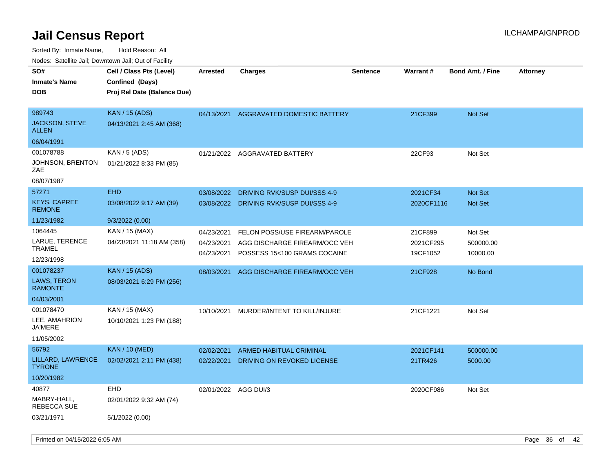| 10000. Catolino can, Domntonn can, Cat or I doint |                                                                            |                          |                                                               |                 |                       |                         |                 |
|---------------------------------------------------|----------------------------------------------------------------------------|--------------------------|---------------------------------------------------------------|-----------------|-----------------------|-------------------------|-----------------|
| SO#<br>Inmate's Name<br><b>DOB</b>                | Cell / Class Pts (Level)<br>Confined (Days)<br>Proj Rel Date (Balance Due) | <b>Arrested</b>          | <b>Charges</b>                                                | <b>Sentence</b> | Warrant#              | <b>Bond Amt. / Fine</b> | <b>Attorney</b> |
| 989743<br>JACKSON, STEVE<br>ALLEN                 | <b>KAN / 15 (ADS)</b><br>04/13/2021 2:45 AM (368)                          | 04/13/2021               | AGGRAVATED DOMESTIC BATTERY                                   |                 | 21CF399               | <b>Not Set</b>          |                 |
| 06/04/1991                                        |                                                                            |                          |                                                               |                 |                       |                         |                 |
| 001078788<br>JOHNSON, BRENTON<br>ZAE              | KAN / 5 (ADS)<br>01/21/2022 8:33 PM (85)                                   | 01/21/2022               | AGGRAVATED BATTERY                                            |                 | 22CF93                | Not Set                 |                 |
| 08/07/1987                                        |                                                                            |                          |                                                               |                 |                       |                         |                 |
| 57271                                             | <b>EHD</b>                                                                 | 03/08/2022               | DRIVING RVK/SUSP DUI/SSS 4-9                                  |                 | 2021CF34              | <b>Not Set</b>          |                 |
| KEYS, CAPREE<br><b>REMONE</b>                     | 03/08/2022 9:17 AM (39)                                                    | 03/08/2022               | DRIVING RVK/SUSP DUI/SSS 4-9                                  |                 | 2020CF1116            | <b>Not Set</b>          |                 |
| 11/23/1982                                        | 9/3/2022 (0.00)                                                            |                          |                                                               |                 |                       |                         |                 |
| 1064445                                           | KAN / 15 (MAX)                                                             | 04/23/2021               | FELON POSS/USE FIREARM/PAROLE                                 |                 | 21CF899               | Not Set                 |                 |
| LARUE, TERENCE<br>TRAMEL                          | 04/23/2021 11:18 AM (358)                                                  | 04/23/2021<br>04/23/2021 | AGG DISCHARGE FIREARM/OCC VEH<br>POSSESS 15<100 GRAMS COCAINE |                 | 2021CF295<br>19CF1052 | 500000.00<br>10000.00   |                 |
| 12/23/1998                                        |                                                                            |                          |                                                               |                 |                       |                         |                 |
| 001078237                                         | <b>KAN / 15 (ADS)</b>                                                      | 08/03/2021               | AGG DISCHARGE FIREARM/OCC VEH                                 |                 | 21CF928               | No Bond                 |                 |
| LAWS, TERON<br><b>RAMONTE</b>                     | 08/03/2021 6:29 PM (256)                                                   |                          |                                                               |                 |                       |                         |                 |
| 04/03/2001                                        |                                                                            |                          |                                                               |                 |                       |                         |                 |
| 001078470                                         | KAN / 15 (MAX)                                                             | 10/10/2021               | MURDER/INTENT TO KILL/INJURE                                  |                 | 21CF1221              | Not Set                 |                 |
| LEE, AMAHRION<br>JA'MERE                          | 10/10/2021 1:23 PM (188)                                                   |                          |                                                               |                 |                       |                         |                 |
| 11/05/2002                                        |                                                                            |                          |                                                               |                 |                       |                         |                 |
| 56792                                             | <b>KAN / 10 (MED)</b>                                                      | 02/02/2021               | <b>ARMED HABITUAL CRIMINAL</b>                                |                 | 2021CF141             | 500000.00               |                 |
| LILLARD, LAWRENCE<br><b>TYRONE</b>                | 02/02/2021 2:11 PM (438)                                                   | 02/22/2021               | DRIVING ON REVOKED LICENSE                                    |                 | 21TR426               | 5000.00                 |                 |
| 10/20/1982                                        |                                                                            |                          |                                                               |                 |                       |                         |                 |
| 40877                                             | <b>EHD</b>                                                                 | 02/01/2022               | AGG DUI/3                                                     |                 | 2020CF986             | Not Set                 |                 |
| MABRY-HALL,<br>REBECCA SUE                        | 02/01/2022 9:32 AM (74)                                                    |                          |                                                               |                 |                       |                         |                 |
| 03/21/1971                                        | 5/1/2022 (0.00)                                                            |                          |                                                               |                 |                       |                         |                 |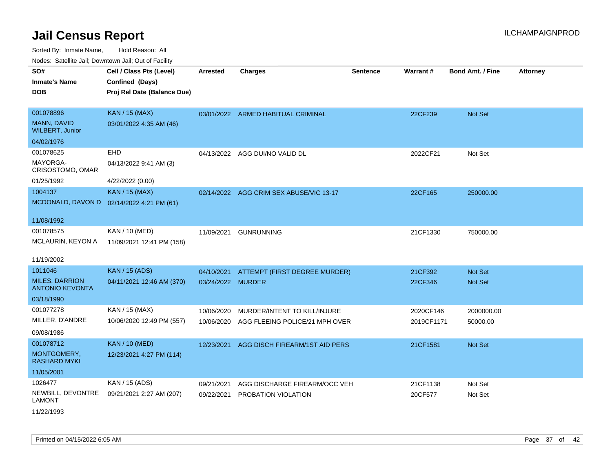Sorted By: Inmate Name, Hold Reason: All Nodes: Satellite Jail; Downtown Jail; Out of Facility

| Noucs. Outchne sail, Downtown sail, Out of Facility |                                           |                   |                                    |                 |            |                         |                 |
|-----------------------------------------------------|-------------------------------------------|-------------------|------------------------------------|-----------------|------------|-------------------------|-----------------|
| SO#                                                 | Cell / Class Pts (Level)                  | <b>Arrested</b>   | <b>Charges</b>                     | <b>Sentence</b> | Warrant#   | <b>Bond Amt. / Fine</b> | <b>Attorney</b> |
| <b>Inmate's Name</b>                                | Confined (Days)                           |                   |                                    |                 |            |                         |                 |
| <b>DOB</b>                                          | Proj Rel Date (Balance Due)               |                   |                                    |                 |            |                         |                 |
|                                                     |                                           |                   |                                    |                 |            |                         |                 |
| 001078896                                           | <b>KAN / 15 (MAX)</b>                     |                   | 03/01/2022 ARMED HABITUAL CRIMINAL |                 | 22CF239    | <b>Not Set</b>          |                 |
| MANN, DAVID<br><b>WILBERT, Junior</b>               | 03/01/2022 4:35 AM (46)                   |                   |                                    |                 |            |                         |                 |
| 04/02/1976                                          |                                           |                   |                                    |                 |            |                         |                 |
| 001078625                                           | <b>EHD</b>                                |                   | 04/13/2022 AGG DUI/NO VALID DL     |                 | 2022CF21   | Not Set                 |                 |
| MAYORGA-<br>CRISOSTOMO, OMAR                        | 04/13/2022 9:41 AM (3)                    |                   |                                    |                 |            |                         |                 |
| 01/25/1992                                          | 4/22/2022 (0.00)                          |                   |                                    |                 |            |                         |                 |
| 1004137                                             | <b>KAN / 15 (MAX)</b>                     | 02/14/2022        | AGG CRIM SEX ABUSE/VIC 13-17       |                 | 22CF165    | 250000.00               |                 |
|                                                     | MCDONALD, DAVON D 02/14/2022 4:21 PM (61) |                   |                                    |                 |            |                         |                 |
|                                                     |                                           |                   |                                    |                 |            |                         |                 |
| 11/08/1992                                          |                                           |                   |                                    |                 |            |                         |                 |
| 001078575                                           | KAN / 10 (MED)                            | 11/09/2021        | <b>GUNRUNNING</b>                  |                 | 21CF1330   | 750000.00               |                 |
| <b>MCLAURIN, KEYON A</b>                            | 11/09/2021 12:41 PM (158)                 |                   |                                    |                 |            |                         |                 |
| 11/19/2002                                          |                                           |                   |                                    |                 |            |                         |                 |
|                                                     |                                           |                   |                                    |                 |            |                         |                 |
| 1011046                                             | <b>KAN / 15 (ADS)</b>                     | 04/10/2021        | ATTEMPT (FIRST DEGREE MURDER)      |                 | 21CF392    | <b>Not Set</b>          |                 |
| <b>MILES, DARRION</b><br><b>ANTONIO KEVONTA</b>     | 04/11/2021 12:46 AM (370)                 | 03/24/2022 MURDER |                                    |                 | 22CF346    | Not Set                 |                 |
| 03/18/1990                                          |                                           |                   |                                    |                 |            |                         |                 |
| 001077278                                           | KAN / 15 (MAX)                            | 10/06/2020        | MURDER/INTENT TO KILL/INJURE       |                 | 2020CF146  | 2000000.00              |                 |
| MILLER, D'ANDRE                                     | 10/06/2020 12:49 PM (557)                 | 10/06/2020        | AGG FLEEING POLICE/21 MPH OVER     |                 | 2019CF1171 | 50000.00                |                 |
| 09/08/1986                                          |                                           |                   |                                    |                 |            |                         |                 |
| 001078712                                           | <b>KAN / 10 (MED)</b>                     | 12/23/2021        | AGG DISCH FIREARM/1ST AID PERS     |                 | 21CF1581   | Not Set                 |                 |
| MONTGOMERY,<br><b>RASHARD MYKI</b>                  | 12/23/2021 4:27 PM (114)                  |                   |                                    |                 |            |                         |                 |
| 11/05/2001                                          |                                           |                   |                                    |                 |            |                         |                 |
| 1026477                                             | KAN / 15 (ADS)                            | 09/21/2021        | AGG DISCHARGE FIREARM/OCC VEH      |                 | 21CF1138   | Not Set                 |                 |
| NEWBILL, DEVONTRE<br><b>LAMONT</b>                  | 09/21/2021 2:27 AM (207)                  | 09/22/2021        | PROBATION VIOLATION                |                 | 20CF577    | Not Set                 |                 |

11/22/1993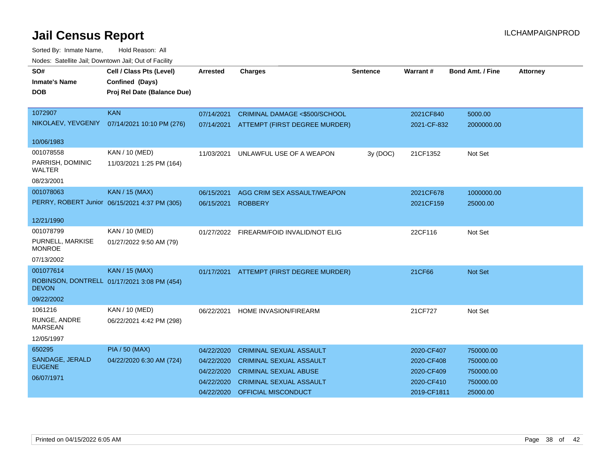| roaco. Calcinto can, Downtown can, Out of Facility |                                               |                 |                                |                 |             |                         |                 |
|----------------------------------------------------|-----------------------------------------------|-----------------|--------------------------------|-----------------|-------------|-------------------------|-----------------|
| SO#                                                | Cell / Class Pts (Level)                      | <b>Arrested</b> | <b>Charges</b>                 | <b>Sentence</b> | Warrant#    | <b>Bond Amt. / Fine</b> | <b>Attorney</b> |
| <b>Inmate's Name</b>                               | Confined (Days)                               |                 |                                |                 |             |                         |                 |
| DOB.                                               | Proj Rel Date (Balance Due)                   |                 |                                |                 |             |                         |                 |
|                                                    |                                               |                 |                                |                 |             |                         |                 |
| 1072907                                            | <b>KAN</b>                                    | 07/14/2021      | CRIMINAL DAMAGE <\$500/SCHOOL  |                 | 2021CF840   | 5000.00                 |                 |
| NIKOLAEV, YEVGENIY                                 | 07/14/2021 10:10 PM (276)                     | 07/14/2021      | ATTEMPT (FIRST DEGREE MURDER)  |                 | 2021-CF-832 | 2000000.00              |                 |
|                                                    |                                               |                 |                                |                 |             |                         |                 |
| 10/06/1983                                         |                                               |                 |                                |                 |             |                         |                 |
| 001078558                                          | KAN / 10 (MED)                                | 11/03/2021      | UNLAWFUL USE OF A WEAPON       | 3y (DOC)        | 21CF1352    | Not Set                 |                 |
| PARRISH, DOMINIC                                   | 11/03/2021 1:25 PM (164)                      |                 |                                |                 |             |                         |                 |
| <b>WALTER</b>                                      |                                               |                 |                                |                 |             |                         |                 |
| 08/23/2001                                         |                                               |                 |                                |                 |             |                         |                 |
| 001078063                                          | <b>KAN / 15 (MAX)</b>                         | 06/15/2021      | AGG CRIM SEX ASSAULT/WEAPON    |                 | 2021CF678   | 1000000.00              |                 |
|                                                    | PERRY, ROBERT Junior 06/15/2021 4:37 PM (305) | 06/15/2021      | <b>ROBBERY</b>                 |                 | 2021CF159   | 25000.00                |                 |
| 12/21/1990                                         |                                               |                 |                                |                 |             |                         |                 |
| 001078799                                          | KAN / 10 (MED)                                | 01/27/2022      | FIREARM/FOID INVALID/NOT ELIG  |                 | 22CF116     | Not Set                 |                 |
| PURNELL, MARKISE<br><b>MONROE</b>                  | 01/27/2022 9:50 AM (79)                       |                 |                                |                 |             |                         |                 |
| 07/13/2002                                         |                                               |                 |                                |                 |             |                         |                 |
| 001077614                                          | <b>KAN / 15 (MAX)</b>                         | 01/17/2021      | ATTEMPT (FIRST DEGREE MURDER)  |                 | 21CF66      | <b>Not Set</b>          |                 |
| <b>DEVON</b>                                       | ROBINSON, DONTRELL 01/17/2021 3:08 PM (454)   |                 |                                |                 |             |                         |                 |
| 09/22/2002                                         |                                               |                 |                                |                 |             |                         |                 |
| 1061216                                            | KAN / 10 (MED)                                | 06/22/2021      | HOME INVASION/FIREARM          |                 | 21CF727     | Not Set                 |                 |
| RUNGE, ANDRE<br><b>MARSEAN</b>                     | 06/22/2021 4:42 PM (298)                      |                 |                                |                 |             |                         |                 |
| 12/05/1997                                         |                                               |                 |                                |                 |             |                         |                 |
| 650295                                             | <b>PIA / 50 (MAX)</b>                         | 04/22/2020      | <b>CRIMINAL SEXUAL ASSAULT</b> |                 | 2020-CF407  | 750000.00               |                 |
| SANDAGE, JERALD                                    | 04/22/2020 6:30 AM (724)                      | 04/22/2020      | <b>CRIMINAL SEXUAL ASSAULT</b> |                 | 2020-CF408  | 750000.00               |                 |
| <b>EUGENE</b>                                      |                                               | 04/22/2020      | <b>CRIMINAL SEXUAL ABUSE</b>   |                 | 2020-CF409  | 750000.00               |                 |
| 06/07/1971                                         |                                               | 04/22/2020      | <b>CRIMINAL SEXUAL ASSAULT</b> |                 | 2020-CF410  | 750000.00               |                 |
|                                                    |                                               | 04/22/2020      | OFFICIAL MISCONDUCT            |                 | 2019-CF1811 | 25000.00                |                 |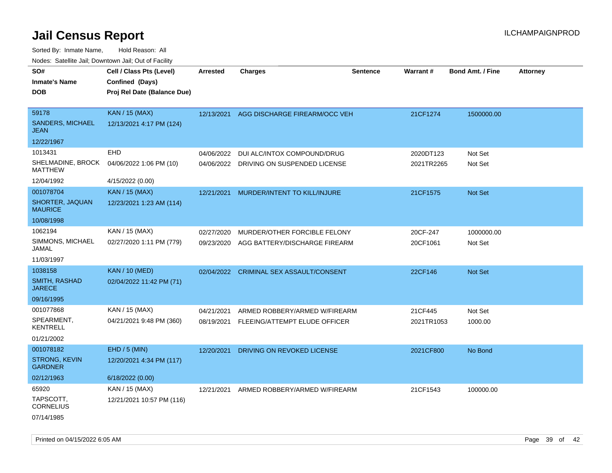| soupois catomic can, Dominomii can, Cat or I domt<br>SO# | Cell / Class Pts (Level)    | <b>Arrested</b> | <b>Charges</b>                      | <b>Sentence</b> | Warrant#   | <b>Bond Amt. / Fine</b> | <b>Attorney</b> |
|----------------------------------------------------------|-----------------------------|-----------------|-------------------------------------|-----------------|------------|-------------------------|-----------------|
| <b>Inmate's Name</b>                                     | Confined (Days)             |                 |                                     |                 |            |                         |                 |
| <b>DOB</b>                                               | Proj Rel Date (Balance Due) |                 |                                     |                 |            |                         |                 |
| 59178                                                    | <b>KAN / 15 (MAX)</b>       | 12/13/2021      | AGG DISCHARGE FIREARM/OCC VEH       |                 | 21CF1274   | 1500000.00              |                 |
| SANDERS, MICHAEL<br><b>JEAN</b>                          | 12/13/2021 4:17 PM (124)    |                 |                                     |                 |            |                         |                 |
| 12/22/1967                                               |                             |                 |                                     |                 |            |                         |                 |
| 1013431                                                  | <b>EHD</b>                  | 04/06/2022      | DUI ALC/INTOX COMPOUND/DRUG         |                 | 2020DT123  | Not Set                 |                 |
| SHELMADINE, BROCK<br><b>MATTHEW</b>                      | 04/06/2022 1:06 PM (10)     | 04/06/2022      | DRIVING ON SUSPENDED LICENSE        |                 | 2021TR2265 | Not Set                 |                 |
| 12/04/1992                                               | 4/15/2022 (0.00)            |                 |                                     |                 |            |                         |                 |
| 001078704                                                | <b>KAN / 15 (MAX)</b>       | 12/21/2021      | MURDER/INTENT TO KILL/INJURE        |                 | 21CF1575   | <b>Not Set</b>          |                 |
| SHORTER, JAQUAN<br><b>MAURICE</b>                        | 12/23/2021 1:23 AM (114)    |                 |                                     |                 |            |                         |                 |
| 10/08/1998                                               |                             |                 |                                     |                 |            |                         |                 |
| 1062194                                                  | KAN / 15 (MAX)              | 02/27/2020      | MURDER/OTHER FORCIBLE FELONY        |                 | 20CF-247   | 1000000.00              |                 |
| SIMMONS, MICHAEL<br>JAMAL                                | 02/27/2020 1:11 PM (779)    | 09/23/2020      | AGG BATTERY/DISCHARGE FIREARM       |                 | 20CF1061   | Not Set                 |                 |
| 11/03/1997                                               |                             |                 |                                     |                 |            |                         |                 |
| 1038158                                                  | <b>KAN / 10 (MED)</b>       | 02/04/2022      | <b>CRIMINAL SEX ASSAULT/CONSENT</b> |                 | 22CF146    | <b>Not Set</b>          |                 |
| <b>SMITH, RASHAD</b><br><b>JARECE</b>                    | 02/04/2022 11:42 PM (71)    |                 |                                     |                 |            |                         |                 |
| 09/16/1995                                               |                             |                 |                                     |                 |            |                         |                 |
| 001077868                                                | KAN / 15 (MAX)              | 04/21/2021      | ARMED ROBBERY/ARMED W/FIREARM       |                 | 21CF445    | Not Set                 |                 |
| SPEARMENT,<br><b>KENTRELL</b>                            | 04/21/2021 9:48 PM (360)    | 08/19/2021      | FLEEING/ATTEMPT ELUDE OFFICER       |                 | 2021TR1053 | 1000.00                 |                 |
| 01/21/2002                                               |                             |                 |                                     |                 |            |                         |                 |
| 001078182                                                | EHD / 5 (MIN)               | 12/20/2021      | DRIVING ON REVOKED LICENSE          |                 | 2021CF800  | No Bond                 |                 |
| <b>STRONG, KEVIN</b><br><b>GARDNER</b>                   | 12/20/2021 4:34 PM (117)    |                 |                                     |                 |            |                         |                 |
| 02/12/1963                                               | 6/18/2022 (0.00)            |                 |                                     |                 |            |                         |                 |
| 65920                                                    | KAN / 15 (MAX)              | 12/21/2021      | ARMED ROBBERY/ARMED W/FIREARM       |                 | 21CF1543   | 100000.00               |                 |
| TAPSCOTT,<br><b>CORNELIUS</b>                            | 12/21/2021 10:57 PM (116)   |                 |                                     |                 |            |                         |                 |
| 07/14/1985                                               |                             |                 |                                     |                 |            |                         |                 |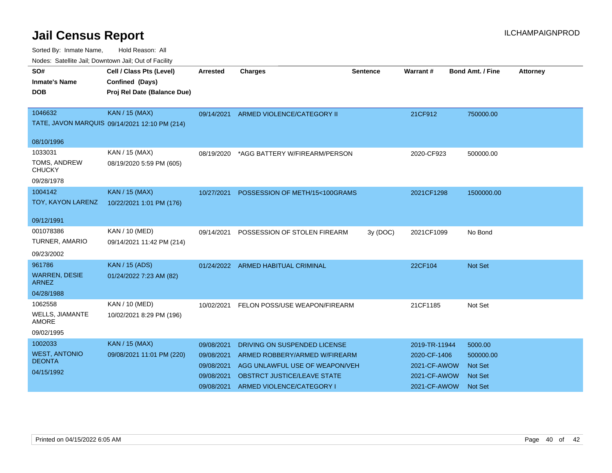| SO#                                    | Cell / Class Pts (Level)                      | <b>Arrested</b> | <b>Charges</b>                        | <b>Sentence</b> | Warrant#      | <b>Bond Amt. / Fine</b> | <b>Attorney</b> |
|----------------------------------------|-----------------------------------------------|-----------------|---------------------------------------|-----------------|---------------|-------------------------|-----------------|
| <b>Inmate's Name</b>                   | Confined (Days)                               |                 |                                       |                 |               |                         |                 |
| <b>DOB</b>                             | Proj Rel Date (Balance Due)                   |                 |                                       |                 |               |                         |                 |
|                                        |                                               |                 |                                       |                 |               |                         |                 |
| 1046632                                | KAN / 15 (MAX)                                |                 | 09/14/2021 ARMED VIOLENCE/CATEGORY II |                 | 21CF912       | 750000.00               |                 |
|                                        | TATE, JAVON MARQUIS 09/14/2021 12:10 PM (214) |                 |                                       |                 |               |                         |                 |
| 08/10/1996                             |                                               |                 |                                       |                 |               |                         |                 |
| 1033031                                | KAN / 15 (MAX)                                | 08/19/2020      | *AGG BATTERY W/FIREARM/PERSON         |                 | 2020-CF923    | 500000.00               |                 |
| TOMS, ANDREW<br><b>CHUCKY</b>          | 08/19/2020 5:59 PM (605)                      |                 |                                       |                 |               |                         |                 |
| 09/28/1978                             |                                               |                 |                                       |                 |               |                         |                 |
| 1004142                                | KAN / 15 (MAX)                                | 10/27/2021      | POSSESSION OF METH/15<100GRAMS        |                 | 2021CF1298    | 1500000.00              |                 |
| TOY, KAYON LARENZ                      | 10/22/2021 1:01 PM (176)                      |                 |                                       |                 |               |                         |                 |
| 09/12/1991                             |                                               |                 |                                       |                 |               |                         |                 |
| 001078386                              | KAN / 10 (MED)                                | 09/14/2021      | POSSESSION OF STOLEN FIREARM          | 3y (DOC)        | 2021CF1099    | No Bond                 |                 |
| TURNER, AMARIO                         | 09/14/2021 11:42 PM (214)                     |                 |                                       |                 |               |                         |                 |
| 09/23/2002                             |                                               |                 |                                       |                 |               |                         |                 |
| 961786                                 | <b>KAN / 15 (ADS)</b>                         | 01/24/2022      | ARMED HABITUAL CRIMINAL               |                 | 22CF104       | <b>Not Set</b>          |                 |
| <b>WARREN, DESIE</b><br><b>ARNEZ</b>   | 01/24/2022 7:23 AM (82)                       |                 |                                       |                 |               |                         |                 |
| 04/28/1988                             |                                               |                 |                                       |                 |               |                         |                 |
| 1062558                                | KAN / 10 (MED)                                | 10/02/2021      | FELON POSS/USE WEAPON/FIREARM         |                 | 21CF1185      | Not Set                 |                 |
| <b>WELLS, JIAMANTE</b><br><b>AMORE</b> | 10/02/2021 8:29 PM (196)                      |                 |                                       |                 |               |                         |                 |
| 09/02/1995                             |                                               |                 |                                       |                 |               |                         |                 |
| 1002033                                | <b>KAN / 15 (MAX)</b>                         | 09/08/2021      | DRIVING ON SUSPENDED LICENSE          |                 | 2019-TR-11944 | 5000.00                 |                 |
| <b>WEST, ANTONIO</b>                   | 09/08/2021 11:01 PM (220)                     | 09/08/2021      | ARMED ROBBERY/ARMED W/FIREARM         |                 | 2020-CF-1406  | 500000.00               |                 |
| <b>DEONTA</b>                          |                                               | 09/08/2021      | AGG UNLAWFUL USE OF WEAPON/VEH        |                 | 2021-CF-AWOW  | <b>Not Set</b>          |                 |
| 04/15/1992                             |                                               | 09/08/2021      | <b>OBSTRCT JUSTICE/LEAVE STATE</b>    |                 | 2021-CF-AWOW  | <b>Not Set</b>          |                 |
|                                        |                                               | 09/08/2021      | ARMED VIOLENCE/CATEGORY I             |                 | 2021-CF-AWOW  | <b>Not Set</b>          |                 |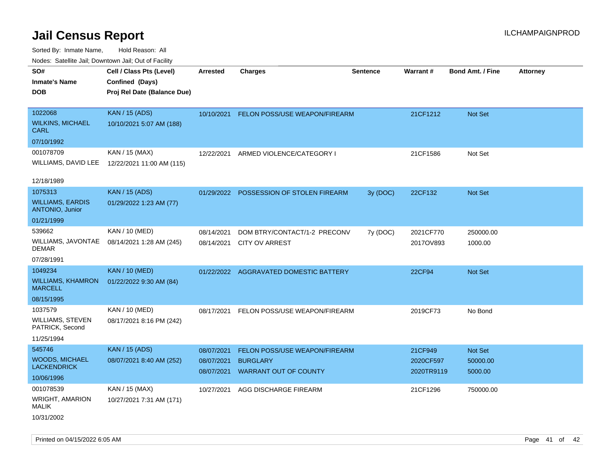Sorted By: Inmate Name, Hold Reason: All Nodes: Satellite Jail; Downtown Jail; Out of Facility

| ivuutos. Saltiilit Jall, Duwilluwii Jall, Oul of Facility |                             |            |                                        |                 |            |                         |                 |
|-----------------------------------------------------------|-----------------------------|------------|----------------------------------------|-----------------|------------|-------------------------|-----------------|
| SO#                                                       | Cell / Class Pts (Level)    | Arrested   | <b>Charges</b>                         | <b>Sentence</b> | Warrant#   | <b>Bond Amt. / Fine</b> | <b>Attorney</b> |
| <b>Inmate's Name</b>                                      | Confined (Days)             |            |                                        |                 |            |                         |                 |
| <b>DOB</b>                                                | Proj Rel Date (Balance Due) |            |                                        |                 |            |                         |                 |
|                                                           |                             |            |                                        |                 |            |                         |                 |
| 1022068                                                   | <b>KAN / 15 (ADS)</b>       | 10/10/2021 | FELON POSS/USE WEAPON/FIREARM          |                 | 21CF1212   | <b>Not Set</b>          |                 |
| <b>WILKINS, MICHAEL</b><br><b>CARL</b>                    | 10/10/2021 5:07 AM (188)    |            |                                        |                 |            |                         |                 |
| 07/10/1992                                                |                             |            |                                        |                 |            |                         |                 |
| 001078709                                                 | KAN / 15 (MAX)              | 12/22/2021 | ARMED VIOLENCE/CATEGORY I              |                 | 21CF1586   | Not Set                 |                 |
| WILLIAMS, DAVID LEE                                       | 12/22/2021 11:00 AM (115)   |            |                                        |                 |            |                         |                 |
|                                                           |                             |            |                                        |                 |            |                         |                 |
| 12/18/1989                                                |                             |            |                                        |                 |            |                         |                 |
| 1075313                                                   | <b>KAN / 15 (ADS)</b>       | 01/29/2022 | POSSESSION OF STOLEN FIREARM           | 3y (DOC)        | 22CF132    | <b>Not Set</b>          |                 |
| <b>WILLIAMS, EARDIS</b><br><b>ANTONIO, Junior</b>         | 01/29/2022 1:23 AM (77)     |            |                                        |                 |            |                         |                 |
| 01/21/1999                                                |                             |            |                                        |                 |            |                         |                 |
| 539662                                                    | KAN / 10 (MED)              | 08/14/2021 | DOM BTRY/CONTACT/1-2 PRECONV           | 7y (DOC)        | 2021CF770  | 250000.00               |                 |
| WILLIAMS, JAVONTAE<br><b>DEMAR</b>                        | 08/14/2021 1:28 AM (245)    | 08/14/2021 | <b>CITY OV ARREST</b>                  |                 | 2017OV893  | 1000.00                 |                 |
| 07/28/1991                                                |                             |            |                                        |                 |            |                         |                 |
| 1049234                                                   | <b>KAN / 10 (MED)</b>       |            | 01/22/2022 AGGRAVATED DOMESTIC BATTERY |                 | 22CF94     | <b>Not Set</b>          |                 |
| <b>WILLIAMS, KHAMRON</b><br><b>MARCELL</b>                | 01/22/2022 9:30 AM (84)     |            |                                        |                 |            |                         |                 |
| 08/15/1995                                                |                             |            |                                        |                 |            |                         |                 |
| 1037579                                                   | KAN / 10 (MED)              | 08/17/2021 | FELON POSS/USE WEAPON/FIREARM          |                 | 2019CF73   | No Bond                 |                 |
| WILLIAMS, STEVEN<br>PATRICK, Second                       | 08/17/2021 8:16 PM (242)    |            |                                        |                 |            |                         |                 |
| 11/25/1994                                                |                             |            |                                        |                 |            |                         |                 |
| 545746                                                    | <b>KAN / 15 (ADS)</b>       | 08/07/2021 | <b>FELON POSS/USE WEAPON/FIREARM</b>   |                 | 21CF949    | <b>Not Set</b>          |                 |
| <b>WOODS, MICHAEL</b><br><b>LACKENDRICK</b>               | 08/07/2021 8:40 AM (252)    | 08/07/2021 | <b>BURGLARY</b>                        |                 | 2020CF597  | 50000.00                |                 |
| 10/06/1996                                                |                             | 08/07/2021 | <b>WARRANT OUT OF COUNTY</b>           |                 | 2020TR9119 | 5000.00                 |                 |
| 001078539                                                 | KAN / 15 (MAX)              | 10/27/2021 | AGG DISCHARGE FIREARM                  |                 | 21CF1296   | 750000.00               |                 |
| <b>WRIGHT, AMARION</b><br><b>MALIK</b>                    | 10/27/2021 7:31 AM (171)    |            |                                        |                 |            |                         |                 |
| 10/31/2002                                                |                             |            |                                        |                 |            |                         |                 |

Printed on 04/15/2022 6:05 AM **Page 41** of 42